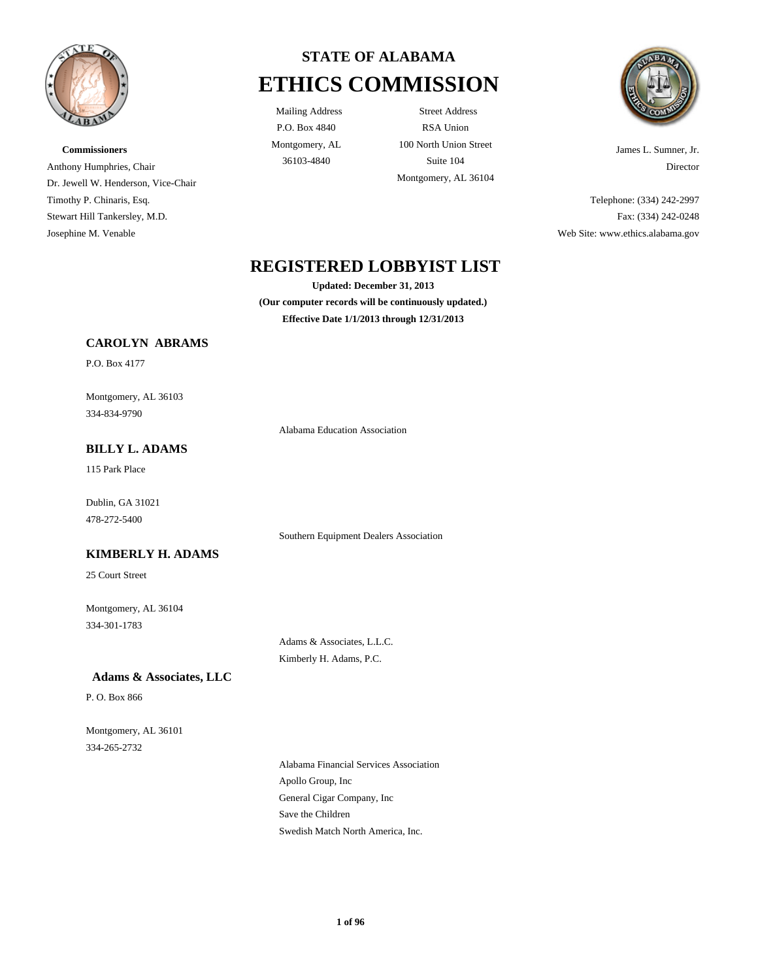

**Commissioners** Anthony Humphries, Chair Dr. Jewell W. Henderson, Vice-Chair Timothy P. Chinaris, Esq. Stewart Hill Tankersley, M.D. Josephine M. Venable



P.O. Box 4840 Montgomery, AL

Mailing Address Street Address RSA Union 100 North Union Street 36103-4840 Suite 104 Montgomery, AL 36104



James L. Sumner, Jr. Director

Telephone: (334) 242-2997 Fax: (334) 242-0248 Web Site: www.ethics.alabama.gov

# **REGISTERED LOBBYIST LIST**

**Updated: December 31, 2013 (Our computer records will be continuously updated.) Effective Date 1/1/2013 through 12/31/2013**

### **CAROLYN ABRAMS**

P.O. Box 4177

334-834-9790 Montgomery, AL 36103

Alabama Education Association

115 Park Place **BILLY L. ADAMS**

478-272-5400 Dublin, GA 31021

Southern Equipment Dealers Association

## 25 Court Street

**KIMBERLY H. ADAMS**

334-301-1783 Montgomery, AL 36104

> Adams & Associates, L.L.C. Kimberly H. Adams, P.C.

 **Adams & Associates, LLC**

P. O. Box 866

334-265-2732 Montgomery, AL 36101

> General Cigar Company, Inc Save the Children Swedish Match North America, Inc. Alabama Financial Services Association Apollo Group, Inc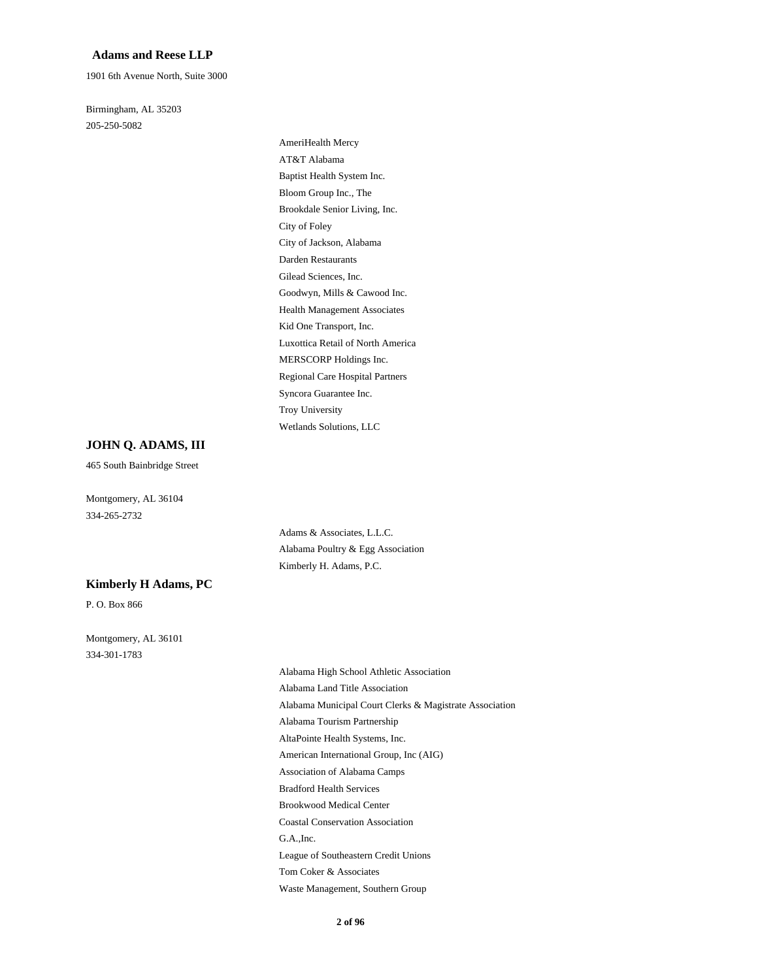#### **Adams and Reese LLP**

1901 6th Avenue North, Suite 3000

205-250-5082 Birmingham, AL 35203

> City of Jackson, Alabama City of Foley Gilead Sciences, Inc. Darden Restaurants Brookdale Senior Living, Inc. AT&T Alabama AmeriHealth Mercy Bloom Group Inc., The Baptist Health System Inc. Syncora Guarantee Inc. Regional Care Hospital Partners Wetlands Solutions, LLC Troy University MERSCORP Holdings Inc. Health Management Associates Goodwyn, Mills & Cawood Inc. Luxottica Retail of North America Kid One Transport, Inc.

#### **JOHN Q. ADAMS, III**

465 South Bainbridge Street

334-265-2732 Montgomery, AL 36104

> Adams & Associates, L.L.C. Alabama Poultry & Egg Association Kimberly H. Adams, P.C.

#### **Kimberly H Adams, PC**

P. O. Box 866

334-301-1783 Montgomery, AL 36101

> AltaPointe Health Systems, Inc. American International Group, Inc (AIG) Association of Alabama Camps Alabama Tourism Partnership Alabama High School Athletic Association Alabama Land Title Association Alabama Municipal Court Clerks & Magistrate Association League of Southeastern Credit Unions Tom Coker & Associates Waste Management, Southern Group G.A.,Inc. Bradford Health Services Brookwood Medical Center Coastal Conservation Association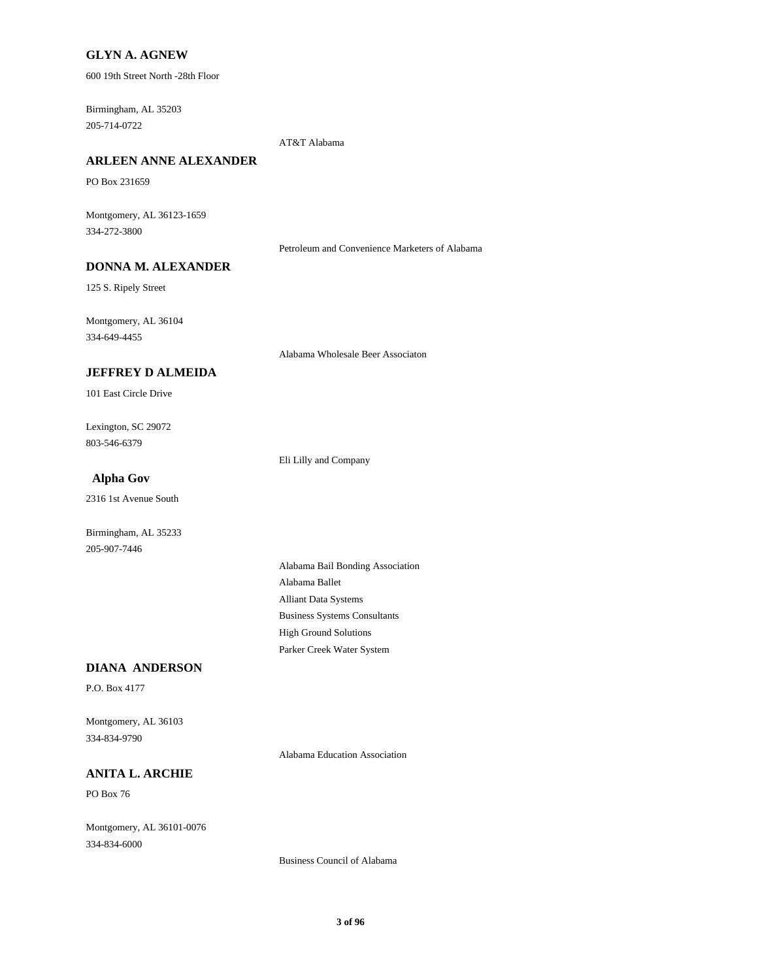### **GLYN A. AGNEW**

600 19th Street North -28th Floor

205-714-0722 Birmingham, AL 35203

AT&T Alabama

# **ARLEEN ANNE ALEXANDER**

PO Box 231659

334-272-3800 Montgomery, AL 36123-1659

Petroleum and Convenience Marketers of Alabama

# **DONNA M. ALEXANDER**

125 S. Ripely Street

334-649-4455 Montgomery, AL 36104

Alabama Wholesale Beer Associaton

### **JEFFREY D ALMEIDA**

101 East Circle Drive

803-546-6379 Lexington, SC 29072

Eli Lilly and Company

# **Alpha Gov**

2316 1st Avenue South

Birmingham, AL 35233 205-907-7446

> Alliant Data Systems Alabama Ballet Alabama Bail Bonding Association Parker Creek Water System High Ground Solutions Business Systems Consultants

#### **DIANA ANDERSON**

P.O. Box 4177

334-834-9790 Montgomery, AL 36103

Alabama Education Association

# **ANITA L. ARCHIE**

PO Box 76

334-834-6000 Montgomery, AL 36101-0076

Business Council of Alabama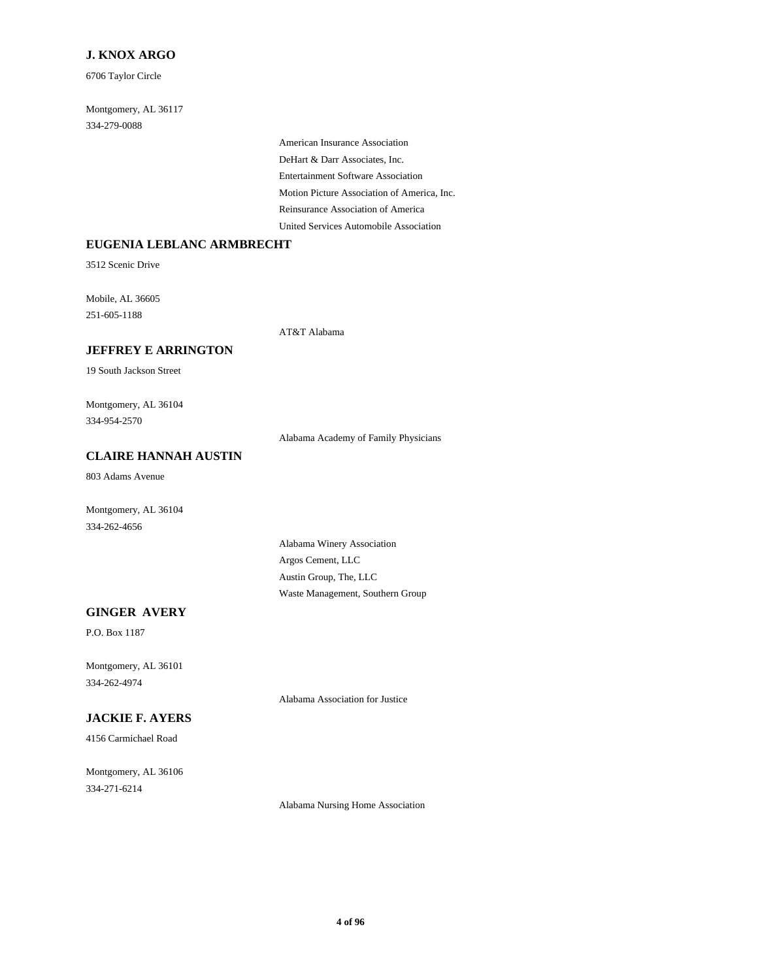### **J. KNOX ARGO**

6706 Taylor Circle

334-279-0088 Montgomery, AL 36117

> Entertainment Software Association DeHart & Darr Associates, Inc. American Insurance Association United Services Automobile Association Reinsurance Association of America Motion Picture Association of America, Inc.

### **EUGENIA LEBLANC ARMBRECHT**

3512 Scenic Drive

251-605-1188 Mobile, AL 36605

AT&T Alabama

# **JEFFREY E ARRINGTON**

19 South Jackson Street

334-954-2570 Montgomery, AL 36104

Alabama Academy of Family Physicians

# **CLAIRE HANNAH AUSTIN**

803 Adams Avenue

334-262-4656 Montgomery, AL 36104

> Argos Cement, LLC Alabama Winery Association Waste Management, Southern Group Austin Group, The, LLC

### **GINGER AVERY**

P.O. Box 1187

334-262-4974 Montgomery, AL 36101

Alabama Association for Justice

# **JACKIE F. AYERS**

4156 Carmichael Road

334-271-6214 Montgomery, AL 36106

Alabama Nursing Home Association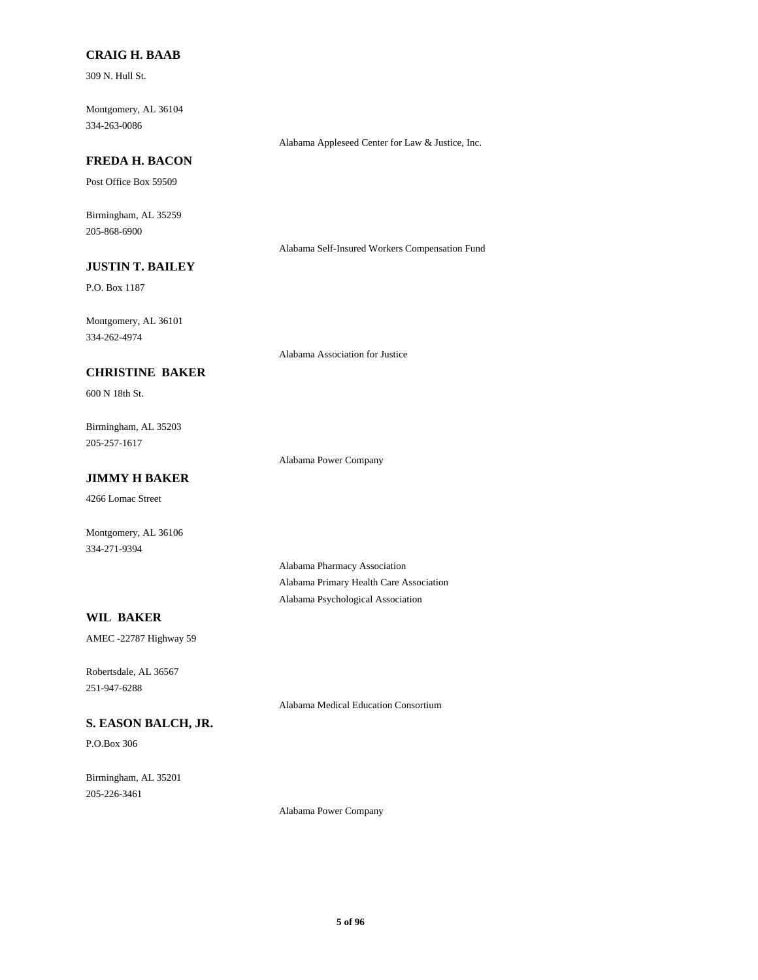#### **CRAIG H. BAAB**

309 N. Hull St.

334-263-0086 Montgomery, AL 36104

#### Alabama Appleseed Center for Law & Justice, Inc.

# **FREDA H. BACON**

Post Office Box 59509

205-868-6900 Birmingham, AL 35259

Alabama Self-Insured Workers Compensation Fund

# **JUSTIN T. BAILEY**

P.O. Box 1187

334-262-4974 Montgomery, AL 36101

Alabama Association for Justice

# **CHRISTINE BAKER**

600 N 18th St.

205-257-1617 Birmingham, AL 35203

Alabama Power Company

# **JIMMY H BAKER**

4266 Lomac Street

334-271-9394 Montgomery, AL 36106

> Alabama Pharmacy Association Alabama Primary Health Care Association Alabama Psychological Association

### **WIL BAKER**

AMEC -22787 Highway 59

251-947-6288 Robertsdale, AL 36567

Alabama Medical Education Consortium

# **S. EASON BALCH, JR.**

P.O.Box 306

205-226-3461 Birmingham, AL 35201

Alabama Power Company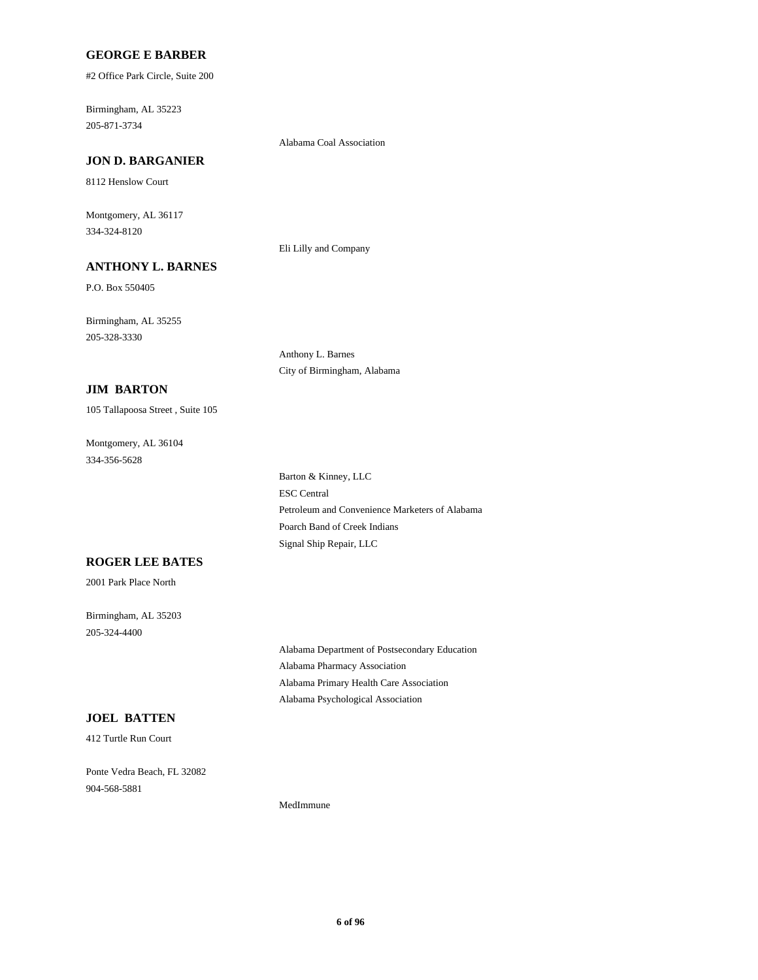#### **GEORGE E BARBER**

#2 Office Park Circle, Suite 200

205-871-3734 Birmingham, AL 35223

#### Alabama Coal Association

Eli Lilly and Company

# **JON D. BARGANIER**

8112 Henslow Court

334-324-8120 Montgomery, AL 36117

### **ANTHONY L. BARNES**

P.O. Box 550405

205-328-3330 Birmingham, AL 35255

> Anthony L. Barnes City of Birmingham, Alabama

### **JIM BARTON**

105 Tallapoosa Street , Suite 105

334-356-5628 Montgomery, AL 36104

> Petroleum and Convenience Marketers of Alabama Poarch Band of Creek Indians Signal Ship Repair, LLC ESC Central Barton & Kinney, LLC

#### **ROGER LEE BATES**

2001 Park Place North

205-324-4400 Birmingham, AL 35203

> Alabama Pharmacy Association Alabama Department of Postsecondary Education Alabama Psychological Association Alabama Primary Health Care Association

# **JOEL BATTEN**

412 Turtle Run Court

904-568-5881 Ponte Vedra Beach, FL 32082

MedImmune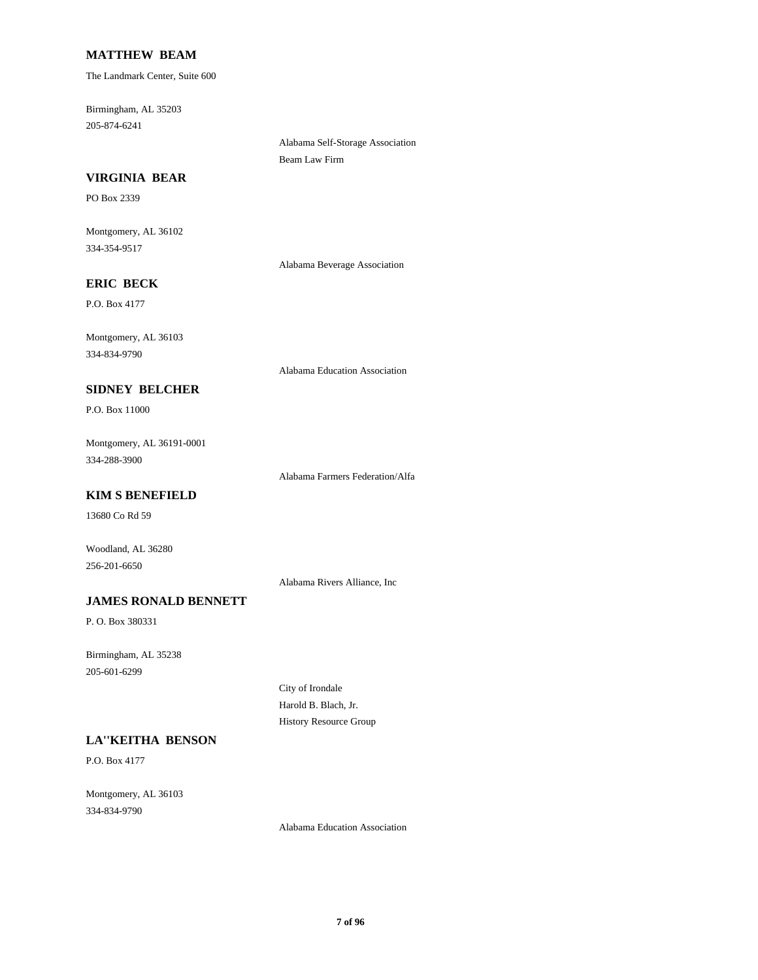### **MATTHEW BEAM**

The Landmark Center, Suite 600

205-874-6241 Birmingham, AL 35203

> Alabama Self-Storage Association Beam Law Firm

### **VIRGINIA BEAR**

PO Box 2339

334-354-9517 Montgomery, AL 36102

Alabama Beverage Association

# **ERIC BECK**

P.O. Box 4177

334-834-9790 Montgomery, AL 36103

Alabama Education Association

# P.O. Box 11000

334-288-3900 Montgomery, AL 36191-0001

**SIDNEY BELCHER**

Alabama Farmers Federation/Alfa

# **KIM S BENEFIELD**

13680 Co Rd 59

256-201-6650 Woodland, AL 36280

Alabama Rivers Alliance, Inc

#### **JAMES RONALD BENNETT**

P. O. Box 380331

205-601-6299 Birmingham, AL 35238

> City of Irondale Harold B. Blach, Jr. History Resource Group

# **LA''KEITHA BENSON**

P.O. Box 4177

334-834-9790 Montgomery, AL 36103

Alabama Education Association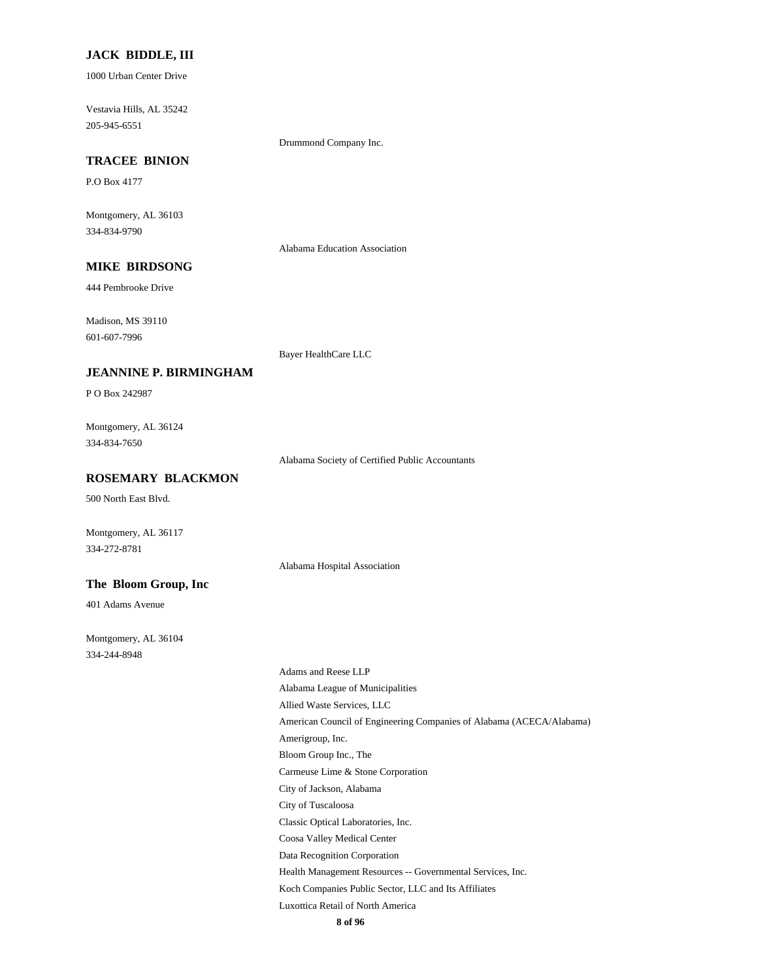#### **JACK BIDDLE, III**

1000 Urban Center Drive

205-945-6551 Vestavia Hills, AL 35242

Drummond Company Inc.

# **TRACEE BINION**

P.O Box 4177

334-834-9790 Montgomery, AL 36103

Alabama Education Association

# **MIKE BIRDSONG**

444 Pembrooke Drive

601-607-7996 Madison, MS 39110

Bayer HealthCare LLC

#### **JEANNINE P. BIRMINGHAM**

P O Box 242987

334-834-7650 Montgomery, AL 36124

Alabama Society of Certified Public Accountants

# **ROSEMARY BLACKMON**

500 North East Blvd.

Montgomery, AL 36117 334-272-8781

Alabama Hospital Association

### **The Bloom Group, Inc**

401 Adams Avenue

334-244-8948 Montgomery, AL 36104

> Bloom Group Inc., The Amerigroup, Inc. City of Jackson, Alabama Carmeuse Lime & Stone Corporation Alabama League of Municipalities Adams and Reese LLP American Council of Engineering Companies of Alabama (ACECA/Alabama) Allied Waste Services, LLC City of Tuscaloosa Luxottica Retail of North America Koch Companies Public Sector, LLC and Its Affiliates Coosa Valley Medical Center Classic Optical Laboratories, Inc. Health Management Resources -- Governmental Services, Inc. Data Recognition Corporation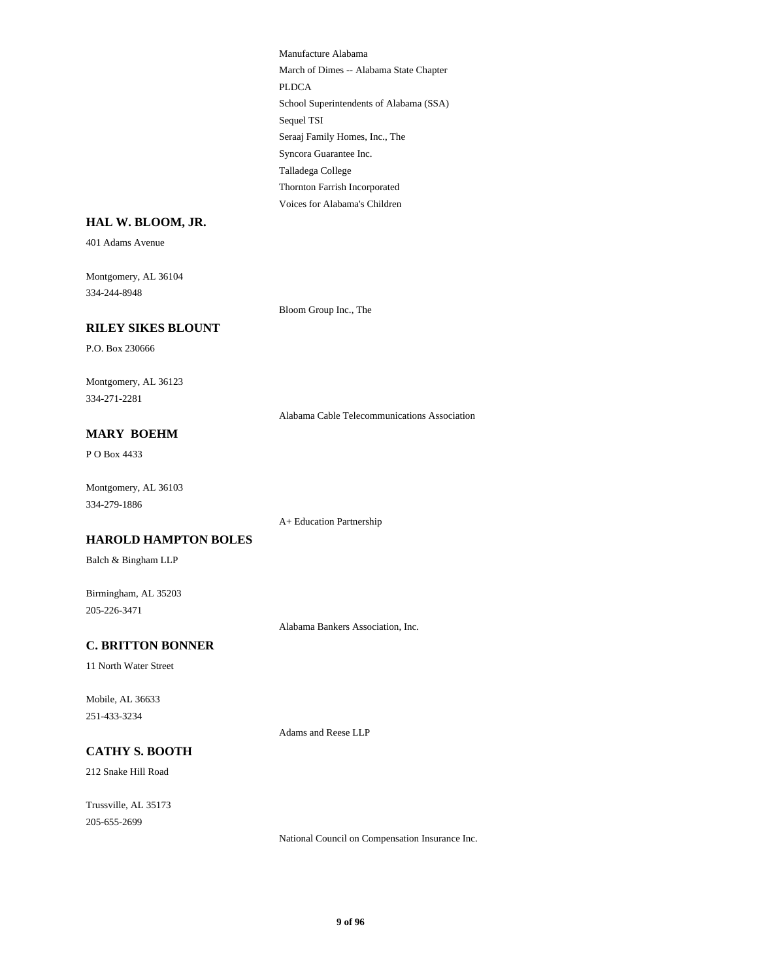School Superintendents of Alabama (SSA) Sequel TSI PLDCA Manufacture Alabama March of Dimes -- Alabama State Chapter Thornton Farrish Incorporated Voices for Alabama's Children Talladega College Seraaj Family Homes, Inc., The Syncora Guarantee Inc.

#### **HAL W. BLOOM, JR.**

401 Adams Avenue

334-244-8948 Montgomery, AL 36104

Bloom Group Inc., The

# **RILEY SIKES BLOUNT**

P.O. Box 230666

334-271-2281 Montgomery, AL 36123

Alabama Cable Telecommunications Association

# **MARY BOEHM**

P O Box 4433

334-279-1886 Montgomery, AL 36103

A+ Education Partnership

#### **HAROLD HAMPTON BOLES**

Balch & Bingham LLP

205-226-3471 Birmingham, AL 35203

Alabama Bankers Association, Inc.

# **C. BRITTON BONNER**

11 North Water Street

251-433-3234 Mobile, AL 36633

Adams and Reese LLP

### **CATHY S. BOOTH**

212 Snake Hill Road

205-655-2699 Trussville, AL 35173

National Council on Compensation Insurance Inc.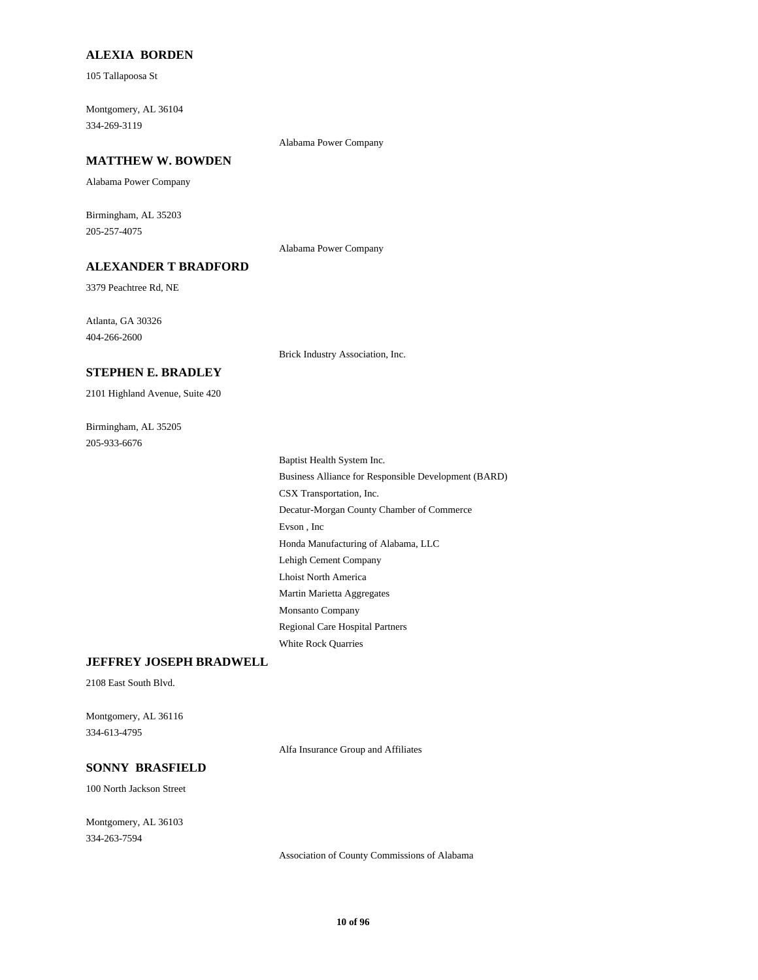#### **ALEXIA BORDEN**

105 Tallapoosa St

334-269-3119 Montgomery, AL 36104

Alabama Power Company

#### **MATTHEW W. BOWDEN**

Alabama Power Company

205-257-4075 Birmingham, AL 35203

Alabama Power Company

# **ALEXANDER T BRADFORD**

3379 Peachtree Rd, NE

404-266-2600 Atlanta, GA 30326

Brick Industry Association, Inc.

#### **STEPHEN E. BRADLEY**

2101 Highland Avenue, Suite 420

205-933-6676 Birmingham, AL 35205

> Lehigh Cement Company Lhoist North America Evson , Inc Honda Manufacturing of Alabama, LLC Regional Care Hospital Partners White Rock Quarries Martin Marietta Aggregates Monsanto Company Decatur-Morgan County Chamber of Commerce Baptist Health System Inc. Business Alliance for Responsible Development (BARD) CSX Transportation, Inc.

#### **JEFFREY JOSEPH BRADWELL**

2108 East South Blvd.

334-613-4795 Montgomery, AL 36116

Alfa Insurance Group and Affiliates

# **SONNY BRASFIELD**

100 North Jackson Street

334-263-7594 Montgomery, AL 36103

Association of County Commissions of Alabama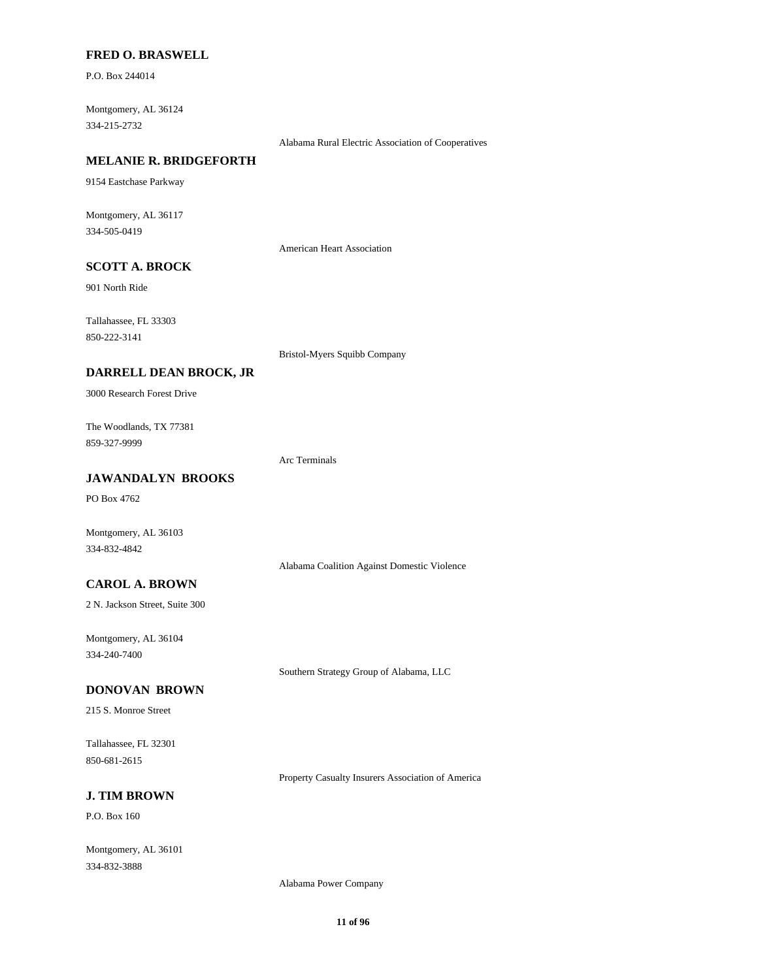#### **FRED O. BRASWELL**

P.O. Box 244014

334-215-2732 Montgomery, AL 36124

Alabama Rural Electric Association of Cooperatives

# **MELANIE R. BRIDGEFORTH**

9154 Eastchase Parkway

334-505-0419 Montgomery, AL 36117

American Heart Association

# **SCOTT A. BROCK**

901 North Ride

850-222-3141 Tallahassee, FL 33303

Bristol-Myers Squibb Company

### **DARRELL DEAN BROCK, JR**

3000 Research Forest Drive

859-327-9999 The Woodlands, TX 77381

Arc Terminals

# **JAWANDALYN BROOKS**

PO Box 4762

Montgomery, AL 36103 334-832-4842

Alabama Coalition Against Domestic Violence

### **CAROL A. BROWN**

2 N. Jackson Street, Suite 300

334-240-7400 Montgomery, AL 36104

Southern Strategy Group of Alabama, LLC

#### **DONOVAN BROWN**

215 S. Monroe Street

850-681-2615 Tallahassee, FL 32301

Property Casualty Insurers Association of America

# **J. TIM BROWN**

P.O. Box 160

334-832-3888 Montgomery, AL 36101

Alabama Power Company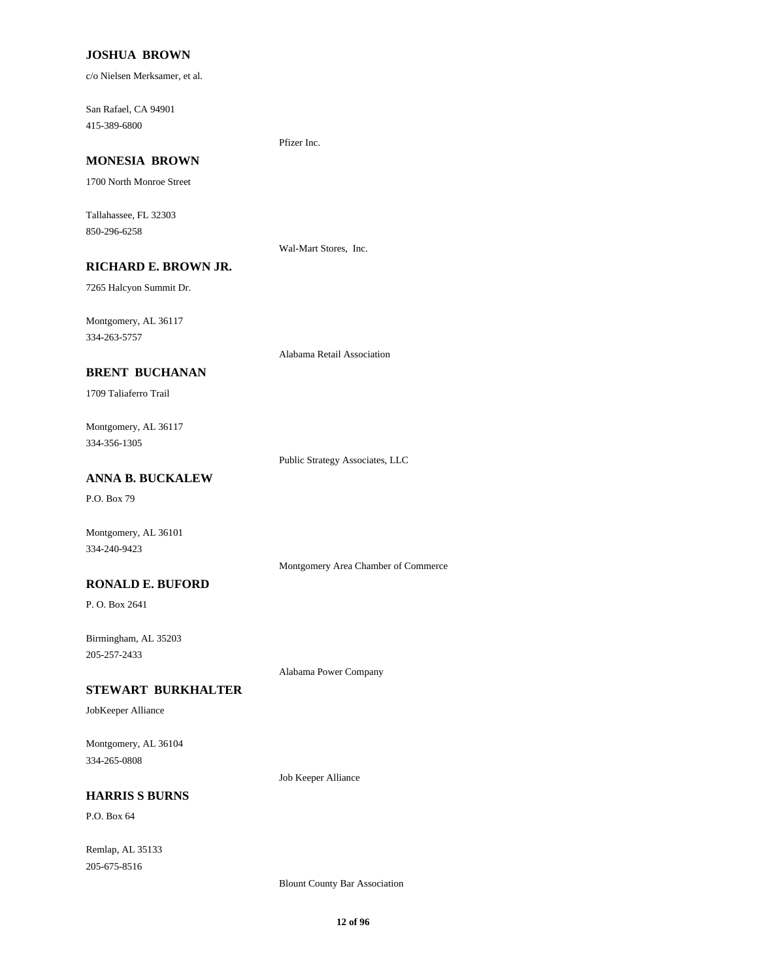#### **JOSHUA BROWN**

c/o Nielsen Merksamer, et al.

415-389-6800 San Rafael, CA 94901

# Pfizer Inc.

**MONESIA BROWN**

1700 North Monroe Street

850-296-6258 Tallahassee, FL 32303

Wal-Mart Stores, Inc.

# **RICHARD E. BROWN JR.**

7265 Halcyon Summit Dr.

334-263-5757 Montgomery, AL 36117

Alabama Retail Association

### **BRENT BUCHANAN**

1709 Taliaferro Trail

334-356-1305 Montgomery, AL 36117

Public Strategy Associates, LLC

### **ANNA B. BUCKALEW**

P.O. Box 79

Montgomery, AL 36101 334-240-9423

Montgomery Area Chamber of Commerce

### **RONALD E. BUFORD**

P. O. Box 2641

205-257-2433 Birmingham, AL 35203

Alabama Power Company

#### **STEWART BURKHALTER**

JobKeeper Alliance

334-265-0808 Montgomery, AL 36104

Job Keeper Alliance

# **HARRIS S BURNS**

P.O. Box 64

205-675-8516 Remlap, AL 35133

Blount County Bar Association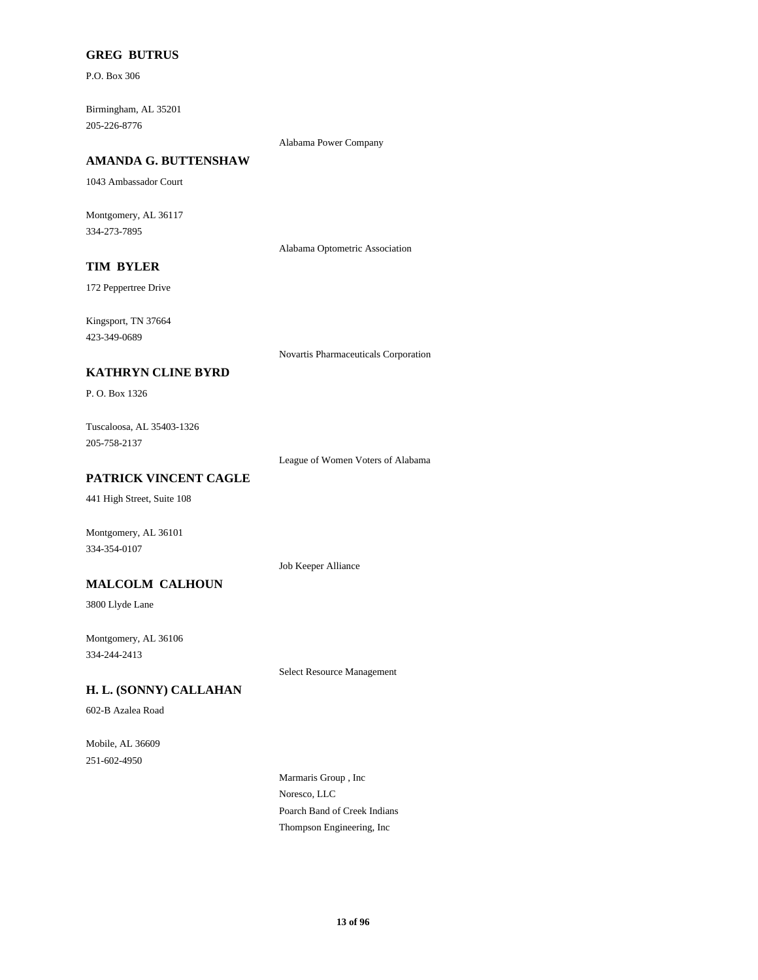### **GREG BUTRUS**

P.O. Box 306

205-226-8776 Birmingham, AL 35201

Alabama Power Company

# **AMANDA G. BUTTENSHAW**

1043 Ambassador Court

334-273-7895 Montgomery, AL 36117

Alabama Optometric Association

# **TIM BYLER**

172 Peppertree Drive

423-349-0689 Kingsport, TN 37664

Novartis Pharmaceuticals Corporation

### **KATHRYN CLINE BYRD**

P. O. Box 1326

205-758-2137 Tuscaloosa, AL 35403-1326

League of Women Voters of Alabama

### **PATRICK VINCENT CAGLE**

441 High Street, Suite 108

Montgomery, AL 36101 334-354-0107

Job Keeper Alliance

### **MALCOLM CALHOUN**

3800 Llyde Lane

334-244-2413 Montgomery, AL 36106

Select Resource Management

### **H. L. (SONNY) CALLAHAN**

602-B Azalea Road

251-602-4950 Mobile, AL 36609

> Noresco, LLC Marmaris Group , Inc Thompson Engineering, Inc Poarch Band of Creek Indians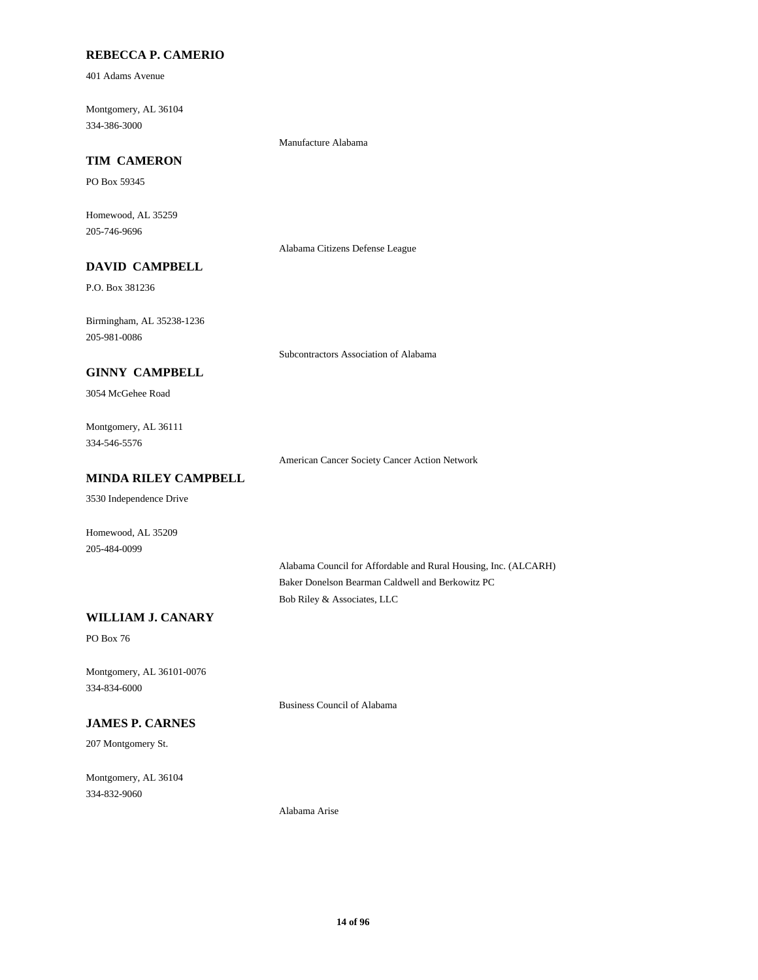### **REBECCA P. CAMERIO**

401 Adams Avenue

334-386-3000 Montgomery, AL 36104

Manufacture Alabama

# **TIM CAMERON**

PO Box 59345

205-746-9696 Homewood, AL 35259

Alabama Citizens Defense League

# **DAVID CAMPBELL**

P.O. Box 381236

205-981-0086 Birmingham, AL 35238-1236

Subcontractors Association of Alabama

## **GINNY CAMPBELL**

3054 McGehee Road

334-546-5576 Montgomery, AL 36111

American Cancer Society Cancer Action Network

# **MINDA RILEY CAMPBELL**

3530 Independence Drive

205-484-0099 Homewood, AL 35209

> Alabama Council for Affordable and Rural Housing, Inc. (ALCARH) Baker Donelson Bearman Caldwell and Berkowitz PC Bob Riley & Associates, LLC

## **WILLIAM J. CANARY**

PO Box 76

334-834-6000 Montgomery, AL 36101-0076

Business Council of Alabama

# **JAMES P. CARNES**

207 Montgomery St.

334-832-9060 Montgomery, AL 36104

Alabama Arise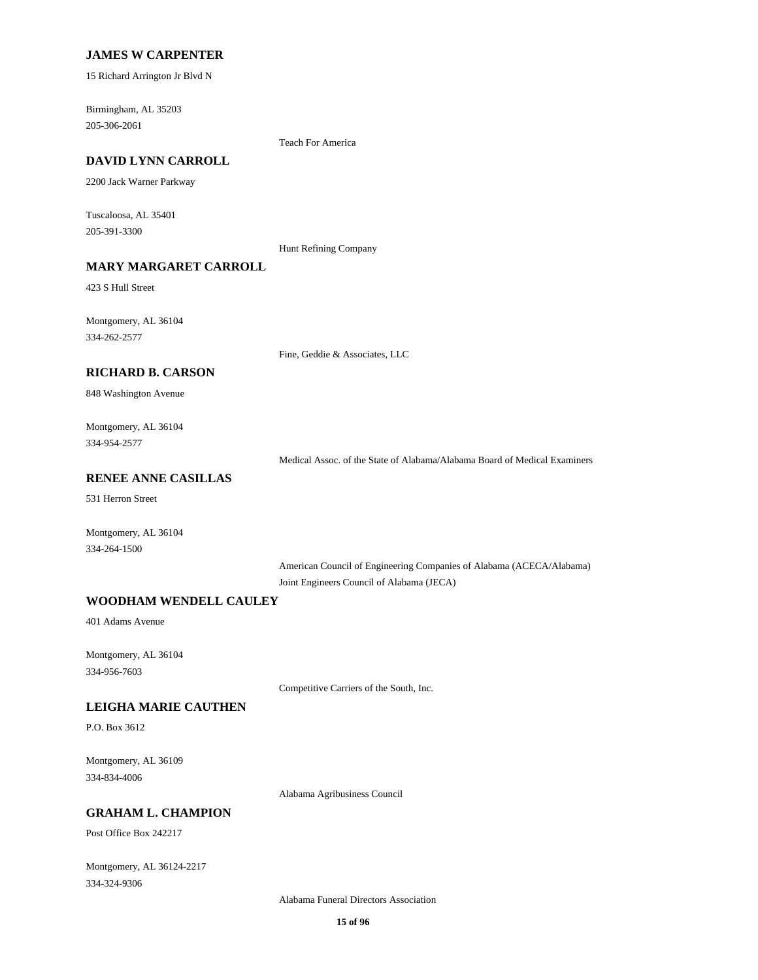#### **JAMES W CARPENTER**

15 Richard Arrington Jr Blvd N

205-306-2061 Birmingham, AL 35203

Teach For America

# **DAVID LYNN CARROLL**

2200 Jack Warner Parkway

205-391-3300 Tuscaloosa, AL 35401

Hunt Refining Company

# **MARY MARGARET CARROLL**

423 S Hull Street

334-262-2577 Montgomery, AL 36104

Fine, Geddie & Associates, LLC

#### **RICHARD B. CARSON**

848 Washington Avenue

334-954-2577 Montgomery, AL 36104

Medical Assoc. of the State of Alabama/Alabama Board of Medical Examiners

### **RENEE ANNE CASILLAS**

531 Herron Street

Montgomery, AL 36104 334-264-1500

> American Council of Engineering Companies of Alabama (ACECA/Alabama) Joint Engineers Council of Alabama (JECA)

#### **WOODHAM WENDELL CAULEY**

401 Adams Avenue

334-956-7603 Montgomery, AL 36104

Competitive Carriers of the South, Inc.

#### **LEIGHA MARIE CAUTHEN**

P.O. Box 3612

334-834-4006 Montgomery, AL 36109

Alabama Agribusiness Council

#### **GRAHAM L. CHAMPION**

Post Office Box 242217

334-324-9306 Montgomery, AL 36124-2217

Alabama Funeral Directors Association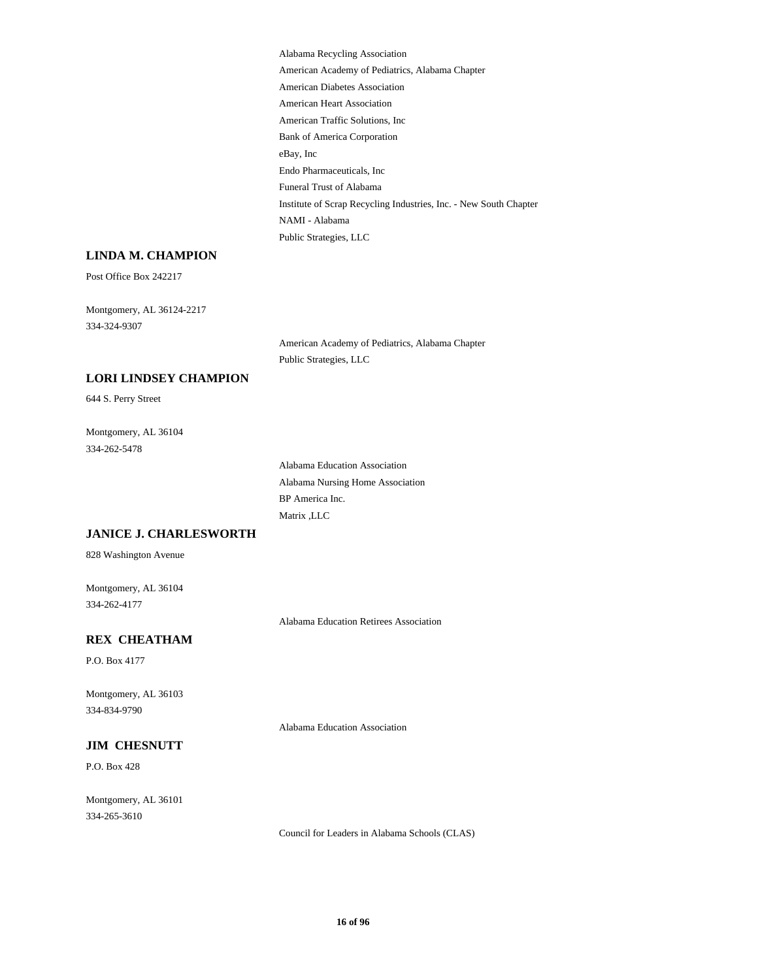American Heart Association American Traffic Solutions, Inc Bank of America Corporation Alabama Recycling Association American Academy of Pediatrics, Alabama Chapter American Diabetes Association Institute of Scrap Recycling Industries, Inc. - New South Chapter NAMI - Alabama Public Strategies, LLC eBay, Inc Endo Pharmaceuticals, Inc Funeral Trust of Alabama

### **LINDA M. CHAMPION**

Post Office Box 242217

334-324-9307 Montgomery, AL 36124-2217

> American Academy of Pediatrics, Alabama Chapter Public Strategies, LLC

# **LORI LINDSEY CHAMPION**

644 S. Perry Street

334-262-5478 Montgomery, AL 36104

> BP America Inc. Matrix ,LLC Alabama Education Association Alabama Nursing Home Association

#### **JANICE J. CHARLESWORTH**

828 Washington Avenue

334-262-4177 Montgomery, AL 36104

Alabama Education Retirees Association

Alabama Education Association

### **REX CHEATHAM**

P.O. Box 4177

334-834-9790 Montgomery, AL 36103

#### **JIM CHESNUTT**

P.O. Box 428

334-265-3610 Montgomery, AL 36101

Council for Leaders in Alabama Schools (CLAS)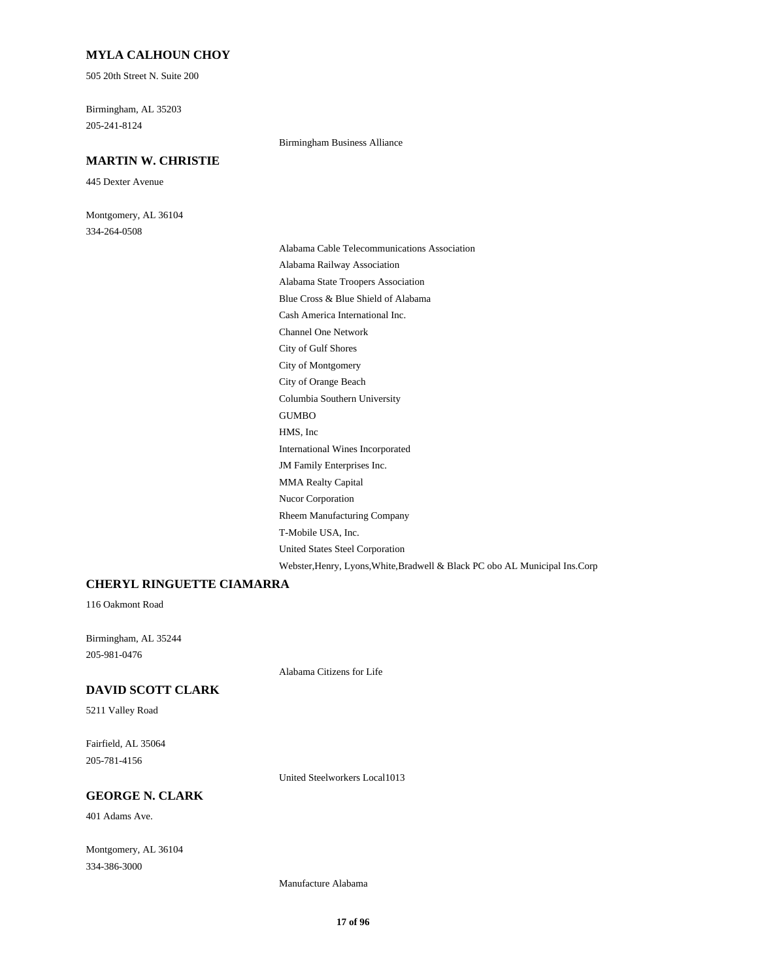#### **MYLA CALHOUN CHOY**

505 20th Street N. Suite 200

205-241-8124 Birmingham, AL 35203

### **MARTIN W. CHRISTIE**

445 Dexter Avenue

334-264-0508 Montgomery, AL 36104 Birmingham Business Alliance

T-Mobile USA, Inc. United States Steel Corporation Webster,Henry, Lyons,White,Bradwell & Black PC obo AL Municipal Ins.Corp Rheem Manufacturing Company Channel One Network Cash America International Inc. City of Montgomery City of Gulf Shores Alabama Railway Association Alabama Cable Telecommunications Association Blue Cross & Blue Shield of Alabama Alabama State Troopers Association JM Family Enterprises Inc. International Wines Incorporated Nucor Corporation MMA Realty Capital Columbia Southern University City of Orange Beach HMS, Inc GUMBO

#### **CHERYL RINGUETTE CIAMARRA**

116 Oakmont Road

205-981-0476 Birmingham, AL 35244

Alabama Citizens for Life

#### **DAVID SCOTT CLARK**

5211 Valley Road

205-781-4156 Fairfield, AL 35064

United Steelworkers Local1013

# **GEORGE N. CLARK**

401 Adams Ave.

334-386-3000 Montgomery, AL 36104

Manufacture Alabama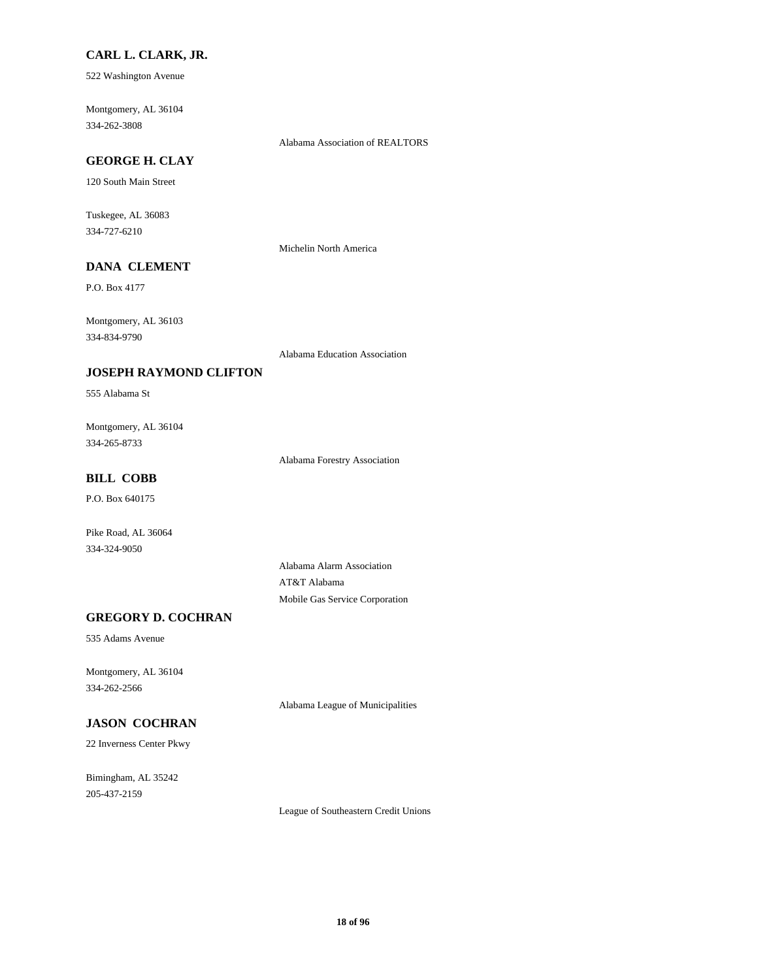#### **CARL L. CLARK, JR.**

522 Washington Avenue

334-262-3808 Montgomery, AL 36104

Alabama Association of REALTORS

# **GEORGE H. CLAY**

120 South Main Street

334-727-6210 Tuskegee, AL 36083

Michelin North America

# **DANA CLEMENT**

P.O. Box 4177

334-834-9790 Montgomery, AL 36103

Alabama Education Association

#### **JOSEPH RAYMOND CLIFTON**

555 Alabama St

334-265-8733 Montgomery, AL 36104

Alabama Forestry Association

# **BILL COBB**

P.O. Box 640175

Pike Road, AL 36064 334-324-9050

> Alabama Alarm Association AT&T Alabama Mobile Gas Service Corporation

# **GREGORY D. COCHRAN**

535 Adams Avenue

334-262-2566 Montgomery, AL 36104

Alabama League of Municipalities

# **JASON COCHRAN**

22 Inverness Center Pkwy

205-437-2159 Bimingham, AL 35242

League of Southeastern Credit Unions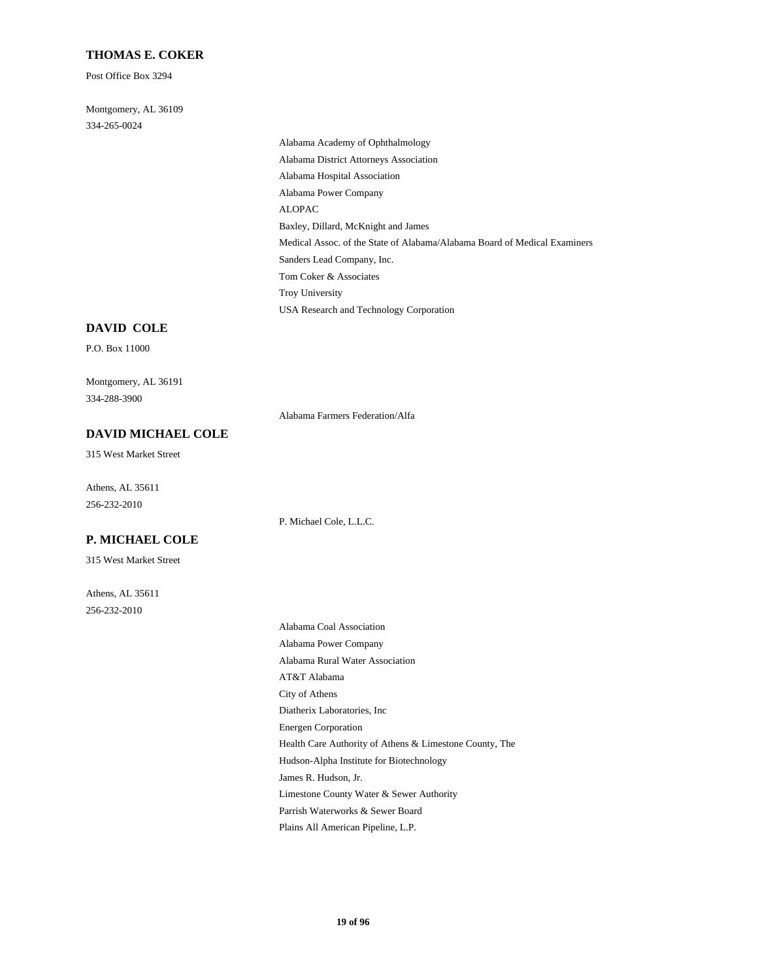#### **THOMAS E. COKER**

Post Office Box 3294

334-265-0024 Montgomery, AL 36109

> Alabama Power Company ALOPAC Alabama Hospital Association Alabama Academy of Ophthalmology Alabama District Attorneys Association Baxley, Dillard, McKnight and James Troy University USA Research and Technology Corporation Tom Coker & Associates Medical Assoc. of the State of Alabama/Alabama Board of Medical Examiners Sanders Lead Company, Inc.

#### **DAVID COLE**

P.O. Box 11000

334-288-3900 Montgomery, AL 36191

Alabama Farmers Federation/Alfa

# **DAVID MICHAEL COLE**

315 West Market Street

256-232-2010 Athens, AL 35611

P. Michael Cole, L.L.C.

# **P. MICHAEL COLE**

315 West Market Street

256-232-2010 Athens, AL 35611

> AT&T Alabama City of Athens Diatherix Laboratories, Inc Alabama Coal Association Alabama Power Company Alabama Rural Water Association Energen Corporation Limestone County Water & Sewer Authority Parrish Waterworks & Sewer Board Plains All American Pipeline, L.P. Health Care Authority of Athens & Limestone County, The Hudson-Alpha Institute for Biotechnology James R. Hudson, Jr.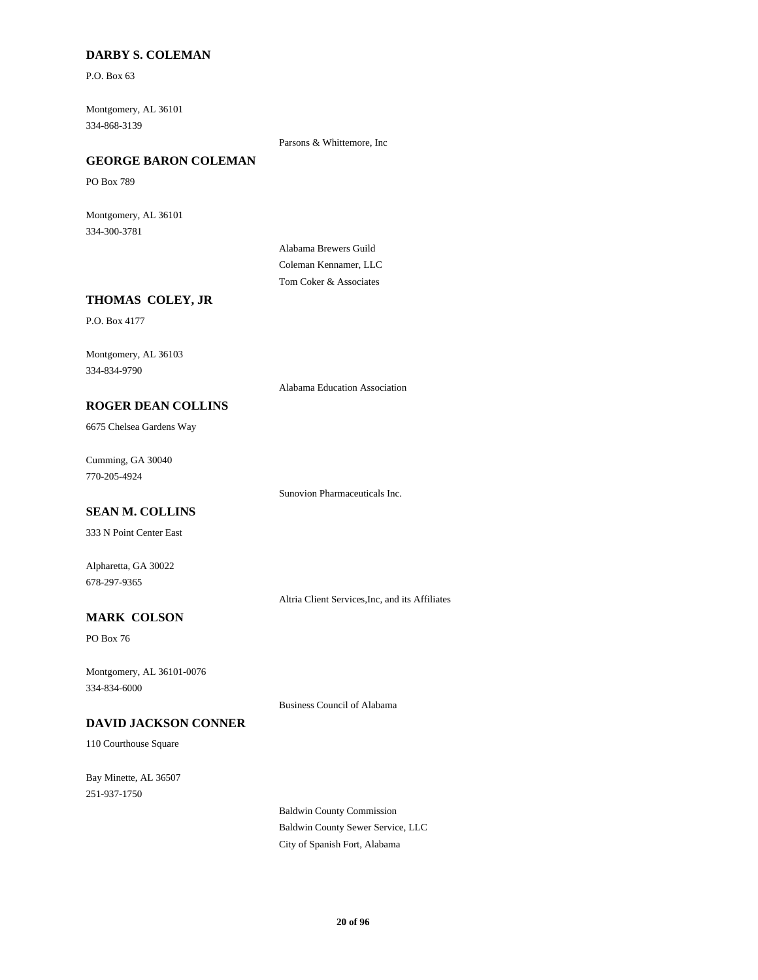### **DARBY S. COLEMAN**

P.O. Box 63

334-868-3139 Montgomery, AL 36101

Parsons & Whittemore, Inc

# **GEORGE BARON COLEMAN**

PO Box 789

334-300-3781 Montgomery, AL 36101

> Alabama Brewers Guild Coleman Kennamer, LLC Tom Coker & Associates

#### **THOMAS COLEY, JR**

P.O. Box 4177

334-834-9790 Montgomery, AL 36103

Alabama Education Association

#### **ROGER DEAN COLLINS**

6675 Chelsea Gardens Way

770-205-4924 Cumming, GA 30040

Sunovion Pharmaceuticals Inc.

# **SEAN M. COLLINS**

333 N Point Center East

678-297-9365 Alpharetta, GA 30022

Altria Client Services,Inc, and its Affiliates

# **MARK COLSON**

PO Box 76

334-834-6000 Montgomery, AL 36101-0076

Business Council of Alabama

# **DAVID JACKSON CONNER**

110 Courthouse Square

251-937-1750 Bay Minette, AL 36507

> Baldwin County Commission Baldwin County Sewer Service, LLC City of Spanish Fort, Alabama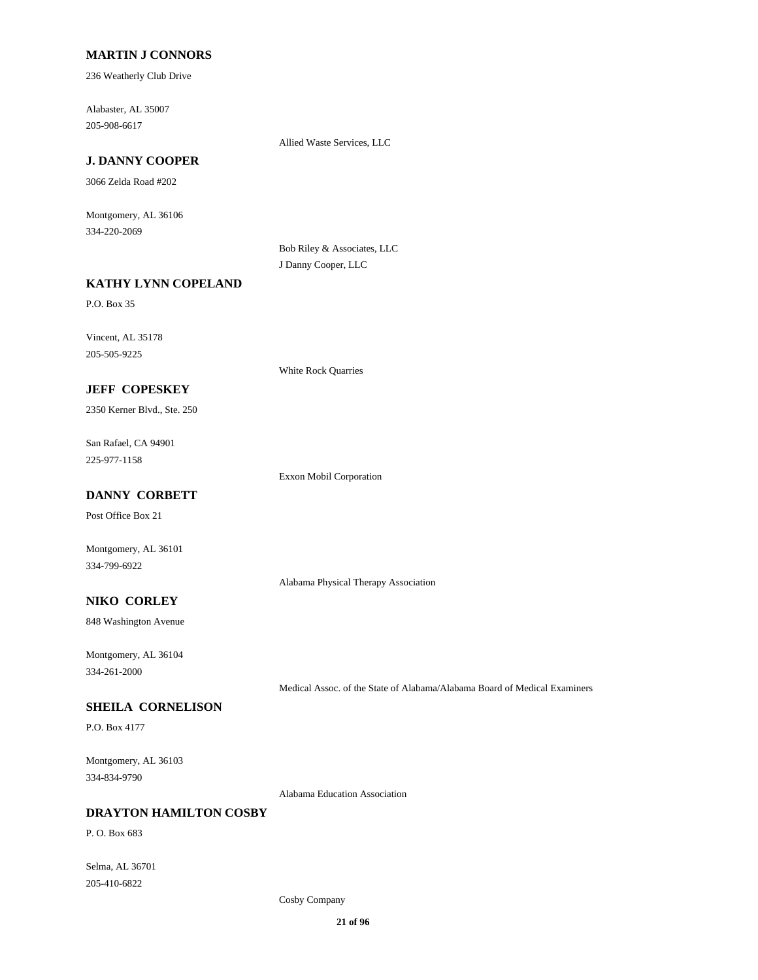### **MARTIN J CONNORS**

236 Weatherly Club Drive

205-908-6617 Alabaster, AL 35007

Allied Waste Services, LLC

# **J. DANNY COOPER**

3066 Zelda Road #202

334-220-2069 Montgomery, AL 36106

> Bob Riley & Associates, LLC J Danny Cooper, LLC

# **KATHY LYNN COPELAND**

P.O. Box 35

205-505-9225 Vincent, AL 35178

White Rock Quarries

# **JEFF COPESKEY**

2350 Kerner Blvd., Ste. 250

225-977-1158 San Rafael, CA 94901

Exxon Mobil Corporation

# **DANNY CORBETT**

Post Office Box 21

334-799-6922 Montgomery, AL 36101

Alabama Physical Therapy Association

#### **NIKO CORLEY**

848 Washington Avenue

334-261-2000 Montgomery, AL 36104

Medical Assoc. of the State of Alabama/Alabama Board of Medical Examiners

### **SHEILA CORNELISON**

P.O. Box 4177

334-834-9790 Montgomery, AL 36103

Alabama Education Association

#### **DRAYTON HAMILTON COSBY**

P. O. Box 683

205-410-6822 Selma, AL 36701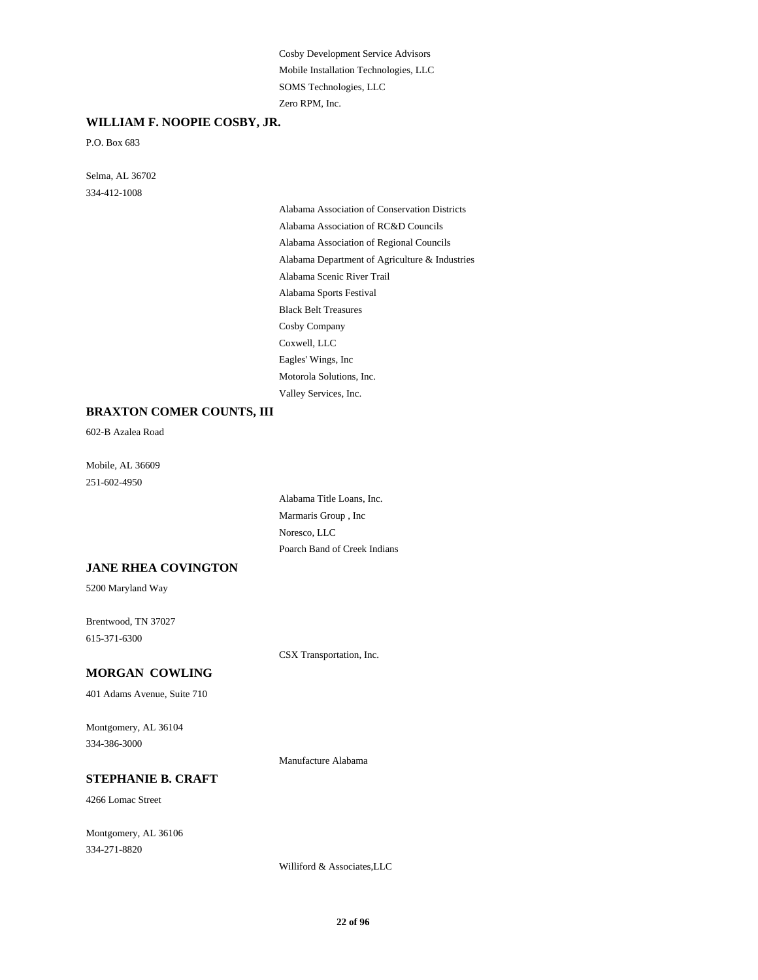Mobile Installation Technologies, LLC Cosby Development Service Advisors Zero RPM, Inc. SOMS Technologies, LLC

#### **WILLIAM F. NOOPIE COSBY, JR.**

P.O. Box 683

334-412-1008 Selma, AL 36702

> Alabama Department of Agriculture & Industries Alabama Scenic River Trail Alabama Sports Festival Alabama Association of Conservation Districts Alabama Association of RC&D Councils Alabama Association of Regional Councils Eagles' Wings, Inc Motorola Solutions, Inc. Valley Services, Inc. Black Belt Treasures Cosby Company Coxwell, LLC

### **BRAXTON COMER COUNTS, III**

602-B Azalea Road

251-602-4950 Mobile, AL 36609

> Marmaris Group , Inc Noresco, LLC Poarch Band of Creek Indians Alabama Title Loans, Inc.

#### **JANE RHEA COVINGTON**

5200 Maryland Way

615-371-6300 Brentwood, TN 37027

CSX Transportation, Inc.

# **MORGAN COWLING**

401 Adams Avenue, Suite 710

334-386-3000 Montgomery, AL 36104

Manufacture Alabama

# **STEPHANIE B. CRAFT**

4266 Lomac Street

334-271-8820 Montgomery, AL 36106

Williford & Associates,LLC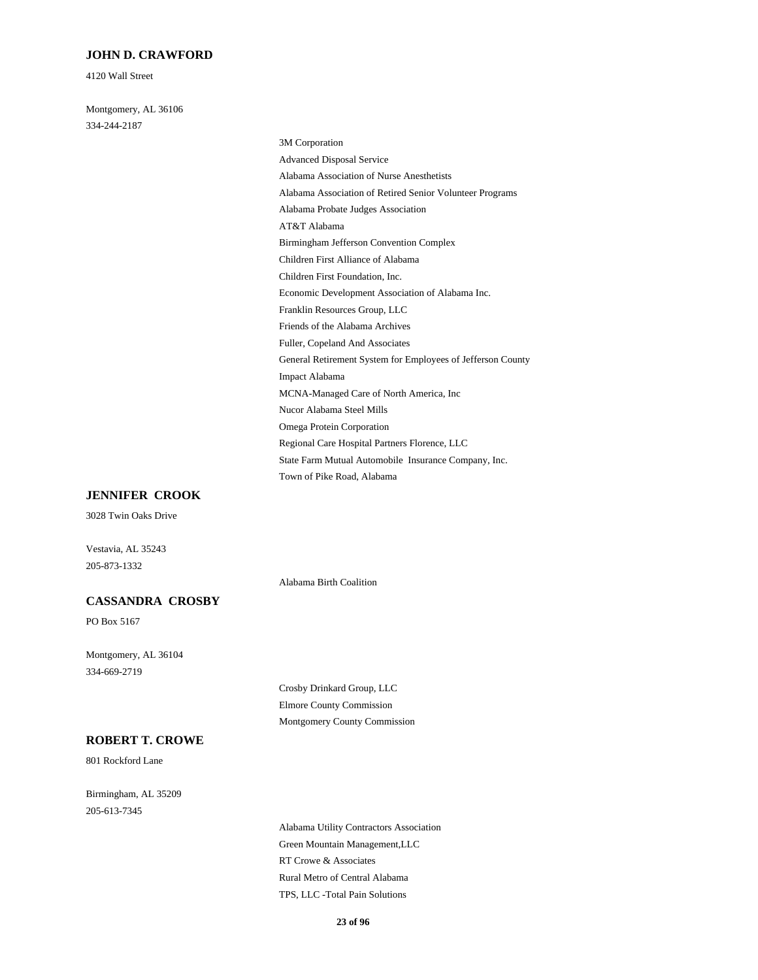#### **JOHN D. CRAWFORD**

4120 Wall Street

334-244-2187 Montgomery, AL 36106

# Birmingham Jefferson Convention Complex AT&T Alabama Children First Alliance of Alabama Economic Development Association of Alabama Inc. Children First Foundation, Inc. Advanced Disposal Service 3M Corporation Alabama Association of Nurse Anesthetists Alabama Probate Judges Association Alabama Association of Retired Senior Volunteer Programs Franklin Resources Group, LLC Omega Protein Corporation Nucor Alabama Steel Mills Regional Care Hospital Partners Florence, LLC Town of Pike Road, Alabama State Farm Mutual Automobile Insurance Company, Inc. Fuller, Copeland And Associates Friends of the Alabama Archives General Retirement System for Employees of Jefferson County MCNA-Managed Care of North America, Inc Impact Alabama

### **JENNIFER CROOK**

3028 Twin Oaks Drive

Vestavia, AL 35243 205-873-1332

#### **CASSANDRA CROSBY**

PO Box 5167

334-669-2719 Montgomery, AL 36104

#### **ROBERT T. CROWE**

801 Rockford Lane

205-613-7345 Birmingham, AL 35209 Crosby Drinkard Group, LLC Elmore County Commission Montgomery County Commission

Alabama Birth Coalition

Green Mountain Management,LLC Alabama Utility Contractors Association RT Crowe & Associates TPS, LLC -Total Pain Solutions Rural Metro of Central Alabama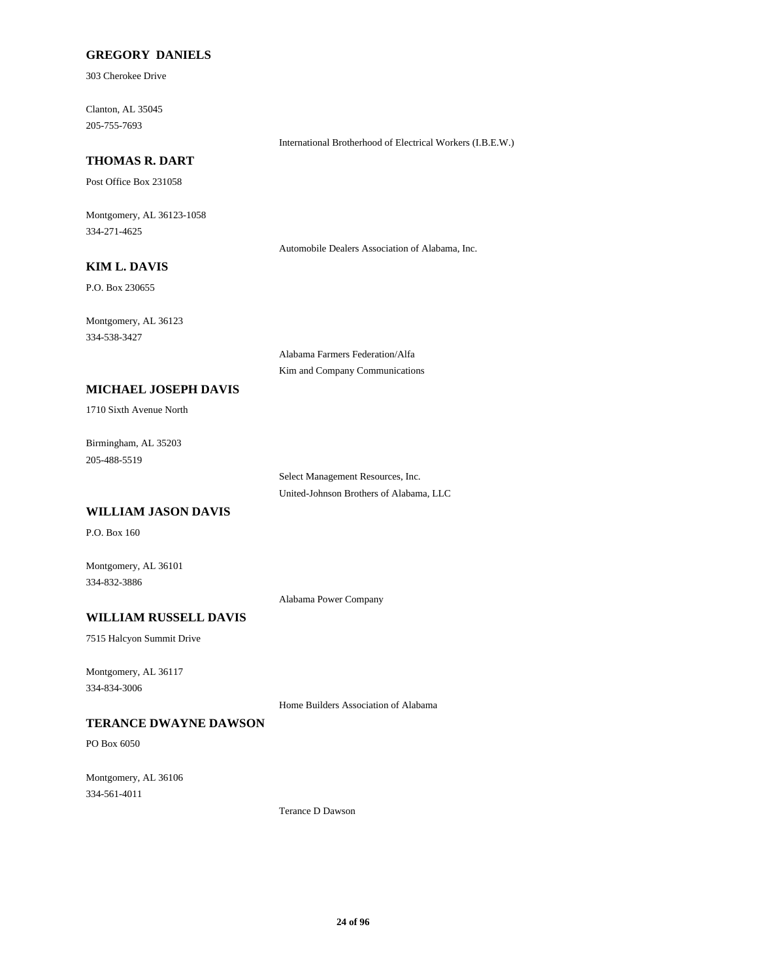### **GREGORY DANIELS**

303 Cherokee Drive

205-755-7693 Clanton, AL 35045

#### International Brotherhood of Electrical Workers (I.B.E.W.)

### **THOMAS R. DART**

Post Office Box 231058

334-271-4625 Montgomery, AL 36123-1058

Automobile Dealers Association of Alabama, Inc.

# **KIM L. DAVIS**

P.O. Box 230655

334-538-3427 Montgomery, AL 36123

> Alabama Farmers Federation/Alfa Kim and Company Communications

### **MICHAEL JOSEPH DAVIS**

1710 Sixth Avenue North

205-488-5519 Birmingham, AL 35203

> United-Johnson Brothers of Alabama, LLC Select Management Resources, Inc.

### **WILLIAM JASON DAVIS**

P.O. Box 160

334-832-3886 Montgomery, AL 36101

Alabama Power Company

# **WILLIAM RUSSELL DAVIS**

7515 Halcyon Summit Drive

334-834-3006 Montgomery, AL 36117

Home Builders Association of Alabama

# **TERANCE DWAYNE DAWSON**

PO Box 6050

334-561-4011 Montgomery, AL 36106

Terance D Dawson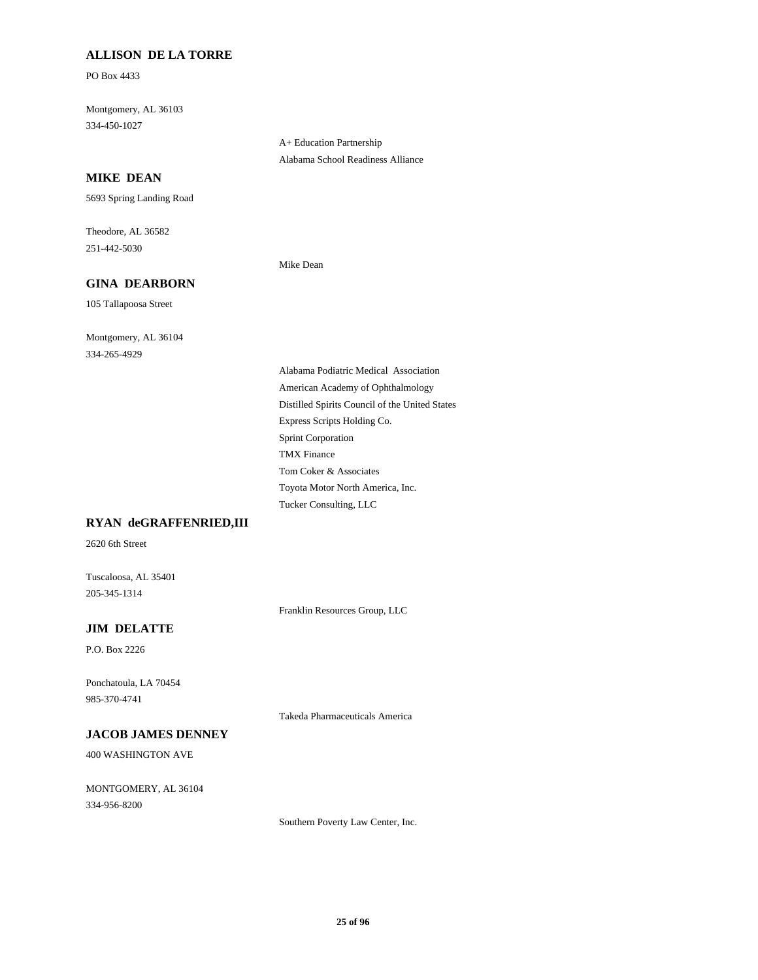# **ALLISON DE LA TORRE**

PO Box 4433

334-450-1027 Montgomery, AL 36103

> A+ Education Partnership Alabama School Readiness Alliance

### **MIKE DEAN**

5693 Spring Landing Road

251-442-5030 Theodore, AL 36582

#### **GINA DEARBORN**

105 Tallapoosa Street

334-265-4929 Montgomery, AL 36104 Mike Dean

Tucker Consulting, LLC Toyota Motor North America, Inc. Distilled Spirits Council of the United States American Academy of Ophthalmology Alabama Podiatric Medical Association Express Scripts Holding Co. Tom Coker & Associates TMX Finance Sprint Corporation

#### **RYAN deGRAFFENRIED,III**

2620 6th Street

205-345-1314 Tuscaloosa, AL 35401

Franklin Resources Group, LLC

### **JIM DELATTE**

P.O. Box 2226

985-370-4741 Ponchatoula, LA 70454

Takeda Pharmaceuticals America

#### **JACOB JAMES DENNEY**

400 WASHINGTON AVE

334-956-8200 MONTGOMERY, AL 36104

Southern Poverty Law Center, Inc.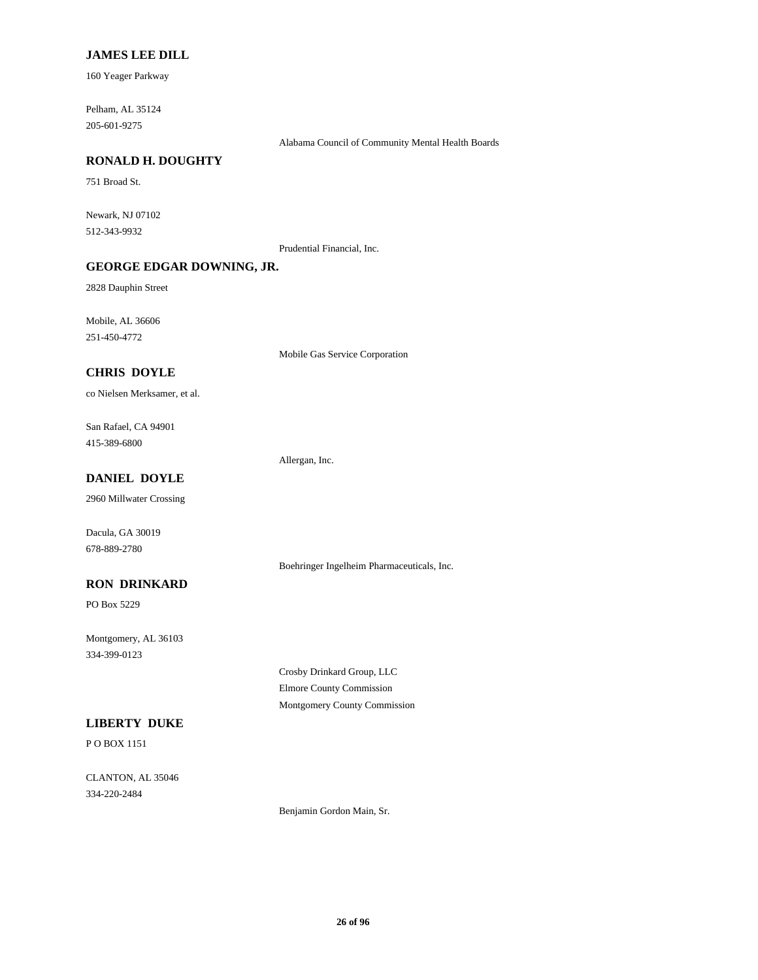#### **JAMES LEE DILL**

160 Yeager Parkway

205-601-9275 Pelham, AL 35124

Alabama Council of Community Mental Health Boards

### **RONALD H. DOUGHTY**

751 Broad St.

512-343-9932 Newark, NJ 07102

Prudential Financial, Inc.

### **GEORGE EDGAR DOWNING, JR.**

2828 Dauphin Street

251-450-4772 Mobile, AL 36606

Mobile Gas Service Corporation

# **CHRIS DOYLE**

co Nielsen Merksamer, et al.

415-389-6800 San Rafael, CA 94901

Allergan, Inc.

# **DANIEL DOYLE**

2960 Millwater Crossing

678-889-2780 Dacula, GA 30019

Boehringer Ingelheim Pharmaceuticals, Inc.

# **RON DRINKARD**

PO Box 5229

334-399-0123 Montgomery, AL 36103

> Crosby Drinkard Group, LLC Elmore County Commission Montgomery County Commission

# **LIBERTY DUKE**

P O BOX 1151

334-220-2484 CLANTON, AL 35046

Benjamin Gordon Main, Sr.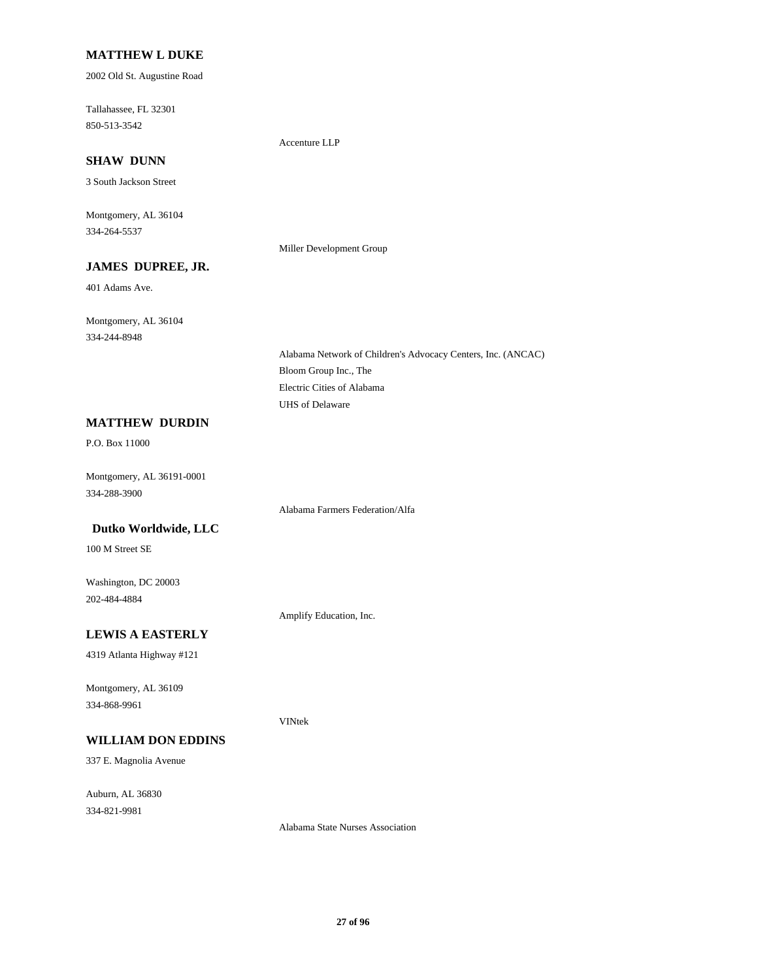### **MATTHEW L DUKE**

2002 Old St. Augustine Road

850-513-3542 Tallahassee, FL 32301

Accenture LLP

### **SHAW DUNN**

3 South Jackson Street

334-264-5537 Montgomery, AL 36104

## **JAMES DUPREE, JR.**

401 Adams Ave.

334-244-8948 Montgomery, AL 36104

> Bloom Group Inc., The Alabama Network of Children's Advocacy Centers, Inc. (ANCAC) UHS of Delaware Electric Cities of Alabama

#### **MATTHEW DURDIN**

P.O. Box 11000

334-288-3900 Montgomery, AL 36191-0001

Alabama Farmers Federation/Alfa

# **Dutko Worldwide, LLC**

100 M Street SE

202-484-4884 Washington, DC 20003

Amplify Education, Inc.

VINtek

# **LEWIS A EASTERLY**

4319 Atlanta Highway #121

334-868-9961 Montgomery, AL 36109

# **WILLIAM DON EDDINS**

337 E. Magnolia Avenue

334-821-9981 Auburn, AL 36830

Alabama State Nurses Association

Miller Development Group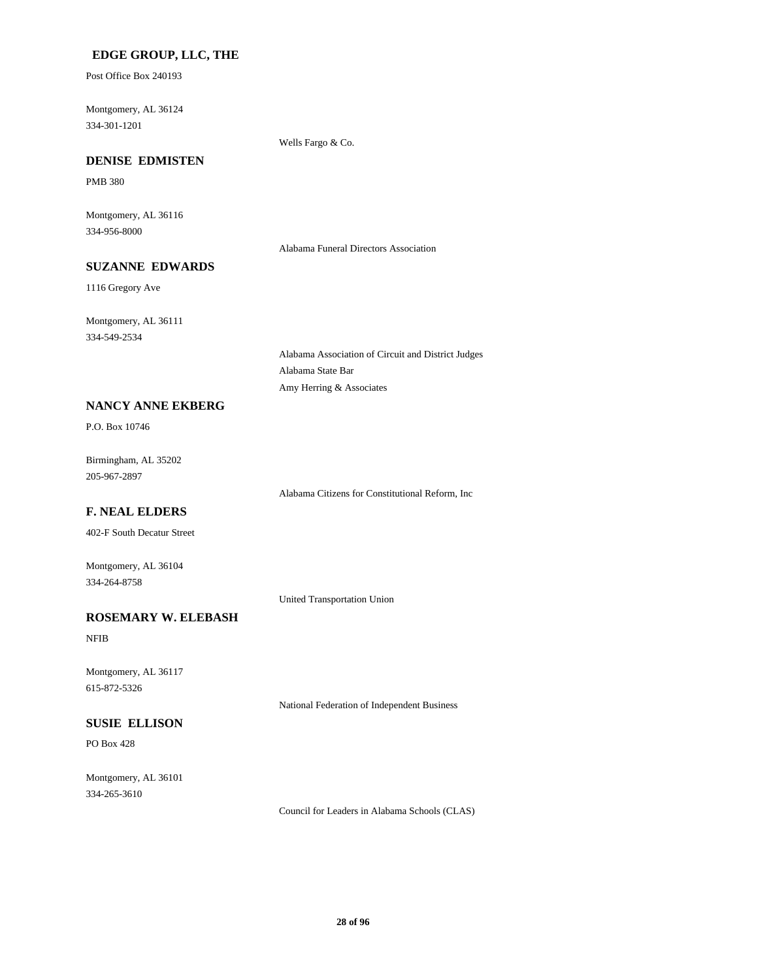### **EDGE GROUP, LLC, THE**

Post Office Box 240193

334-301-1201 Montgomery, AL 36124

Wells Fargo & Co.

# **DENISE EDMISTEN**

PMB 380

334-956-8000 Montgomery, AL 36116

Alabama Funeral Directors Association

# **SUZANNE EDWARDS**

1116 Gregory Ave

334-549-2534 Montgomery, AL 36111

> Alabama Association of Circuit and District Judges Alabama State Bar Amy Herring & Associates

#### **NANCY ANNE EKBERG**

P.O. Box 10746

205-967-2897 Birmingham, AL 35202

Alabama Citizens for Constitutional Reform, Inc

# **F. NEAL ELDERS**

402-F South Decatur Street

334-264-8758 Montgomery, AL 36104

United Transportation Union

# **ROSEMARY W. ELEBASH**

NFIB

615-872-5326 Montgomery, AL 36117

National Federation of Independent Business

# **SUSIE ELLISON**

PO Box 428

334-265-3610 Montgomery, AL 36101

Council for Leaders in Alabama Schools (CLAS)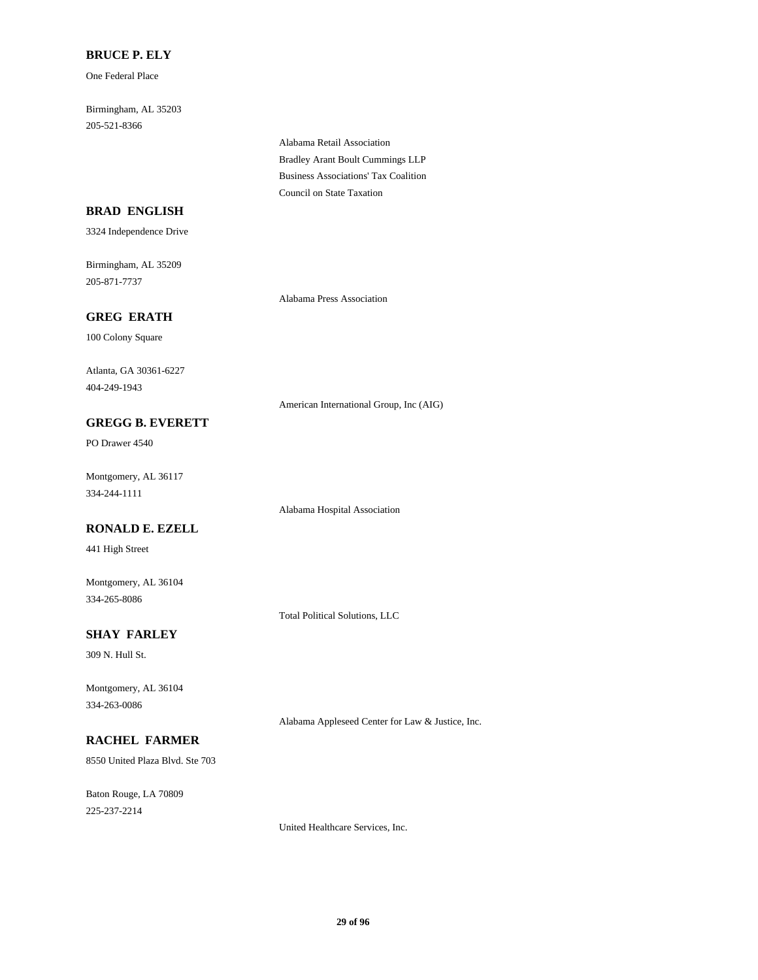### **BRUCE P. ELY**

One Federal Place

205-521-8366 Birmingham, AL 35203

> Bradley Arant Boult Cummings LLP Alabama Retail Association Council on State Taxation Business Associations' Tax Coalition

### **BRAD ENGLISH**

3324 Independence Drive

205-871-7737 Birmingham, AL 35209

Alabama Press Association

# **GREG ERATH**

100 Colony Square

404-249-1943 Atlanta, GA 30361-6227

American International Group, Inc (AIG)

# **GREGG B. EVERETT**

PO Drawer 4540

334-244-1111 Montgomery, AL 36117

### **RONALD E. EZELL**

441 High Street

334-265-8086 Montgomery, AL 36104

Total Political Solutions, LLC

Alabama Hospital Association

# **SHAY FARLEY**

309 N. Hull St.

334-263-0086 Montgomery, AL 36104

# **RACHEL FARMER**

8550 United Plaza Blvd. Ste 703

225-237-2214 Baton Rouge, LA 70809 Alabama Appleseed Center for Law & Justice, Inc.

United Healthcare Services, Inc.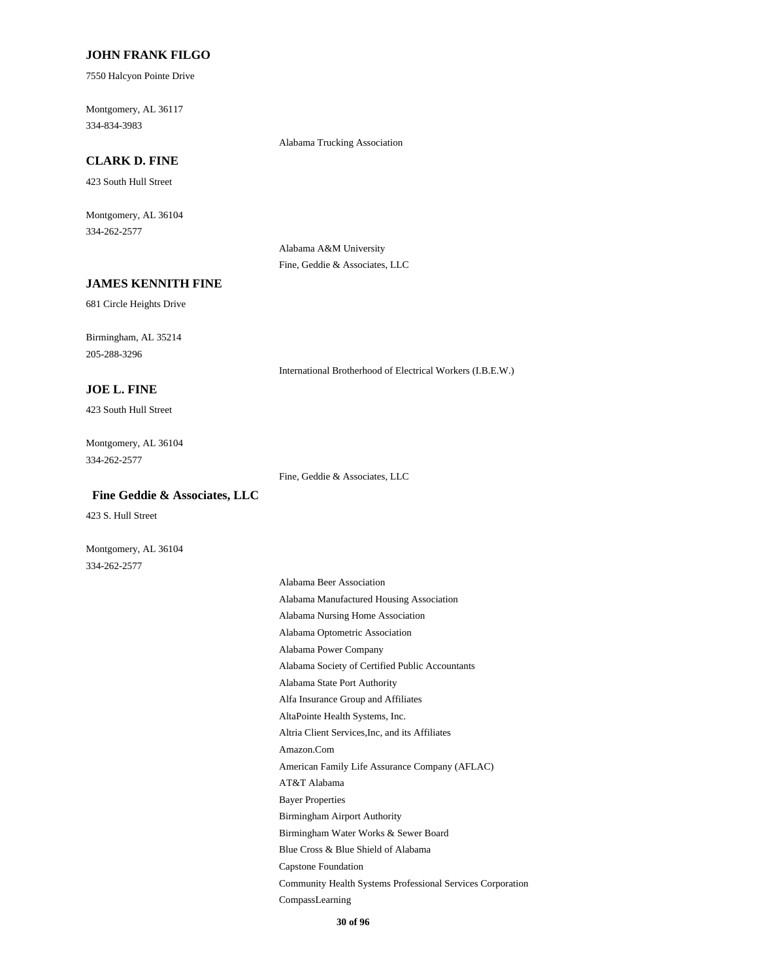#### **JOHN FRANK FILGO**

7550 Halcyon Pointe Drive

334-834-3983 Montgomery, AL 36117

#### Alabama Trucking Association

# **CLARK D. FINE**

423 South Hull Street

334-262-2577 Montgomery, AL 36104

> Alabama A&M University Fine, Geddie & Associates, LLC

#### **JAMES KENNITH FINE**

681 Circle Heights Drive

205-288-3296 Birmingham, AL 35214

**JOE L. FINE**

423 South Hull Street

334-262-2577 Montgomery, AL 36104

Fine, Geddie & Associates, LLC

International Brotherhood of Electrical Workers (I.B.E.W.)

423 S. Hull Street

 **Fine Geddie & Associates, LLC**

334-262-2577 Montgomery, AL 36104

> Alfa Insurance Group and Affiliates Alabama State Port Authority AltaPointe Health Systems, Inc. Amazon.Com Altria Client Services,Inc, and its Affiliates Alabama Society of Certified Public Accountants Alabama Manufactured Housing Association Alabama Beer Association Alabama Nursing Home Association Alabama Power Company Alabama Optometric Association Community Health Systems Professional Services Corporation Capstone Foundation CompassLearning Blue Cross & Blue Shield of Alabama AT&T Alabama American Family Life Assurance Company (AFLAC) Bayer Properties Birmingham Water Works & Sewer Board Birmingham Airport Authority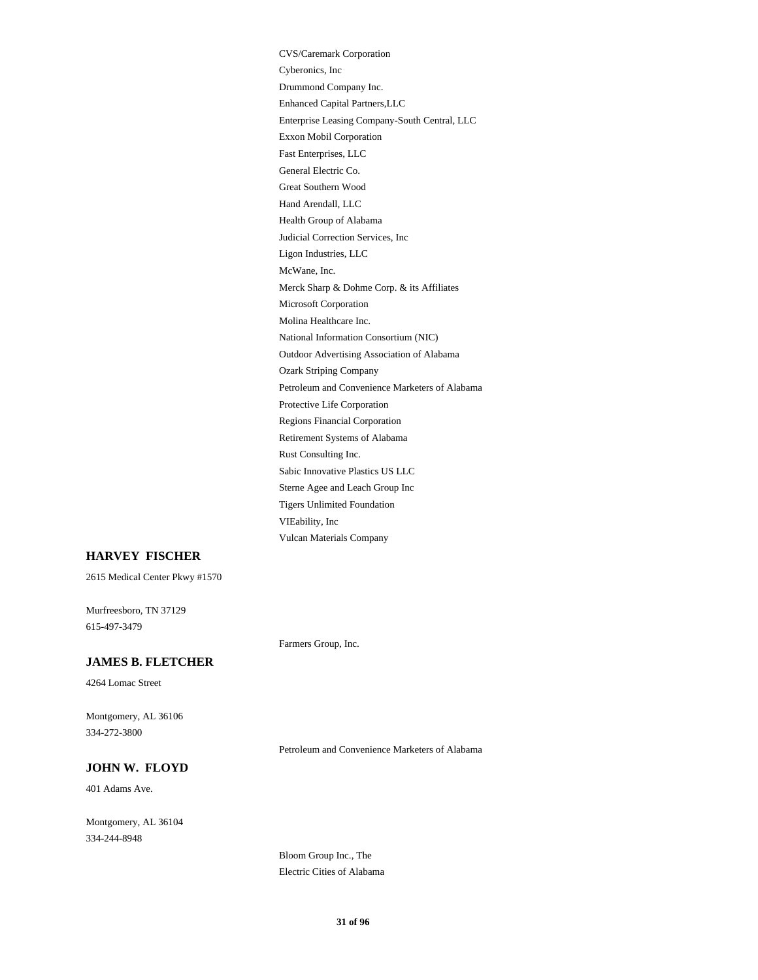VIEability, Inc Vulcan Materials Company CVS/Caremark Corporation Health Group of Alabama Hand Arendall, LLC Great Southern Wood McWane, Inc. Ligon Industries, LLC Judicial Correction Services, Inc General Electric Co. Enhanced Capital Partners,LLC Drummond Company Inc. Cyberonics, Inc Fast Enterprises, LLC Exxon Mobil Corporation Enterprise Leasing Company-South Central, LLC Merck Sharp & Dohme Corp. & its Affiliates Rust Consulting Inc. Retirement Systems of Alabama Regions Financial Corporation Tigers Unlimited Foundation Sterne Agee and Leach Group Inc Sabic Innovative Plastics US LLC Protective Life Corporation National Information Consortium (NIC) Molina Healthcare Inc. Microsoft Corporation Petroleum and Convenience Marketers of Alabama Ozark Striping Company Outdoor Advertising Association of Alabama

# **HARVEY FISCHER**

2615 Medical Center Pkwy #1570

615-497-3479 Murfreesboro, TN 37129

#### **JAMES B. FLETCHER**

4264 Lomac Street

334-272-3800 Montgomery, AL 36106

Petroleum and Convenience Marketers of Alabama

# **JOHN W. FLOYD**

401 Adams Ave.

334-244-8948 Montgomery, AL 36104

> Bloom Group Inc., The Electric Cities of Alabama

Farmers Group, Inc.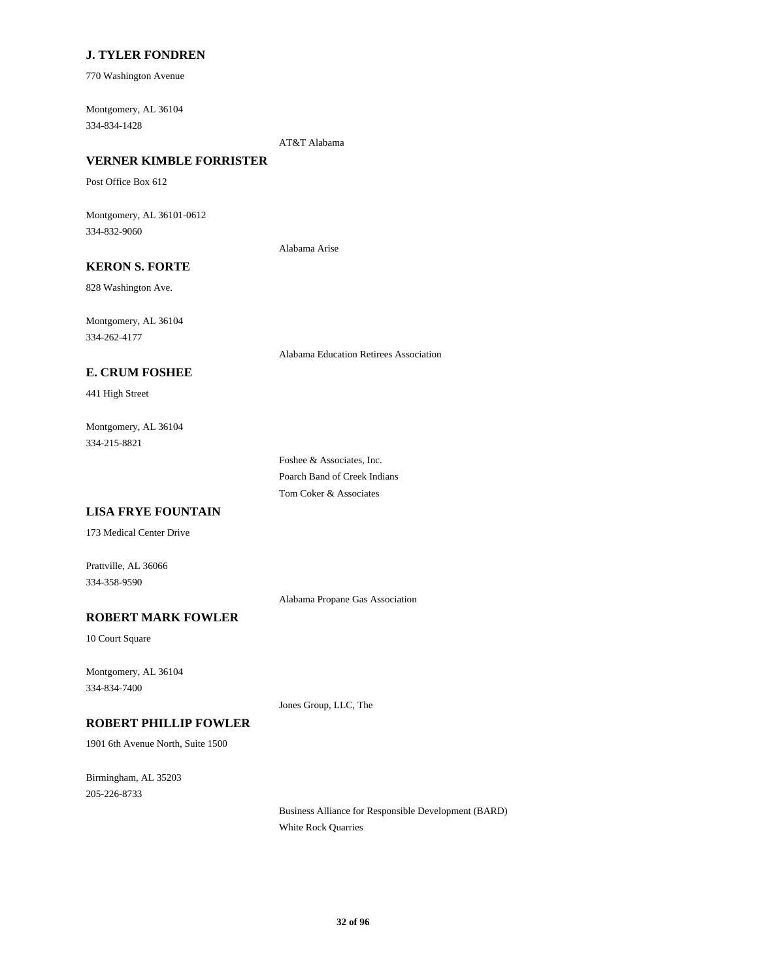### **J. TYLER FONDREN**

770 Washington Avenue

334-834-1428 Montgomery, AL 36104

AT&T Alabama

# **VERNER KIMBLE FORRISTER**

Post Office Box 612

334-832-9060 Montgomery, AL 36101-0612

Alabama Arise

# **KERON S. FORTE**

828 Washington Ave.

334-262-4177 Montgomery, AL 36104

Alabama Education Retirees Association

### **E. CRUM FOSHEE**

441 High Street

334-215-8821 Montgomery, AL 36104

> Tom Coker & Associates Foshee & Associates, Inc. Poarch Band of Creek Indians

### **LISA FRYE FOUNTAIN**

173 Medical Center Drive

334-358-9590 Prattville, AL 36066

Alabama Propane Gas Association

# **ROBERT MARK FOWLER**

10 Court Square

334-834-7400 Montgomery, AL 36104

Jones Group, LLC, The

# **ROBERT PHILLIP FOWLER**

1901 6th Avenue North, Suite 1500

205-226-8733 Birmingham, AL 35203

> Business Alliance for Responsible Development (BARD) White Rock Quarries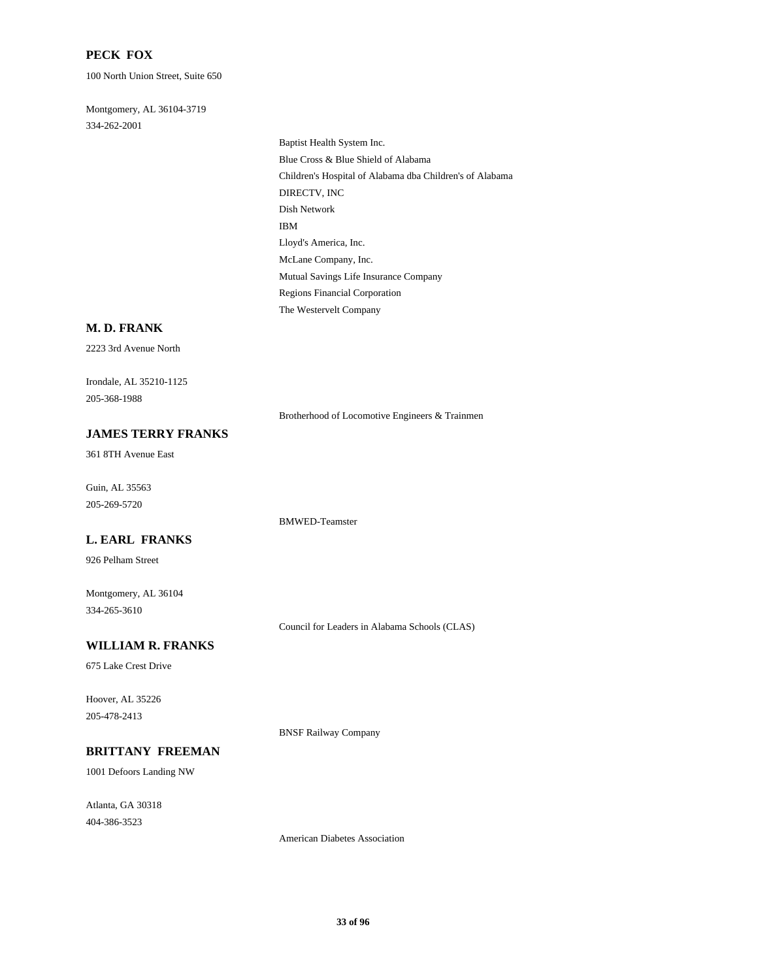### **PECK FOX**

100 North Union Street, Suite 650

334-262-2001 Montgomery, AL 36104-3719

> DIRECTV, INC Dish Network Children's Hospital of Alabama dba Children's of Alabama Baptist Health System Inc. Blue Cross & Blue Shield of Alabama IBM Regions Financial Corporation The Westervelt Company Mutual Savings Life Insurance Company Lloyd's America, Inc. McLane Company, Inc.

#### **M. D. FRANK**

2223 3rd Avenue North

205-368-1988 Irondale, AL 35210-1125

Brotherhood of Locomotive Engineers & Trainmen

# **JAMES TERRY FRANKS**

361 8TH Avenue East

205-269-5720 Guin, AL 35563

BMWED-Teamster

#### **L. EARL FRANKS**

926 Pelham Street

334-265-3610 Montgomery, AL 36104

Council for Leaders in Alabama Schools (CLAS)

# **WILLIAM R. FRANKS**

675 Lake Crest Drive

205-478-2413 Hoover, AL 35226

BNSF Railway Company

#### **BRITTANY FREEMAN**

1001 Defoors Landing NW

404-386-3523 Atlanta, GA 30318

American Diabetes Association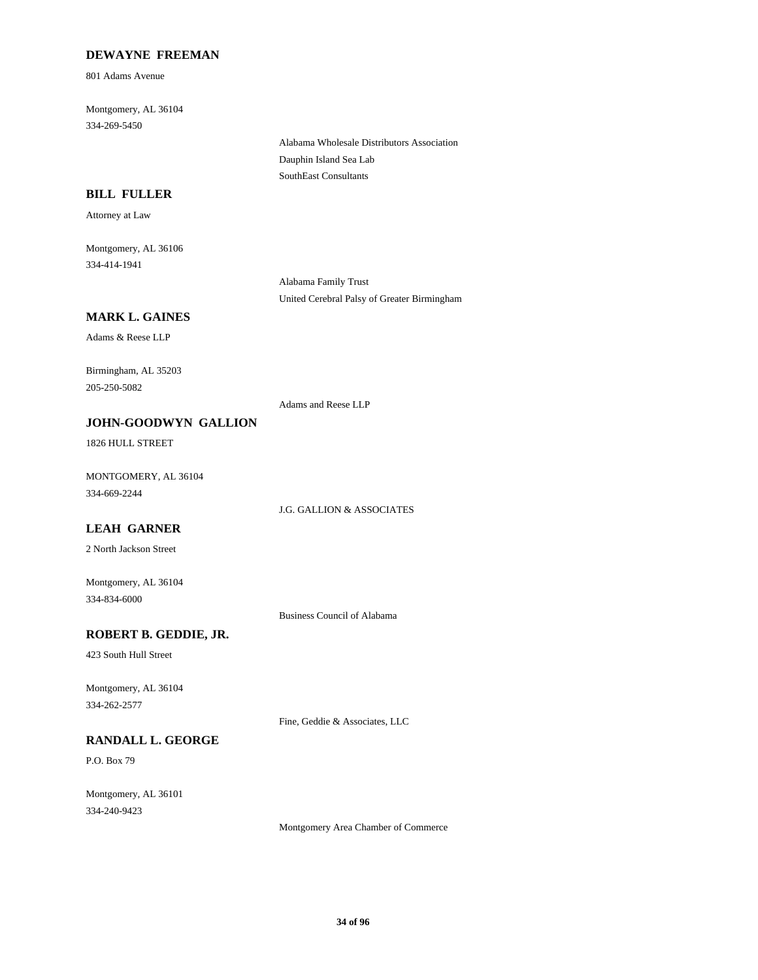### **DEWAYNE FREEMAN**

801 Adams Avenue

334-269-5450 Montgomery, AL 36104

> Alabama Wholesale Distributors Association Dauphin Island Sea Lab SouthEast Consultants

### **BILL FULLER**

Attorney at Law

334-414-1941 Montgomery, AL 36106

> Alabama Family Trust United Cerebral Palsy of Greater Birmingham

### **MARK L. GAINES**

Adams & Reese LLP

205-250-5082 Birmingham, AL 35203

Adams and Reese LLP

# **JOHN-GOODWYN GALLION**

1826 HULL STREET

334-669-2244 MONTGOMERY, AL 36104

J.G. GALLION & ASSOCIATES

# **LEAH GARNER**

2 North Jackson Street

334-834-6000 Montgomery, AL 36104

Business Council of Alabama

# **ROBERT B. GEDDIE, JR.**

423 South Hull Street

334-262-2577 Montgomery, AL 36104

Fine, Geddie & Associates, LLC

# **RANDALL L. GEORGE**

P.O. Box 79

334-240-9423 Montgomery, AL 36101

Montgomery Area Chamber of Commerce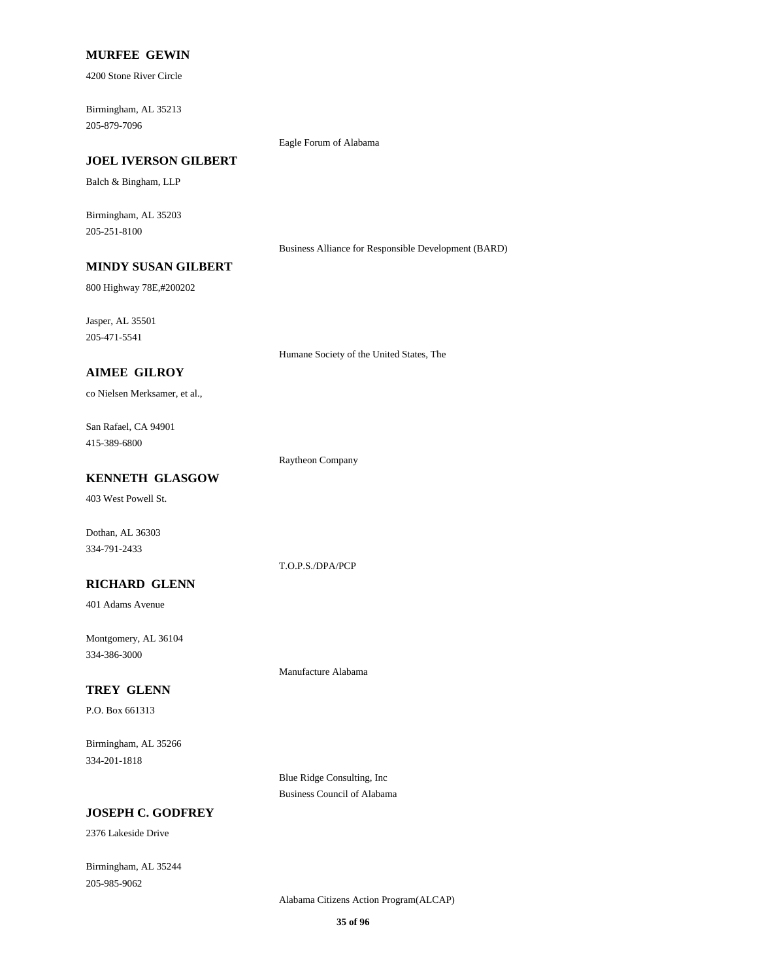#### **MURFEE GEWIN**

4200 Stone River Circle

205-879-7096 Birmingham, AL 35213

#### **JOEL IVERSON GILBERT**

Balch & Bingham, LLP

205-251-8100 Birmingham, AL 35203

Business Alliance for Responsible Development (BARD)

# **MINDY SUSAN GILBERT**

800 Highway 78E,#200202

205-471-5541 Jasper, AL 35501

Humane Society of the United States, The

Eagle Forum of Alabama

### **AIMEE GILROY**

co Nielsen Merksamer, et al.,

415-389-6800 San Rafael, CA 94901

Raytheon Company

T.O.P.S./DPA/PCP

# **KENNETH GLASGOW**

403 West Powell St.

334-791-2433 Dothan, AL 36303

#### **RICHARD GLENN**

401 Adams Avenue

334-386-3000 Montgomery, AL 36104

#### **TREY GLENN**

P.O. Box 661313

334-201-1818 Birmingham, AL 35266

> Blue Ridge Consulting, Inc Business Council of Alabama

Manufacture Alabama

### **JOSEPH C. GODFREY**

2376 Lakeside Drive

205-985-9062 Birmingham, AL 35244

Alabama Citizens Action Program(ALCAP)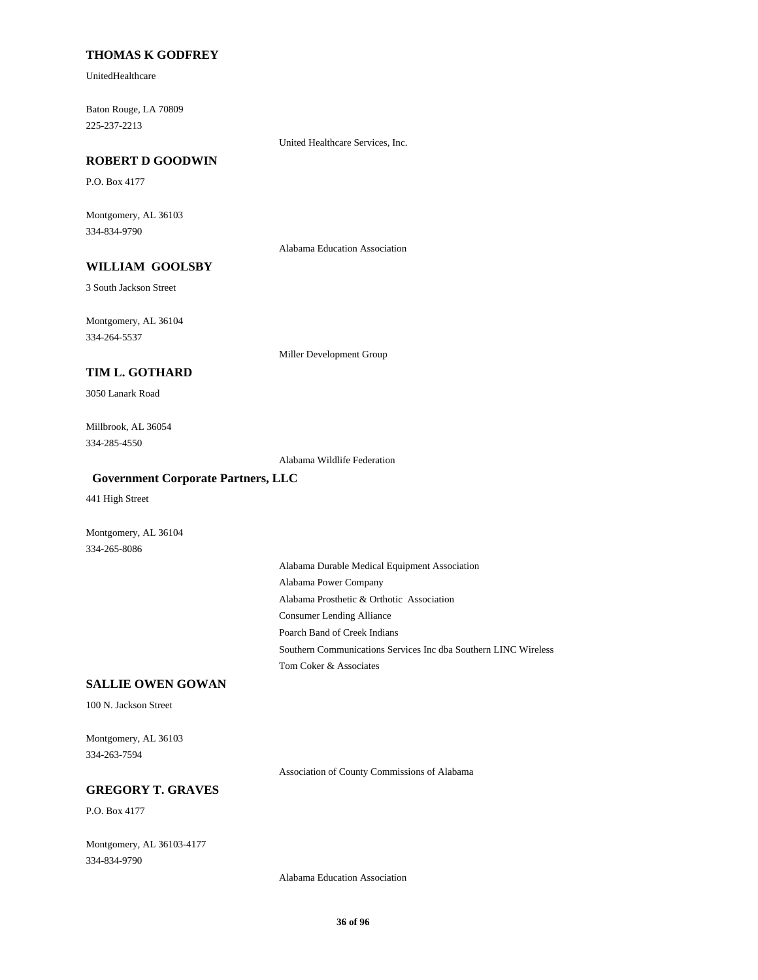#### **THOMAS K GODFREY**

UnitedHealthcare

225-237-2213 Baton Rouge, LA 70809

United Healthcare Services, Inc.

#### **ROBERT D GOODWIN**

P.O. Box 4177

334-834-9790 Montgomery, AL 36103

Alabama Education Association

# **WILLIAM GOOLSBY**

3 South Jackson Street

334-264-5537 Montgomery, AL 36104

Miller Development Group

#### **TIM L. GOTHARD**

3050 Lanark Road

334-285-4550 Millbrook, AL 36054

Alabama Wildlife Federation

### **Government Corporate Partners, LLC**

441 High Street

Montgomery, AL 36104 334-265-8086

> Alabama Prosthetic & Orthotic Association Alabama Power Company Alabama Durable Medical Equipment Association Consumer Lending Alliance Tom Coker & Associates Southern Communications Services Inc dba Southern LINC Wireless Poarch Band of Creek Indians

### **SALLIE OWEN GOWAN**

100 N. Jackson Street

334-263-7594 Montgomery, AL 36103

Association of County Commissions of Alabama

#### **GREGORY T. GRAVES**

P.O. Box 4177

334-834-9790 Montgomery, AL 36103-4177

Alabama Education Association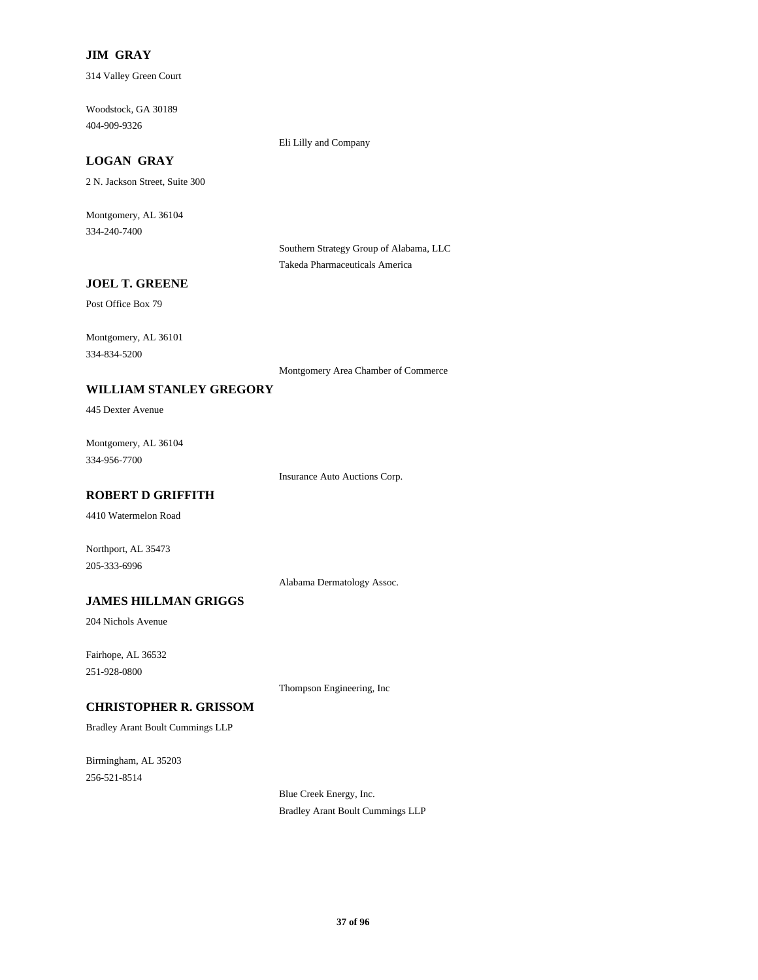### **JIM GRAY**

314 Valley Green Court

404-909-9326 Woodstock, GA 30189

Eli Lilly and Company

# **LOGAN GRAY**

2 N. Jackson Street, Suite 300

334-240-7400 Montgomery, AL 36104

> Southern Strategy Group of Alabama, LLC Takeda Pharmaceuticals America

## **JOEL T. GREENE**

Post Office Box 79

334-834-5200 Montgomery, AL 36101

Montgomery Area Chamber of Commerce

# **WILLIAM STANLEY GREGORY**

445 Dexter Avenue

334-956-7700 Montgomery, AL 36104

Insurance Auto Auctions Corp.

# **ROBERT D GRIFFITH**

4410 Watermelon Road

205-333-6996 Northport, AL 35473

Alabama Dermatology Assoc.

#### **JAMES HILLMAN GRIGGS**

204 Nichols Avenue

251-928-0800 Fairhope, AL 36532

Thompson Engineering, Inc

## **CHRISTOPHER R. GRISSOM**

Bradley Arant Boult Cummings LLP

256-521-8514 Birmingham, AL 35203

> Blue Creek Energy, Inc. Bradley Arant Boult Cummings LLP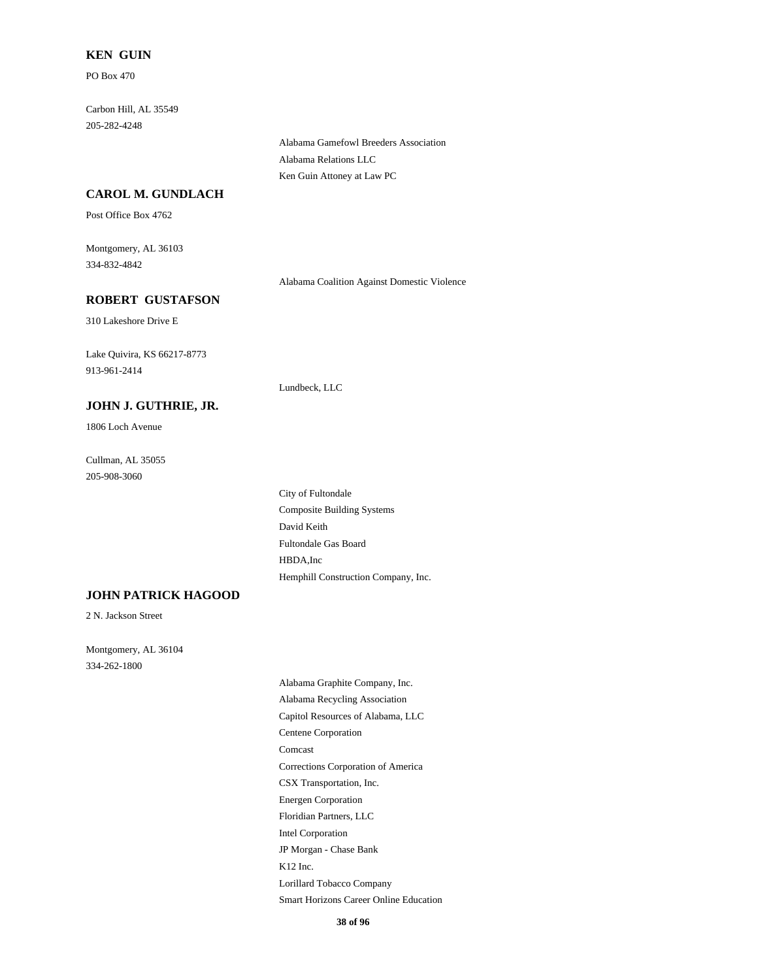#### **KEN GUIN**

PO Box 470

205-282-4248 Carbon Hill, AL 35549

> Alabama Gamefowl Breeders Association Alabama Relations LLC Ken Guin Attoney at Law PC

# **CAROL M. GUNDLACH**

Post Office Box 4762

334-832-4842 Montgomery, AL 36103

Alabama Coalition Against Domestic Violence

## **ROBERT GUSTAFSON**

310 Lakeshore Drive E

913-961-2414 Lake Quivira, KS 66217-8773

#### **JOHN J. GUTHRIE, JR.**

1806 Loch Avenue

205-908-3060 Cullman, AL 35055

> David Keith Composite Building Systems Fultondale Gas Board Hemphill Construction Company, Inc. HBDA,Inc City of Fultondale

Lundbeck, LLC

# **JOHN PATRICK HAGOOD**

2 N. Jackson Street

334-262-1800 Montgomery, AL 36104

> Corrections Corporation of America Comcast Energen Corporation CSX Transportation, Inc. Alabama Recycling Association Alabama Graphite Company, Inc. Centene Corporation Capitol Resources of Alabama, LLC Smart Horizons Career Online Education Lorillard Tobacco Company Intel Corporation Floridian Partners, LLC K12 Inc. JP Morgan - Chase Bank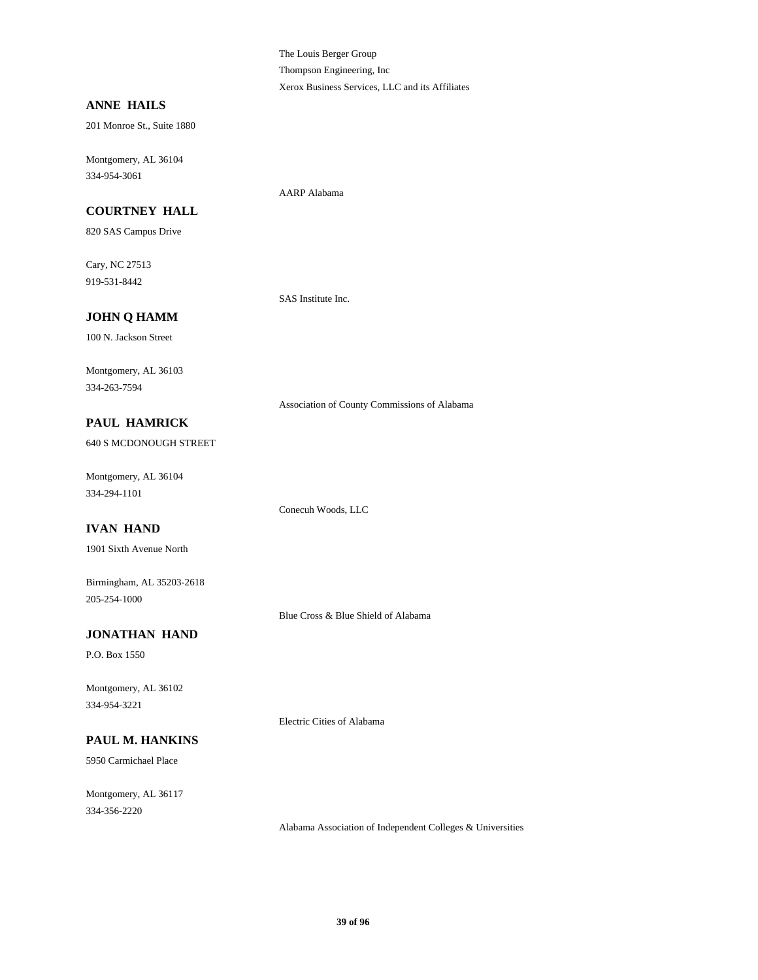The Louis Berger Group Thompson Engineering, Inc Xerox Business Services, LLC and its Affiliates

## **ANNE HAILS**

201 Monroe St., Suite 1880

334-954-3061 Montgomery, AL 36104

# **COURTNEY HALL**

820 SAS Campus Drive

919-531-8442 Cary, NC 27513

SAS Institute Inc.

AARP Alabama

# **JOHN Q HAMM**

100 N. Jackson Street

334-263-7594 Montgomery, AL 36103

Association of County Commissions of Alabama

## **PAUL HAMRICK**

640 S MCDONOUGH STREET

334-294-1101 Montgomery, AL 36104

# **IVAN HAND**

1901 Sixth Avenue North

205-254-1000 Birmingham, AL 35203-2618

Blue Cross & Blue Shield of Alabama

# **JONATHAN HAND**

P.O. Box 1550

334-954-3221 Montgomery, AL 36102

# **PAUL M. HANKINS**

5950 Carmichael Place

334-356-2220 Montgomery, AL 36117

Electric Cities of Alabama

Conecuh Woods, LLC

Alabama Association of Independent Colleges & Universities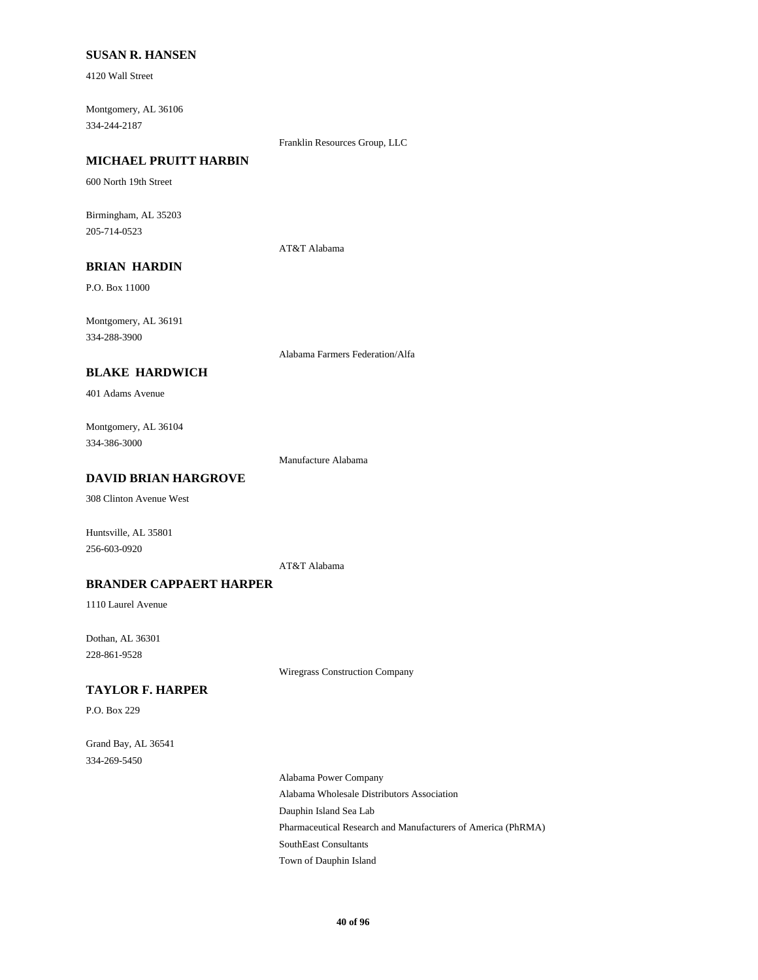## **SUSAN R. HANSEN**

4120 Wall Street

334-244-2187 Montgomery, AL 36106

#### Franklin Resources Group, LLC

# **MICHAEL PRUITT HARBIN**

600 North 19th Street

205-714-0523 Birmingham, AL 35203

#### AT&T Alabama

# **BRIAN HARDIN**

P.O. Box 11000

334-288-3900 Montgomery, AL 36191

Alabama Farmers Federation/Alfa

# **BLAKE HARDWICH**

401 Adams Avenue

334-386-3000 Montgomery, AL 36104

Manufacture Alabama

# **DAVID BRIAN HARGROVE**

308 Clinton Avenue West

Huntsville, AL 35801 256-603-0920

AT&T Alabama

## **BRANDER CAPPAERT HARPER**

1110 Laurel Avenue

228-861-9528 Dothan, AL 36301

Wiregrass Construction Company

#### **TAYLOR F. HARPER**

P.O. Box 229

334-269-5450 Grand Bay, AL 36541

> Dauphin Island Sea Lab Alabama Wholesale Distributors Association Alabama Power Company Town of Dauphin Island SouthEast Consultants Pharmaceutical Research and Manufacturers of America (PhRMA)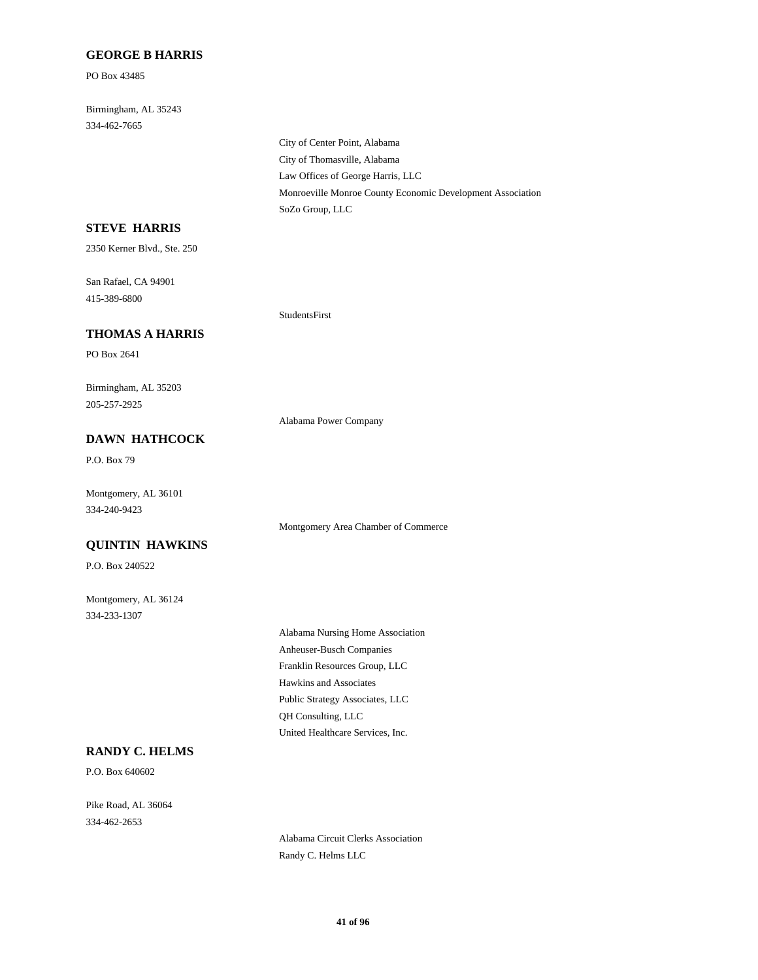#### **GEORGE B HARRIS**

PO Box 43485

334-462-7665 Birmingham, AL 35243

> City of Thomasville, Alabama City of Center Point, Alabama Law Offices of George Harris, LLC SoZo Group, LLC Monroeville Monroe County Economic Development Association

# **STEVE HARRIS**

2350 Kerner Blvd., Ste. 250

415-389-6800 San Rafael, CA 94901

### **THOMAS A HARRIS**

PO Box 2641

205-257-2925 Birmingham, AL 35203

Alabama Power Company

StudentsFirst

# **DAWN HATHCOCK**

P.O. Box 79

334-240-9423 Montgomery, AL 36101

## **QUINTIN HAWKINS**

P.O. Box 240522

334-233-1307 Montgomery, AL 36124

> Franklin Resources Group, LLC Anheuser-Busch Companies Alabama Nursing Home Association Hawkins and Associates United Healthcare Services, Inc. QH Consulting, LLC Public Strategy Associates, LLC

Montgomery Area Chamber of Commerce

## **RANDY C. HELMS**

P.O. Box 640602

334-462-2653 Pike Road, AL 36064

> Alabama Circuit Clerks Association Randy C. Helms LLC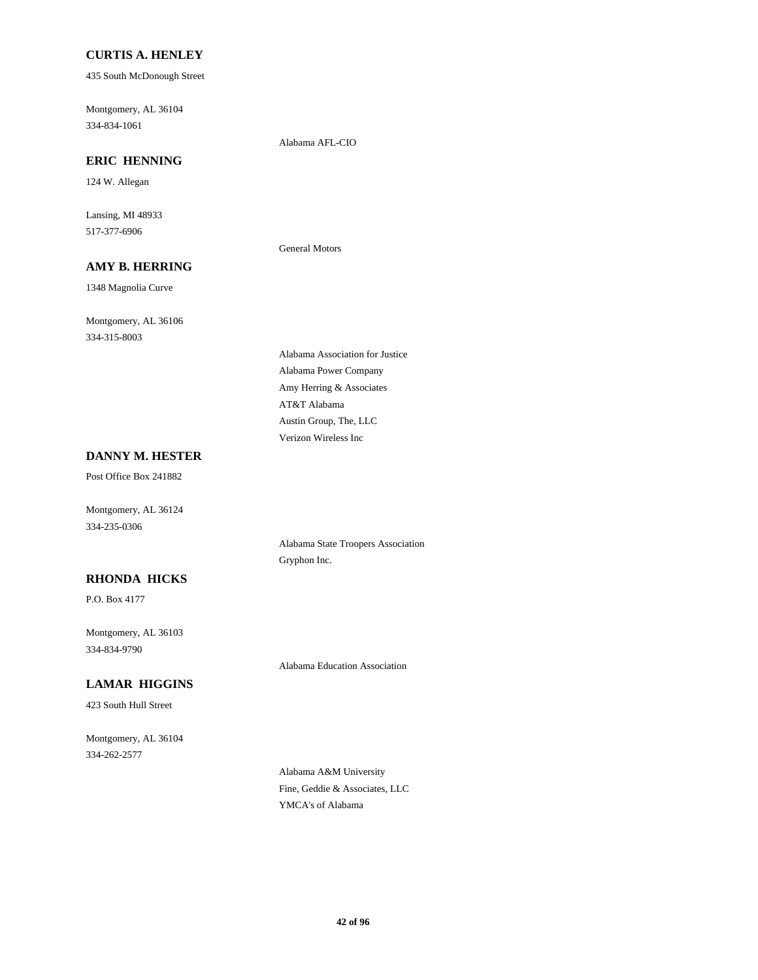## **CURTIS A. HENLEY**

435 South McDonough Street

334-834-1061 Montgomery, AL 36104

Alabama AFL-CIO

General Motors

# **ERIC HENNING**

124 W. Allegan

517-377-6906 Lansing, MI 48933

## **AMY B. HERRING**

1348 Magnolia Curve

334-315-8003 Montgomery, AL 36106

Amy Herring & Associates Alabama Power Company Alabama Association for Justice Verizon Wireless Inc Austin Group, The, LLC AT&T Alabama

# **DANNY M. HESTER**

Post Office Box 241882

Montgomery, AL 36124 334-235-0306

## **RHONDA HICKS**

P.O. Box 4177

334-834-9790 Montgomery, AL 36103

Alabama Education Association

Alabama State Troopers Association

Gryphon Inc.

# **LAMAR HIGGINS**

423 South Hull Street

334-262-2577 Montgomery, AL 36104

> Alabama A&M University Fine, Geddie & Associates, LLC YMCA's of Alabama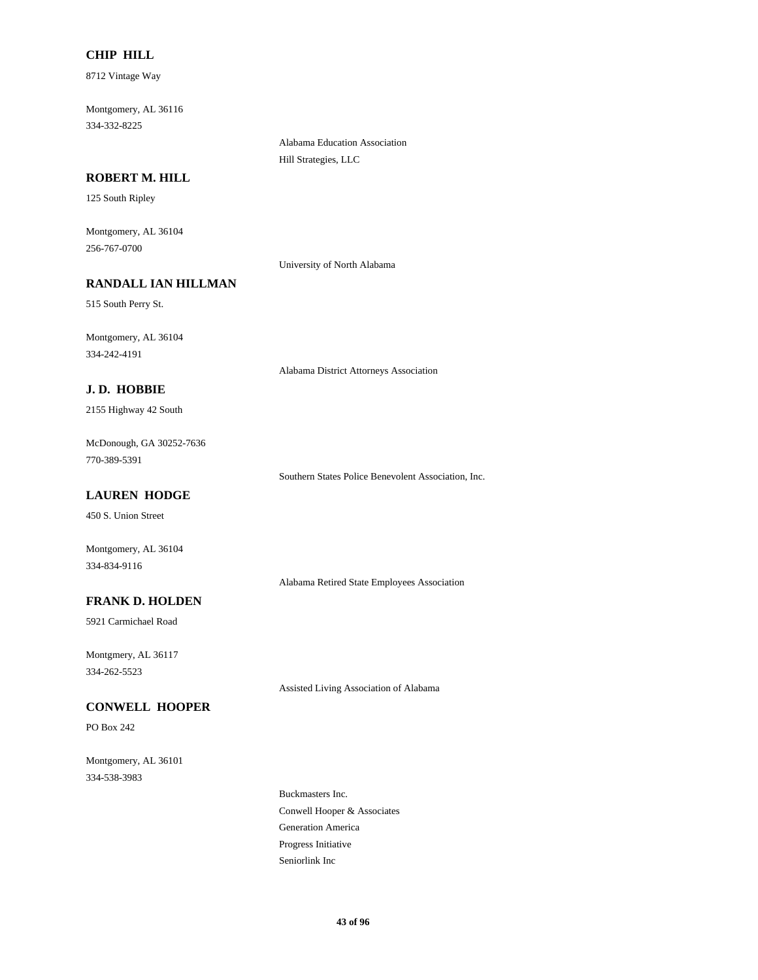## **CHIP HILL**

8712 Vintage Way

334-332-8225 Montgomery, AL 36116

> Alabama Education Association Hill Strategies, LLC

## **ROBERT M. HILL**

125 South Ripley

256-767-0700 Montgomery, AL 36104

University of North Alabama

# **RANDALL IAN HILLMAN**

515 South Perry St.

334-242-4191 Montgomery, AL 36104

Alabama District Attorneys Association

## **J. D. HOBBIE**

2155 Highway 42 South

770-389-5391 McDonough, GA 30252-7636

Southern States Police Benevolent Association, Inc.

## **LAUREN HODGE**

450 S. Union Street

Montgomery, AL 36104 334-834-9116

Alabama Retired State Employees Association

## **FRANK D. HOLDEN**

5921 Carmichael Road

334-262-5523 Montgmery, AL 36117

Assisted Living Association of Alabama

# **CONWELL HOOPER**

PO Box 242

334-538-3983 Montgomery, AL 36101

> Conwell Hooper & Associates Buckmasters Inc. Generation America Seniorlink Inc Progress Initiative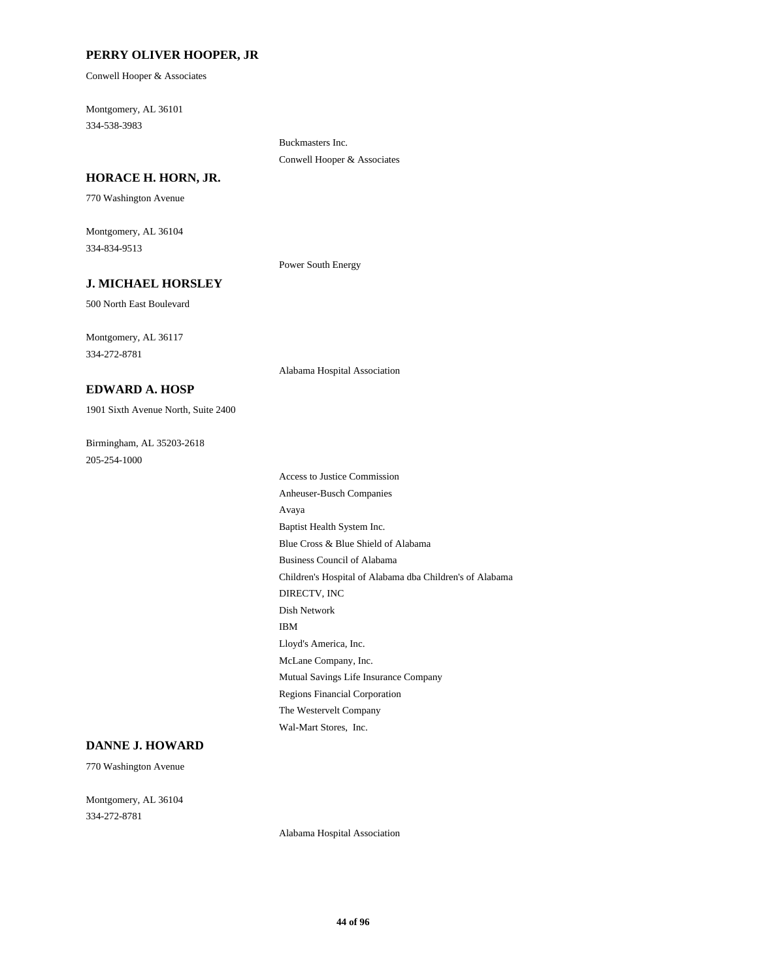#### **PERRY OLIVER HOOPER, JR**

Conwell Hooper & Associates

334-538-3983 Montgomery, AL 36101

> Buckmasters Inc. Conwell Hooper & Associates

### **HORACE H. HORN, JR.**

770 Washington Avenue

334-834-9513 Montgomery, AL 36104

Power South Energy

Alabama Hospital Association

#### **J. MICHAEL HORSLEY**

500 North East Boulevard

334-272-8781 Montgomery, AL 36117

### **EDWARD A. HOSP**

1901 Sixth Avenue North, Suite 2400

205-254-1000 Birmingham, AL 35203-2618

Children's Hospital of Alabama dba Children's of Alabama DIRECTV, INC Dish Network Business Council of Alabama Avaya Baptist Health System Inc. Blue Cross & Blue Shield of Alabama Regions Financial Corporation The Westervelt Company Wal-Mart Stores, Inc. Mutual Savings Life Insurance Company IBM Lloyd's America, Inc. McLane Company, Inc. Access to Justice Commission Anheuser-Busch Companies

## **DANNE J. HOWARD**

770 Washington Avenue

334-272-8781 Montgomery, AL 36104

Alabama Hospital Association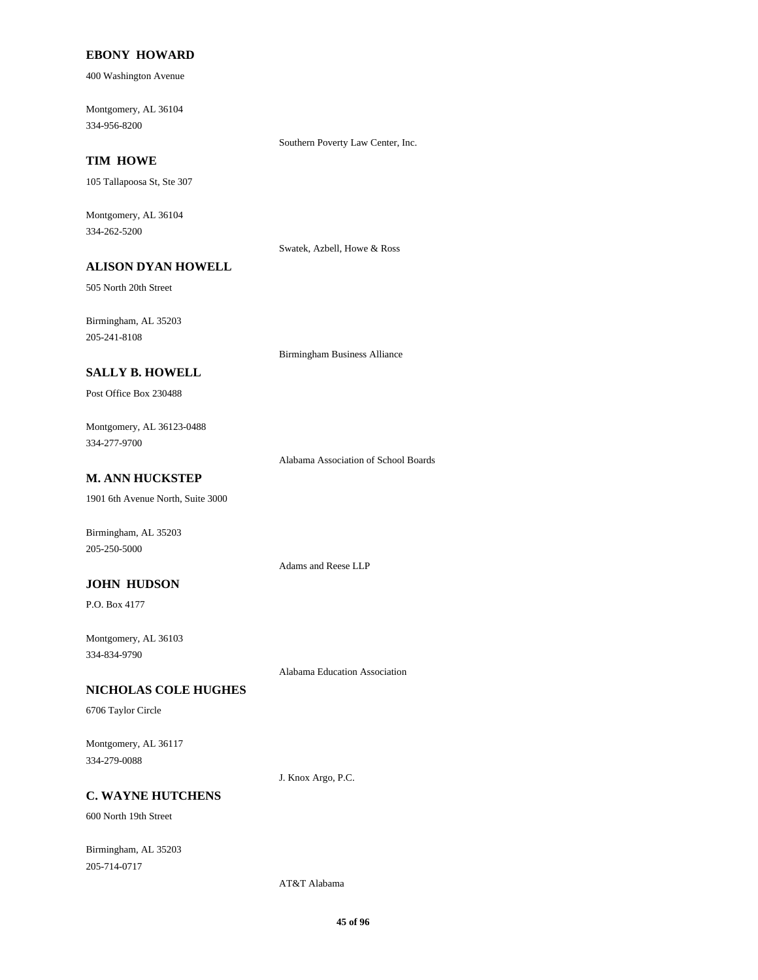### **EBONY HOWARD**

400 Washington Avenue

334-956-8200 Montgomery, AL 36104

Southern Poverty Law Center, Inc.

# **TIM HOWE**

105 Tallapoosa St, Ste 307

334-262-5200 Montgomery, AL 36104

Swatek, Azbell, Howe & Ross

# **ALISON DYAN HOWELL**

505 North 20th Street

205-241-8108 Birmingham, AL 35203

Birmingham Business Alliance

## **SALLY B. HOWELL**

Post Office Box 230488

334-277-9700 Montgomery, AL 36123-0488

Alabama Association of School Boards

# **M. ANN HUCKSTEP**

1901 6th Avenue North, Suite 3000

Birmingham, AL 35203 205-250-5000

# **JOHN HUDSON**

P.O. Box 4177

334-834-9790 Montgomery, AL 36103

Alabama Education Association

Adams and Reese LLP

## **NICHOLAS COLE HUGHES**

6706 Taylor Circle

334-279-0088 Montgomery, AL 36117

J. Knox Argo, P.C.

# **C. WAYNE HUTCHENS**

600 North 19th Street

205-714-0717 Birmingham, AL 35203

AT&T Alabama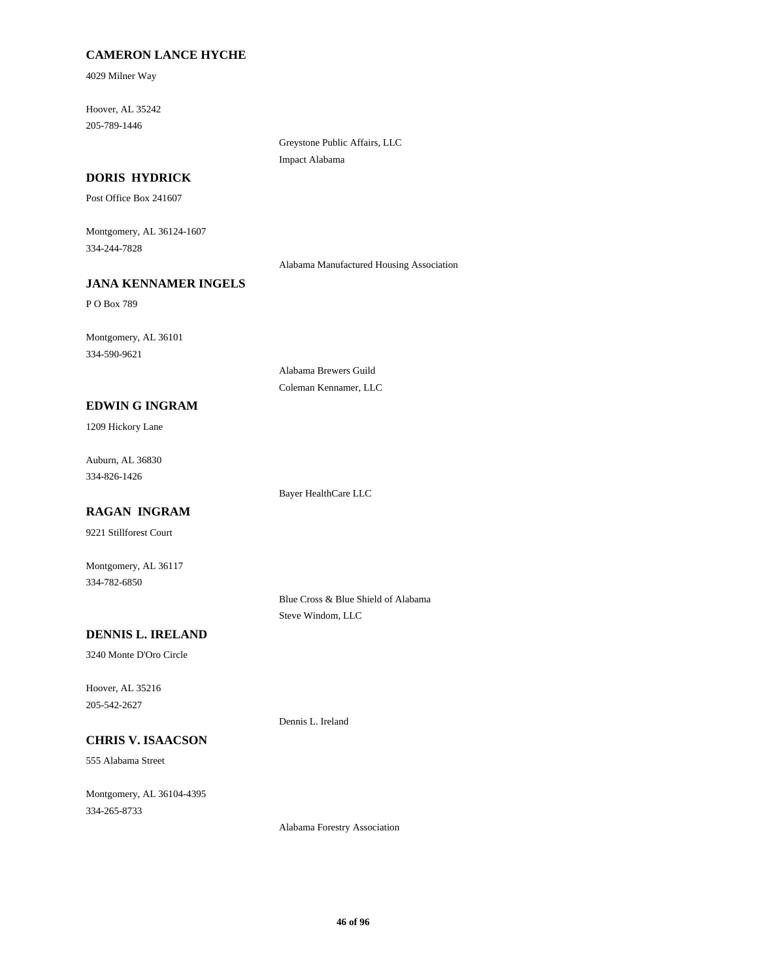# **CAMERON LANCE HYCHE**

4029 Milner Way

205-789-1446 Hoover, AL 35242

> Greystone Public Affairs, LLC Impact Alabama

## **DORIS HYDRICK**

Post Office Box 241607

334-244-7828 Montgomery, AL 36124-1607

Alabama Manufactured Housing Association

# **JANA KENNAMER INGELS**

P O Box 789

334-590-9621 Montgomery, AL 36101

> Alabama Brewers Guild Coleman Kennamer, LLC

#### **EDWIN G INGRAM**

1209 Hickory Lane

334-826-1426 Auburn, AL 36830

Bayer HealthCare LLC

# **RAGAN INGRAM**

9221 Stillforest Court

334-782-6850 Montgomery, AL 36117

> Blue Cross & Blue Shield of Alabama Steve Windom, LLC

## **DENNIS L. IRELAND**

3240 Monte D'Oro Circle

205-542-2627 Hoover, AL 35216

# **CHRIS V. ISAACSON**

555 Alabama Street

334-265-8733 Montgomery, AL 36104-4395 Dennis L. Ireland

Alabama Forestry Association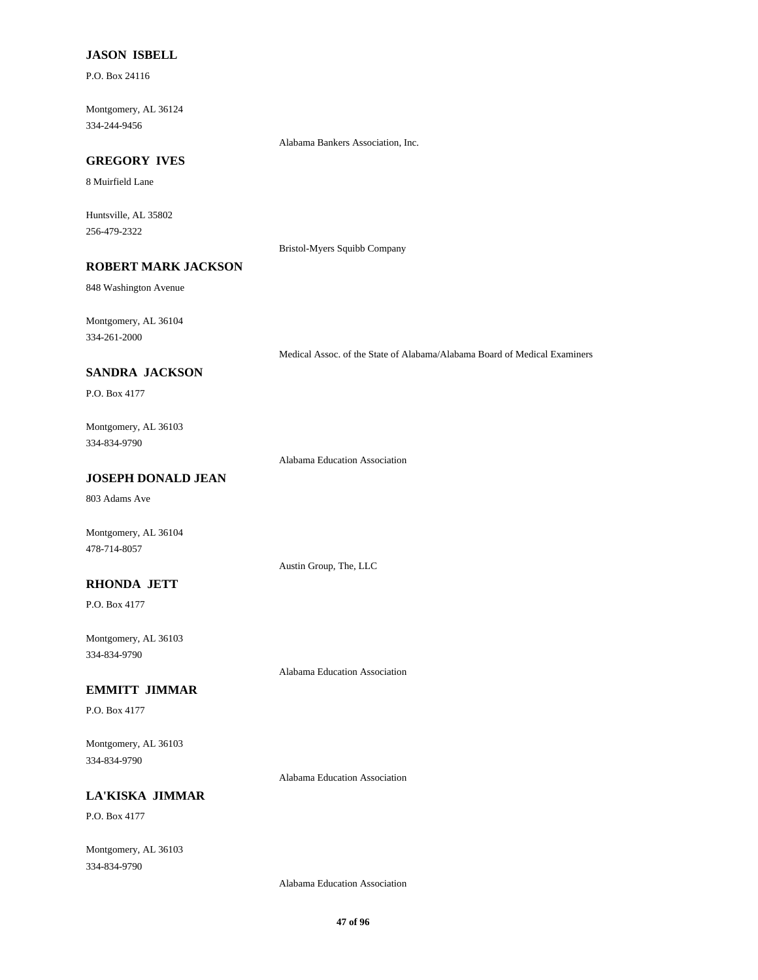## **JASON ISBELL**

P.O. Box 24116

334-244-9456 Montgomery, AL 36124

Alabama Bankers Association, Inc.

# **GREGORY IVES**

8 Muirfield Lane

256-479-2322 Huntsville, AL 35802

Bristol-Myers Squibb Company

# **ROBERT MARK JACKSON**

848 Washington Avenue

334-261-2000 Montgomery, AL 36104

Medical Assoc. of the State of Alabama/Alabama Board of Medical Examiners

### **SANDRA JACKSON**

P.O. Box 4177

# 334-834-9790 Montgomery, AL 36103

Alabama Education Association

Austin Group, The, LLC

# **JOSEPH DONALD JEAN**

803 Adams Ave

Montgomery, AL 36104 478-714-8057

## **RHONDA JETT**

P.O. Box 4177

334-834-9790 Montgomery, AL 36103

Alabama Education Association

#### **EMMITT JIMMAR**

P.O. Box 4177

334-834-9790 Montgomery, AL 36103

Alabama Education Association

# **LA'KISKA JIMMAR**

P.O. Box 4177

334-834-9790 Montgomery, AL 36103

Alabama Education Association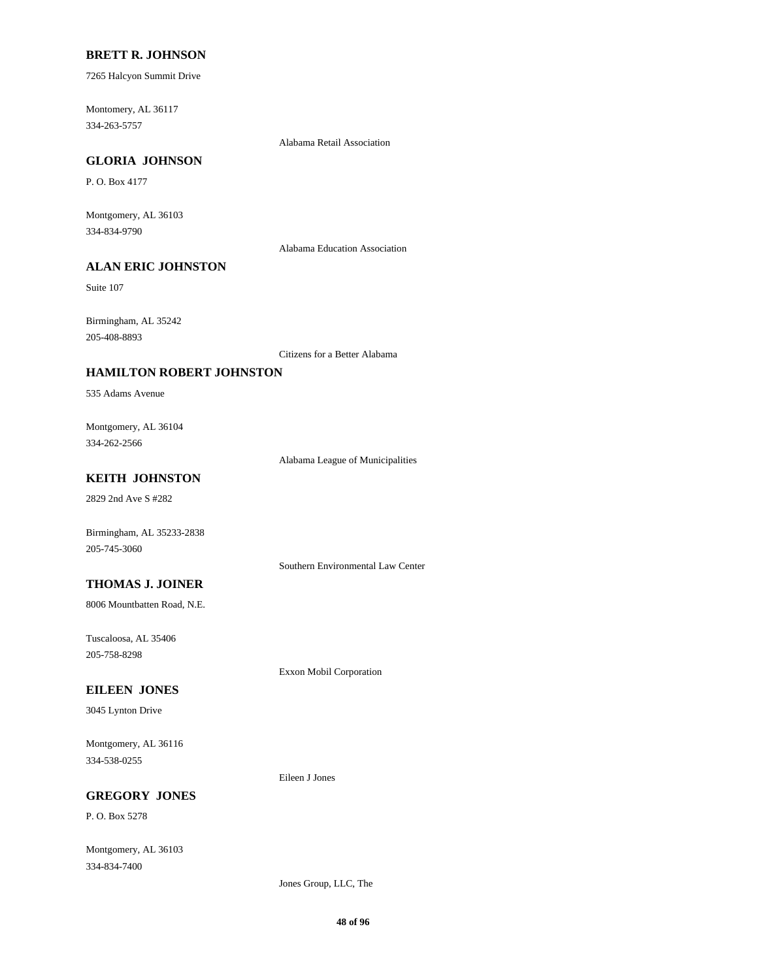#### **BRETT R. JOHNSON**

7265 Halcyon Summit Drive

334-263-5757 Montomery, AL 36117

Alabama Retail Association

# **GLORIA JOHNSON**

P. O. Box 4177

334-834-9790 Montgomery, AL 36103

Alabama Education Association

# **ALAN ERIC JOHNSTON**

Suite 107

205-408-8893 Birmingham, AL 35242

Citizens for a Better Alabama

## **HAMILTON ROBERT JOHNSTON**

535 Adams Avenue

334-262-2566 Montgomery, AL 36104

Alabama League of Municipalities

# **KEITH JOHNSTON**

2829 2nd Ave S #282

Birmingham, AL 35233-2838 205-745-3060

Southern Environmental Law Center

# **THOMAS J. JOINER**

8006 Mountbatten Road, N.E.

205-758-8298 Tuscaloosa, AL 35406

Exxon Mobil Corporation

## **EILEEN JONES**

3045 Lynton Drive

334-538-0255 Montgomery, AL 36116

Eileen J Jones

# **GREGORY JONES**

P. O. Box 5278

334-834-7400 Montgomery, AL 36103

Jones Group, LLC, The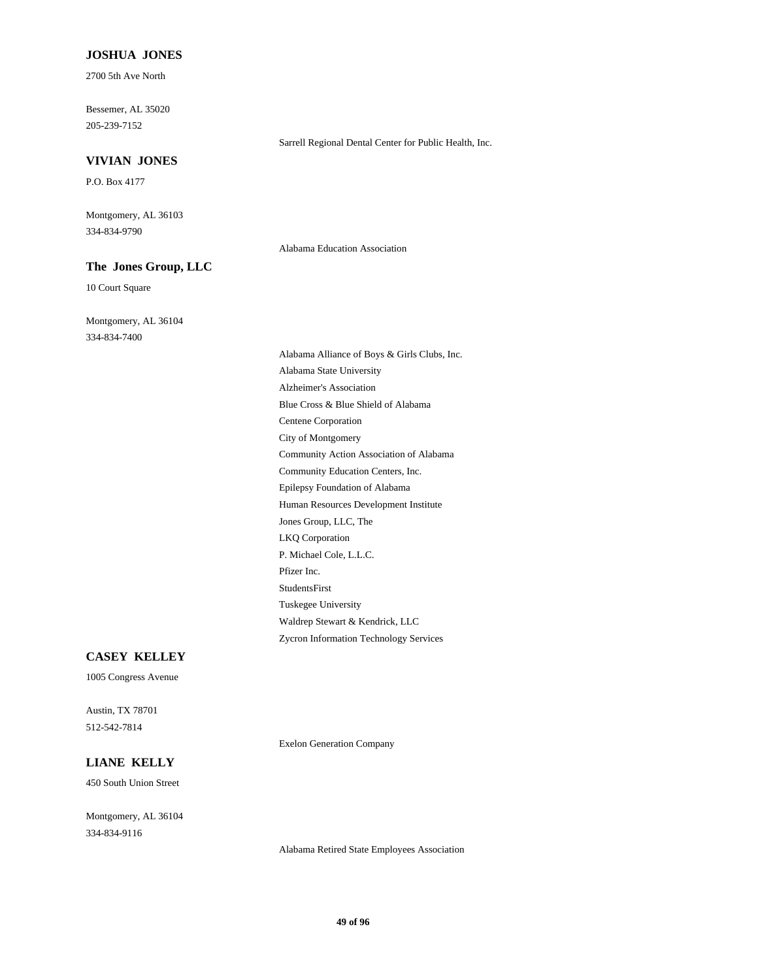#### **JOSHUA JONES**

2700 5th Ave North

205-239-7152 Bessemer, AL 35020

### **VIVIAN JONES**

P.O. Box 4177

334-834-9790 Montgomery, AL 36103

### **The Jones Group, LLC**

10 Court Square

334-834-7400 Montgomery, AL 36104

P. Michael Cole, L.L.C. Pfizer Inc. Jones Group, LLC, The LKQ Corporation Waldrep Stewart & Kendrick, LLC Zycron Information Technology Services StudentsFirst Tuskegee University Human Resources Development Institute Alzheimer's Association Blue Cross & Blue Shield of Alabama Alabama Alliance of Boys & Girls Clubs, Inc. Alabama State University Centene Corporation Community Education Centers, Inc. Epilepsy Foundation of Alabama City of Montgomery Community Action Association of Alabama

Alabama Education Association

Sarrell Regional Dental Center for Public Health, Inc.

# **CASEY KELLEY**

1005 Congress Avenue

512-542-7814 Austin, TX 78701

Exelon Generation Company

# **LIANE KELLY**

450 South Union Street

334-834-9116 Montgomery, AL 36104

Alabama Retired State Employees Association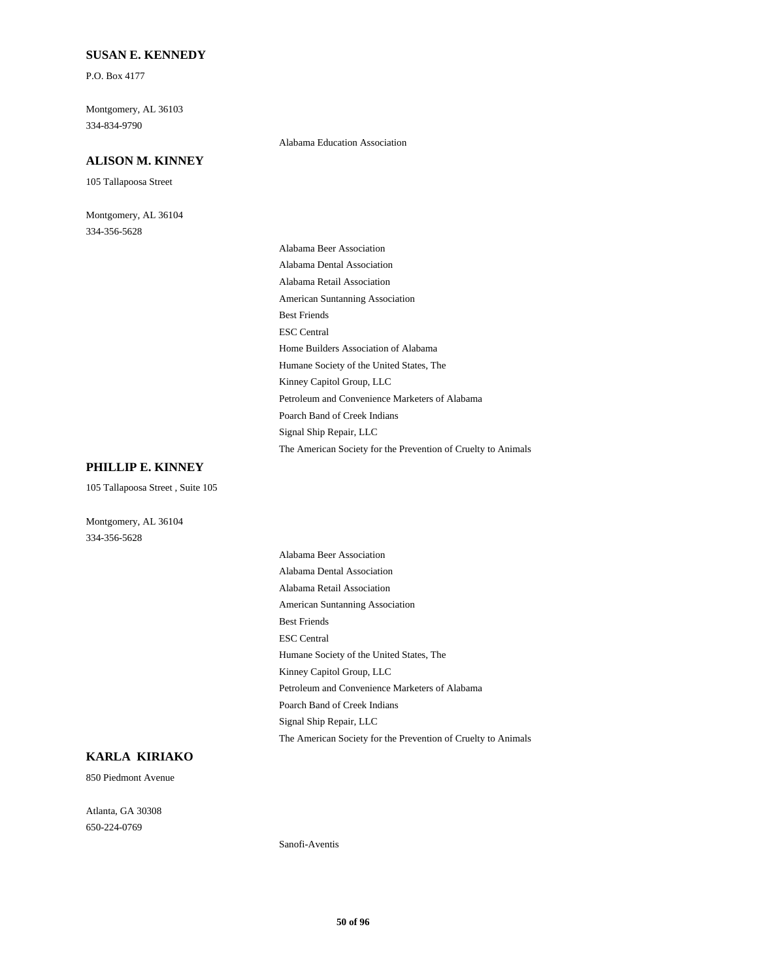#### **SUSAN E. KENNEDY**

P.O. Box 4177

334-834-9790 Montgomery, AL 36103

#### **ALISON M. KINNEY**

105 Tallapoosa Street

334-356-5628 Montgomery, AL 36104

#### Alabama Education Association

American Suntanning Association Best Friends ESC Central Alabama Beer Association Alabama Dental Association Alabama Retail Association Home Builders Association of Alabama Poarch Band of Creek Indians Signal Ship Repair, LLC The American Society for the Prevention of Cruelty to Animals Humane Society of the United States, The Kinney Capitol Group, LLC Petroleum and Convenience Marketers of Alabama

#### **PHILLIP E. KINNEY**

105 Tallapoosa Street , Suite 105

Montgomery, AL 36104 334-356-5628

> American Suntanning Association Best Friends ESC Central Alabama Beer Association Alabama Dental Association Alabama Retail Association Poarch Band of Creek Indians Signal Ship Repair, LLC The American Society for the Prevention of Cruelty to Animals Humane Society of the United States, The Kinney Capitol Group, LLC Petroleum and Convenience Marketers of Alabama

# **KARLA KIRIAKO**

850 Piedmont Avenue

650-224-0769 Atlanta, GA 30308

Sanofi-Aventis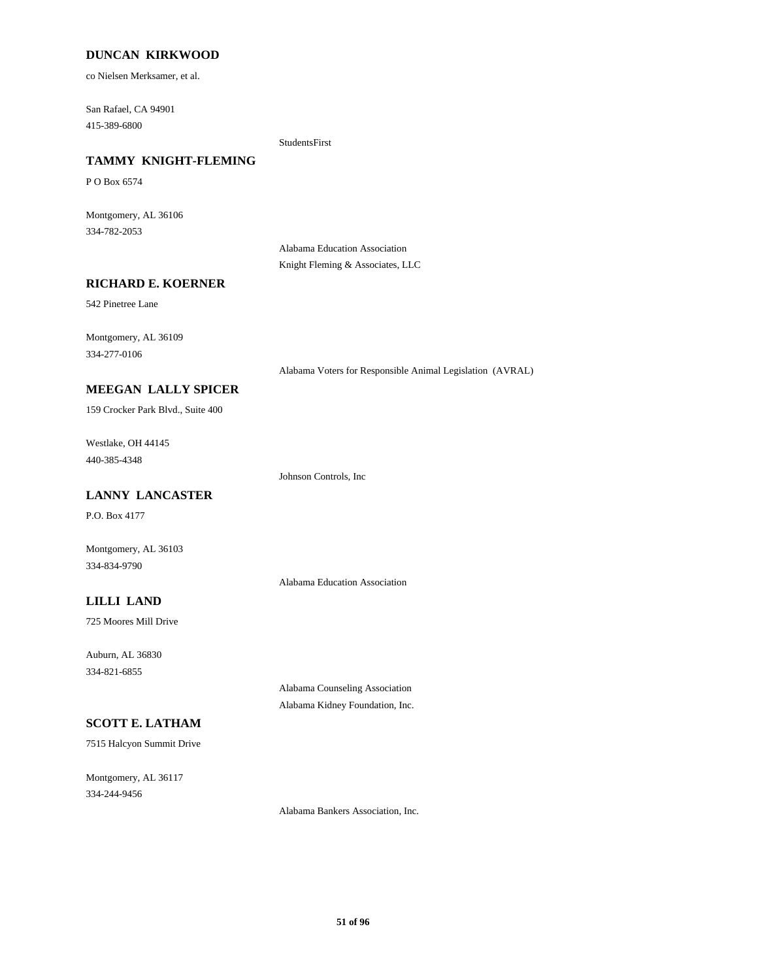## **DUNCAN KIRKWOOD**

co Nielsen Merksamer, et al.

415-389-6800 San Rafael, CA 94901

StudentsFirst

# **TAMMY KNIGHT-FLEMING**

P O Box 6574

334-782-2053 Montgomery, AL 36106

> Alabama Education Association Knight Fleming & Associates, LLC

## **RICHARD E. KOERNER**

542 Pinetree Lane

334-277-0106 Montgomery, AL 36109

Alabama Voters for Responsible Animal Legislation (AVRAL)

# **MEEGAN LALLY SPICER**

159 Crocker Park Blvd., Suite 400

440-385-4348 Westlake, OH 44145

Johnson Controls, Inc

# **LANNY LANCASTER**

P.O. Box 4177

Montgomery, AL 36103 334-834-9790

Alabama Education Association

## **LILLI LAND**

725 Moores Mill Drive

334-821-6855 Auburn, AL 36830

> Alabama Counseling Association Alabama Kidney Foundation, Inc.

# **SCOTT E. LATHAM**

7515 Halcyon Summit Drive

334-244-9456 Montgomery, AL 36117

Alabama Bankers Association, Inc.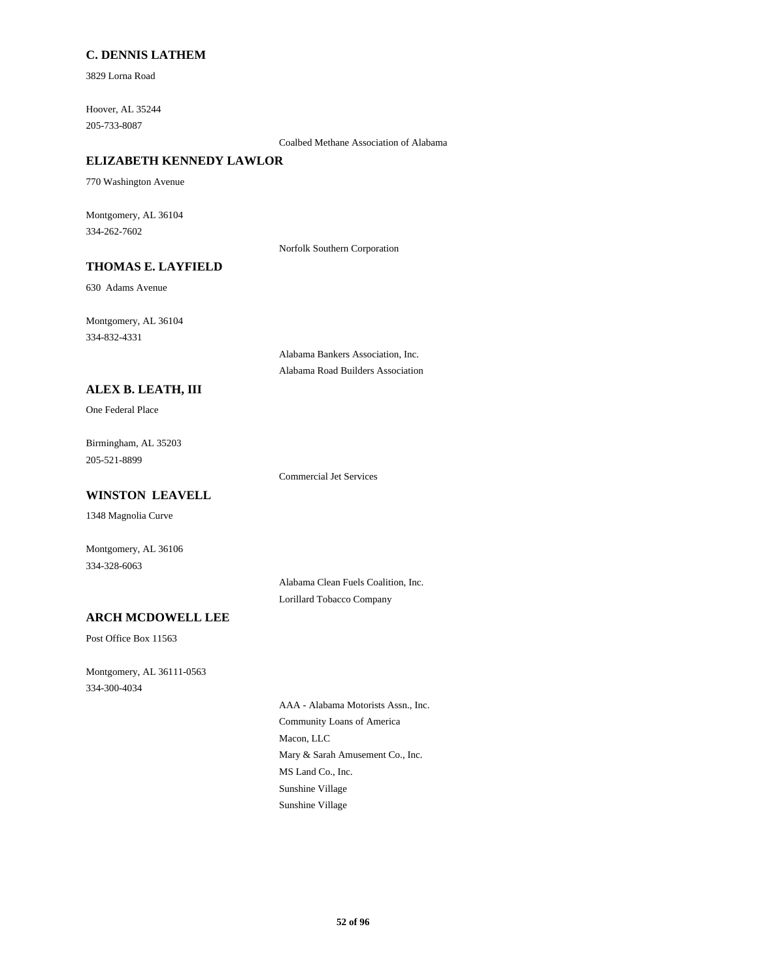## **C. DENNIS LATHEM**

3829 Lorna Road

205-733-8087 Hoover, AL 35244

Coalbed Methane Association of Alabama

# **ELIZABETH KENNEDY LAWLOR**

770 Washington Avenue

334-262-7602 Montgomery, AL 36104

Norfolk Southern Corporation

# **THOMAS E. LAYFIELD**

630 Adams Avenue

334-832-4331 Montgomery, AL 36104

> Alabama Bankers Association, Inc. Alabama Road Builders Association

## **ALEX B. LEATH, III**

One Federal Place

205-521-8899 Birmingham, AL 35203

Commercial Jet Services

## **WINSTON LEAVELL**

1348 Magnolia Curve

Montgomery, AL 36106 334-328-6063

> Alabama Clean Fuels Coalition, Inc. Lorillard Tobacco Company

# **ARCH MCDOWELL LEE**

Post Office Box 11563

334-300-4034 Montgomery, AL 36111-0563

> Macon, LLC Community Loans of America AAA - Alabama Motorists Assn., Inc. Mary & Sarah Amusement Co., Inc. Sunshine Village Sunshine Village MS Land Co., Inc.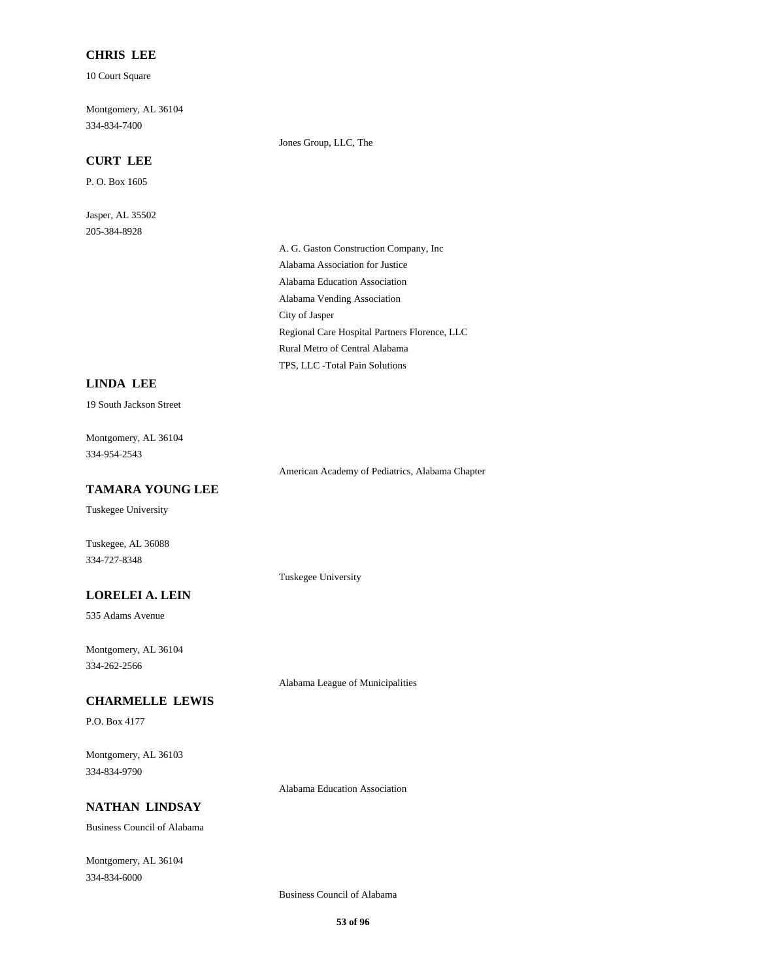## **CHRIS LEE**

10 Court Square

334-834-7400 Montgomery, AL 36104

## **CURT LEE**

P. O. Box 1605

205-384-8928 Jasper, AL 35502 Jones Group, LLC, The

Alabama Education Association Alabama Vending Association A. G. Gaston Construction Company, Inc Alabama Association for Justice Rural Metro of Central Alabama TPS, LLC -Total Pain Solutions City of Jasper Regional Care Hospital Partners Florence, LLC

# **LINDA LEE**

19 South Jackson Street

334-954-2543 Montgomery, AL 36104

American Academy of Pediatrics, Alabama Chapter

**TAMARA YOUNG LEE**

Tuskegee University

Tuskegee, AL 36088 334-727-8348

## **LORELEI A. LEIN**

535 Adams Avenue

334-262-2566 Montgomery, AL 36104

Alabama League of Municipalities

Tuskegee University

## **CHARMELLE LEWIS**

P.O. Box 4177

334-834-9790 Montgomery, AL 36103

Alabama Education Association

# **NATHAN LINDSAY**

Business Council of Alabama

334-834-6000 Montgomery, AL 36104

Business Council of Alabama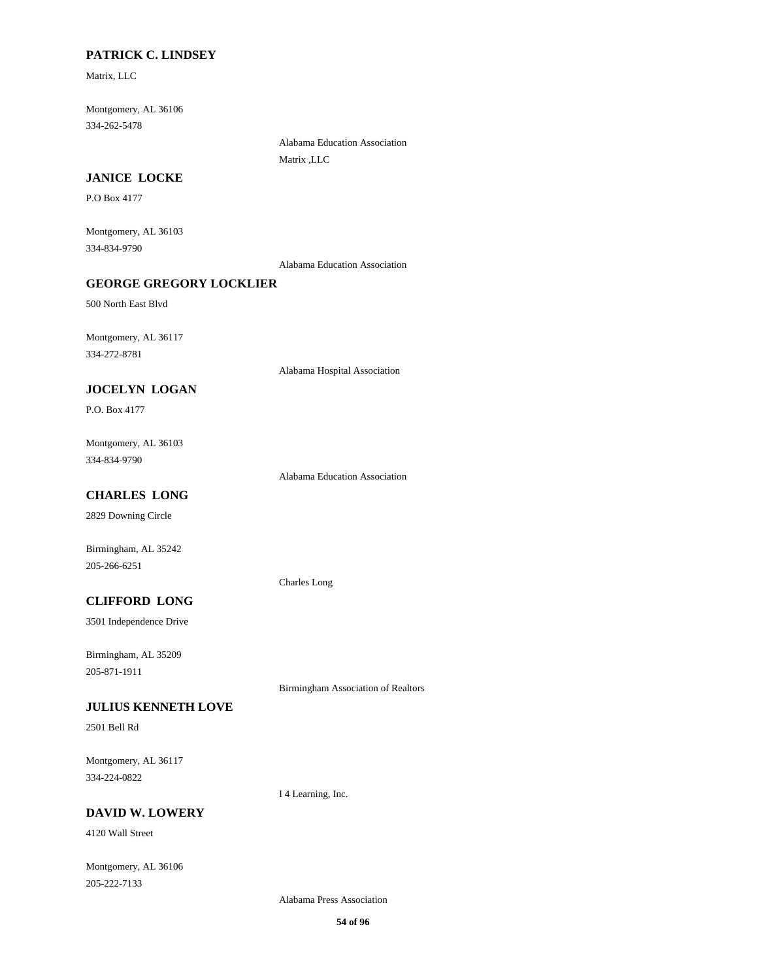## **PATRICK C. LINDSEY**

Matrix, LLC

334-262-5478 Montgomery, AL 36106

> Alabama Education Association Matrix ,LLC

## **JANICE LOCKE**

P.O Box 4177

334-834-9790 Montgomery, AL 36103

Alabama Education Association

# **GEORGE GREGORY LOCKLIER**

500 North East Blvd

334-272-8781 Montgomery, AL 36117

Alabama Hospital Association

# **JOCELYN LOGAN**

P.O. Box 4177

334-834-9790 Montgomery, AL 36103

Alabama Education Association

# **CHARLES LONG**

2829 Downing Circle

205-266-6251 Birmingham, AL 35242

Charles Long

# **CLIFFORD LONG**

3501 Independence Drive

205-871-1911 Birmingham, AL 35209

Birmingham Association of Realtors

## **JULIUS KENNETH LOVE**

2501 Bell Rd

334-224-0822 Montgomery, AL 36117

I 4 Learning, Inc.

## **DAVID W. LOWERY**

4120 Wall Street

205-222-7133 Montgomery, AL 36106

Alabama Press Association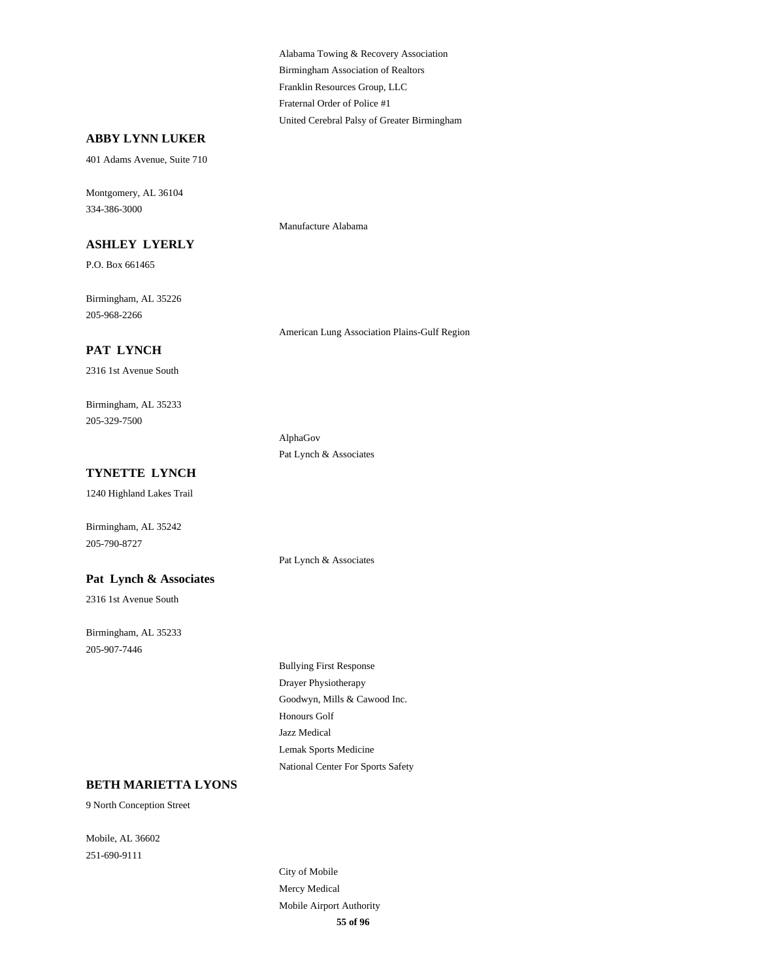Birmingham Association of Realtors Alabama Towing & Recovery Association Franklin Resources Group, LLC United Cerebral Palsy of Greater Birmingham Fraternal Order of Police #1

## **ABBY LYNN LUKER**

401 Adams Avenue, Suite 710

334-386-3000 Montgomery, AL 36104

#### **ASHLEY LYERLY**

P.O. Box 661465

205-968-2266 Birmingham, AL 35226

**PAT LYNCH**

2316 1st Avenue South

205-329-7500 Birmingham, AL 35233

# **TYNETTE LYNCH**

1240 Highland Lakes Trail

Birmingham, AL 35242 205-790-8727

### **Pat Lynch & Associates**

2316 1st Avenue South

205-907-7446 Birmingham, AL 35233 Manufacture Alabama

American Lung Association Plains-Gulf Region

AlphaGov Pat Lynch & Associates

Pat Lynch & Associates

Goodwyn, Mills & Cawood Inc. Drayer Physiotherapy Bullying First Response Honours Golf National Center For Sports Safety Lemak Sports Medicine Jazz Medical

## **BETH MARIETTA LYONS**

9 North Conception Street

251-690-9111 Mobile, AL 36602

> **55 of 96** Mercy Medical City of Mobile Mobile Airport Authority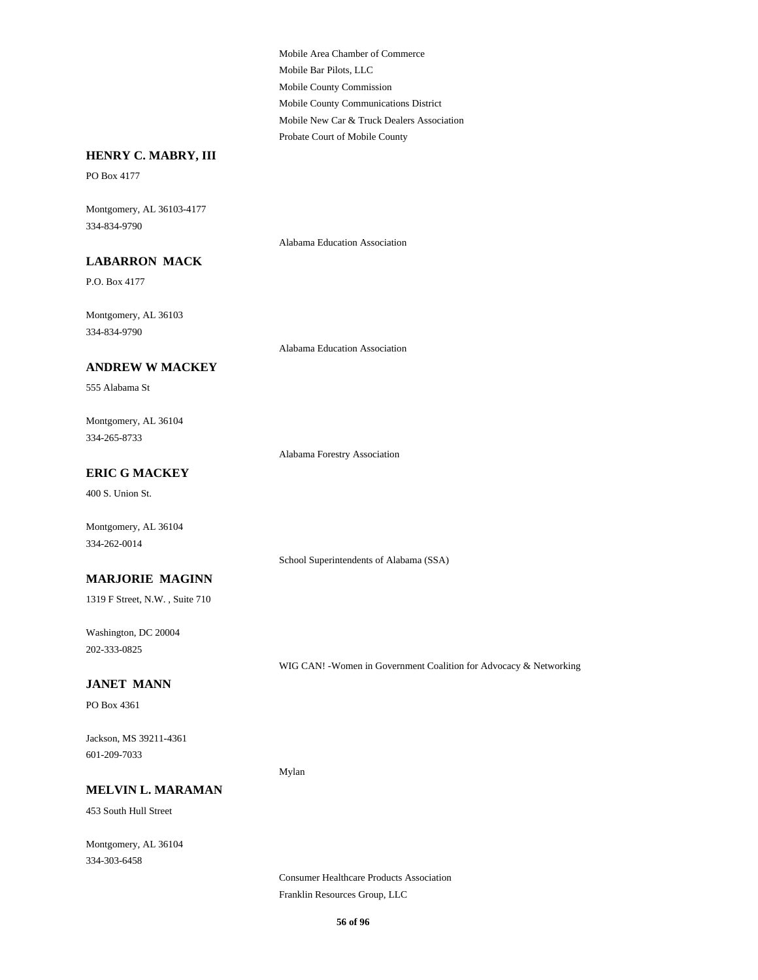Mobile County Commission Mobile Bar Pilots, LLC Mobile Area Chamber of Commerce Probate Court of Mobile County Mobile New Car & Truck Dealers Association Mobile County Communications District

## **HENRY C. MABRY, III**

PO Box 4177

334-834-9790 Montgomery, AL 36103-4177

Alabama Education Association

## **LABARRON MACK**

P.O. Box 4177

334-834-9790 Montgomery, AL 36103

Alabama Education Association

## **ANDREW W MACKEY**

555 Alabama St

334-265-8733 Montgomery, AL 36104

Alabama Forestry Association

# **ERIC G MACKEY**

400 S. Union St.

Montgomery, AL 36104 334-262-0014

School Superintendents of Alabama (SSA)

**MARJORIE MAGINN**

1319 F Street, N.W. , Suite 710

202-333-0825 Washington, DC 20004

WIG CAN! -Women in Government Coalition for Advocacy & Networking

# **JANET MANN**

PO Box 4361

601-209-7033 Jackson, MS 39211-4361

Mylan

#### **MELVIN L. MARAMAN**

453 South Hull Street

334-303-6458 Montgomery, AL 36104

> Franklin Resources Group, LLC Consumer Healthcare Products Association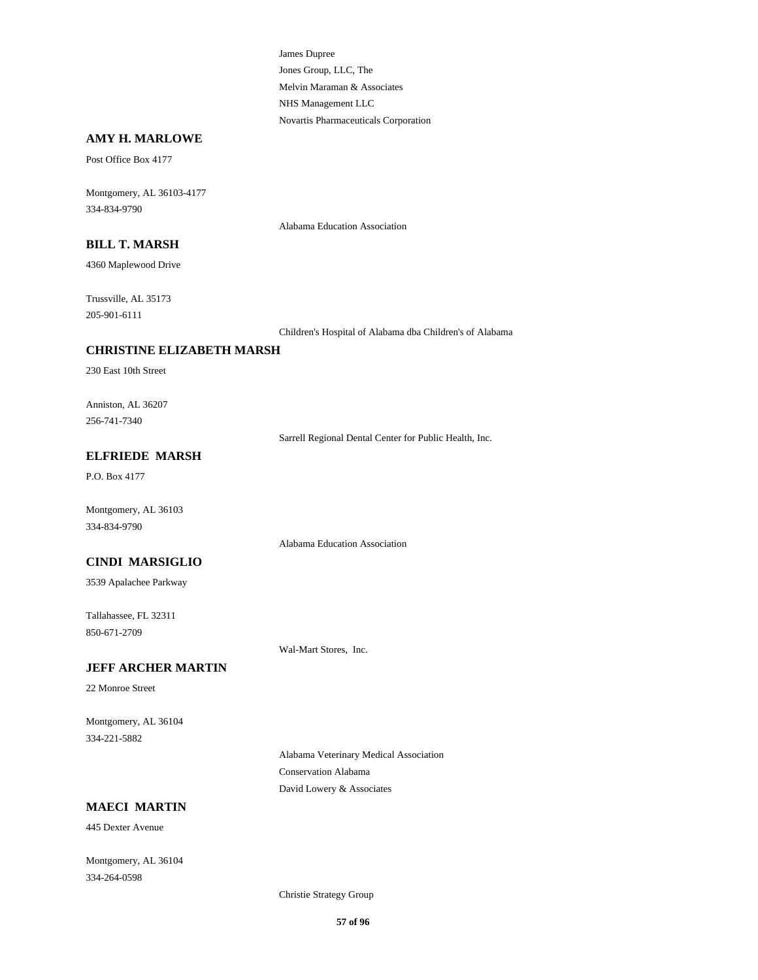Jones Group, LLC, The James Dupree Melvin Maraman & Associates Novartis Pharmaceuticals Corporation NHS Management LLC

## **AMY H. MARLOWE**

Post Office Box 4177

334-834-9790 Montgomery, AL 36103-4177

Alabama Education Association

#### **BILL T. MARSH**

4360 Maplewood Drive

205-901-6111 Trussville, AL 35173

Children's Hospital of Alabama dba Children's of Alabama

## **CHRISTINE ELIZABETH MARSH**

230 East 10th Street

256-741-7340 Anniston, AL 36207

Sarrell Regional Dental Center for Public Health, Inc.

# **ELFRIEDE MARSH**

P.O. Box 4177

334-834-9790 Montgomery, AL 36103

Alabama Education Association

## **CINDI MARSIGLIO**

3539 Apalachee Parkway

850-671-2709 Tallahassee, FL 32311

Wal-Mart Stores, Inc.

## **JEFF ARCHER MARTIN**

22 Monroe Street

334-221-5882 Montgomery, AL 36104

> Alabama Veterinary Medical Association Conservation Alabama David Lowery & Associates

# **MAECI MARTIN**

445 Dexter Avenue

334-264-0598 Montgomery, AL 36104

Christie Strategy Group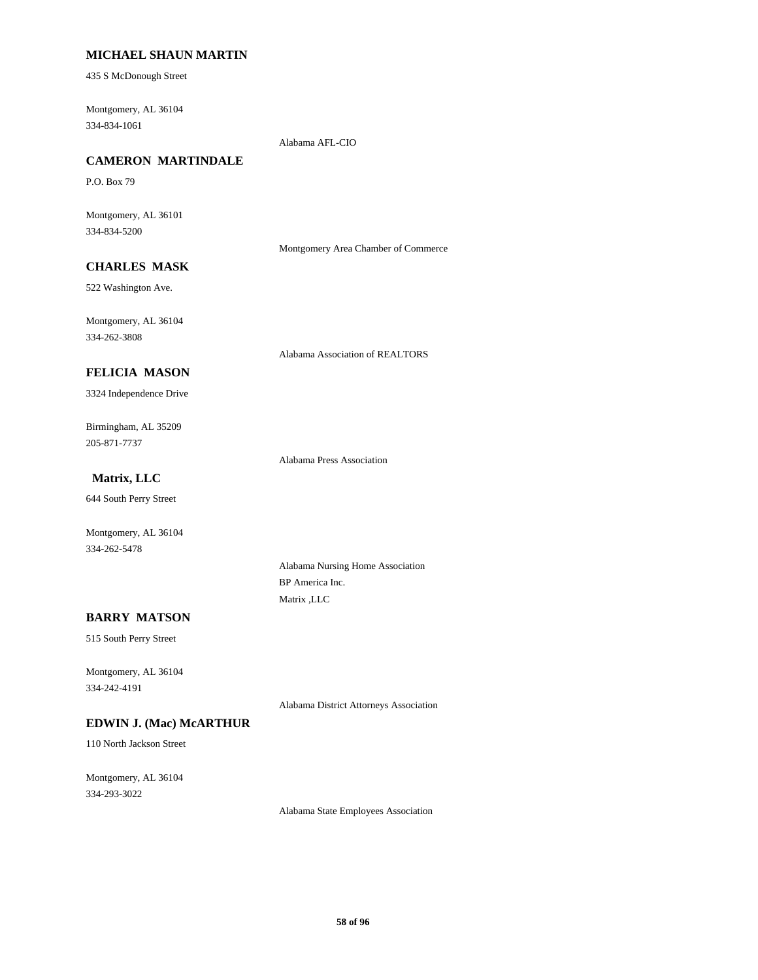## **MICHAEL SHAUN MARTIN**

435 S McDonough Street

334-834-1061 Montgomery, AL 36104

Alabama AFL-CIO

# **CAMERON MARTINDALE**

P.O. Box 79

334-834-5200 Montgomery, AL 36101

Montgomery Area Chamber of Commerce

# **CHARLES MASK**

522 Washington Ave.

334-262-3808 Montgomery, AL 36104

Alabama Association of REALTORS

# **FELICIA MASON**

3324 Independence Drive

205-871-7737 Birmingham, AL 35209

Alabama Press Association

# **Matrix, LLC**

644 South Perry Street

334-262-5478 Montgomery, AL 36104

> Alabama Nursing Home Association BP America Inc. Matrix ,LLC

## **BARRY MATSON**

515 South Perry Street

334-242-4191 Montgomery, AL 36104

Alabama District Attorneys Association

## **EDWIN J. (Mac) McARTHUR**

110 North Jackson Street

334-293-3022 Montgomery, AL 36104

Alabama State Employees Association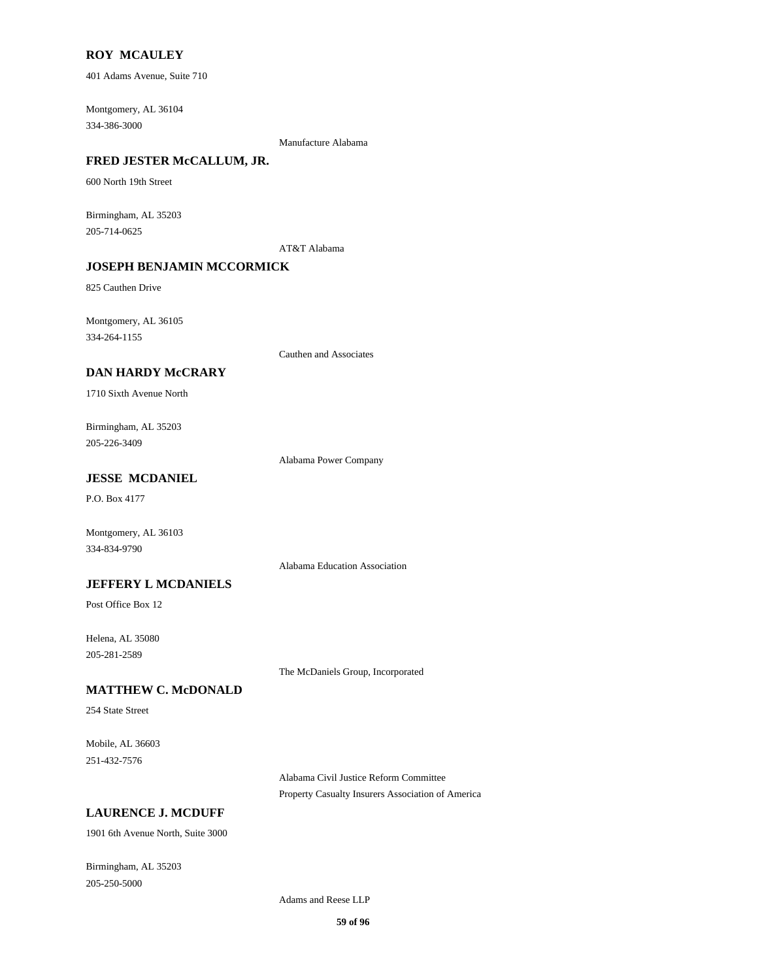#### **ROY MCAULEY**

401 Adams Avenue, Suite 710

334-386-3000 Montgomery, AL 36104

Manufacture Alabama

# **FRED JESTER McCALLUM, JR.**

600 North 19th Street

205-714-0625 Birmingham, AL 35203

AT&T Alabama

# **JOSEPH BENJAMIN MCCORMICK**

825 Cauthen Drive

334-264-1155 Montgomery, AL 36105

Cauthen and Associates

## **DAN HARDY McCRARY**

1710 Sixth Avenue North

205-226-3409 Birmingham, AL 35203

Alabama Power Company

# **JESSE MCDANIEL**

P.O. Box 4177

334-834-9790 Montgomery, AL 36103

Alabama Education Association

## **JEFFERY L MCDANIELS**

Post Office Box 12

205-281-2589 Helena, AL 35080

The McDaniels Group, Incorporated

### **MATTHEW C. McDONALD**

254 State Street

251-432-7576 Mobile, AL 36603

> Alabama Civil Justice Reform Committee Property Casualty Insurers Association of America

## **LAURENCE J. MCDUFF**

1901 6th Avenue North, Suite 3000

205-250-5000 Birmingham, AL 35203

Adams and Reese LLP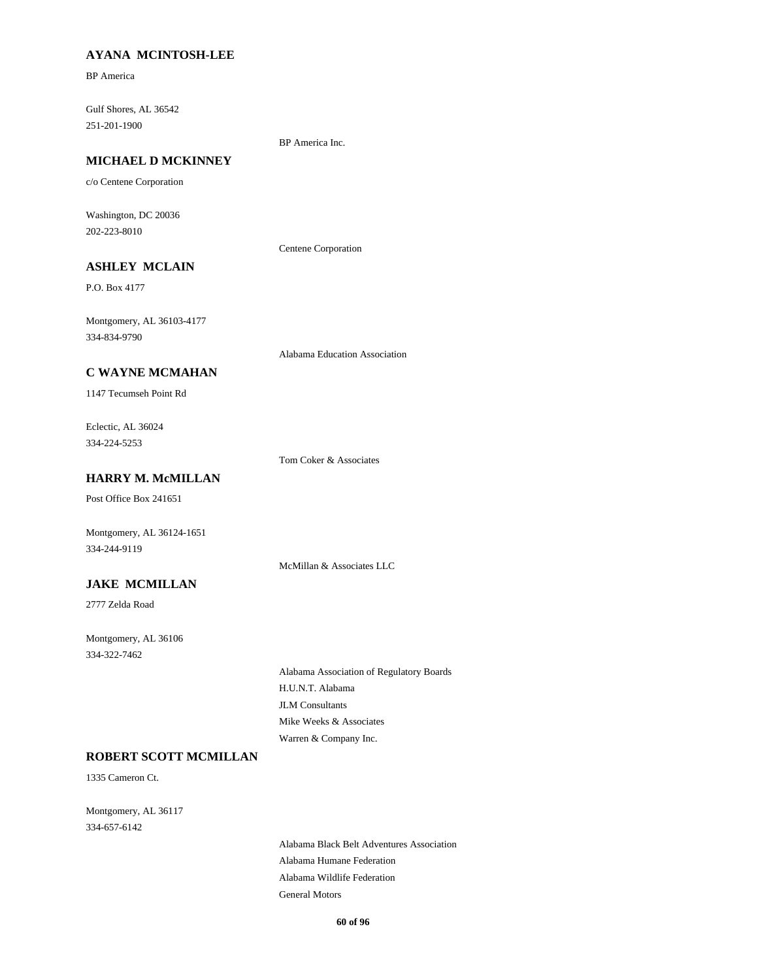## **AYANA MCINTOSH-LEE**

BP America

251-201-1900 Gulf Shores, AL 36542

BP America Inc.

# **MICHAEL D MCKINNEY**

c/o Centene Corporation

202-223-8010 Washington, DC 20036

Centene Corporation

# **ASHLEY MCLAIN**

P.O. Box 4177

334-834-9790 Montgomery, AL 36103-4177

Alabama Education Association

## **C WAYNE MCMAHAN**

1147 Tecumseh Point Rd

334-224-5253 Eclectic, AL 36024

Tom Coker & Associates

# **HARRY M. McMILLAN**

Post Office Box 241651

Montgomery, AL 36124-1651 334-244-9119

McMillan & Associates LLC

# **JAKE MCMILLAN**

2777 Zelda Road

334-322-7462 Montgomery, AL 36106

> H.U.N.T. Alabama Alabama Association of Regulatory Boards JLM Consultants Warren & Company Inc. Mike Weeks & Associates

# **ROBERT SCOTT MCMILLAN**

1335 Cameron Ct.

334-657-6142 Montgomery, AL 36117

> Alabama Wildlife Federation Alabama Humane Federation Alabama Black Belt Adventures Association General Motors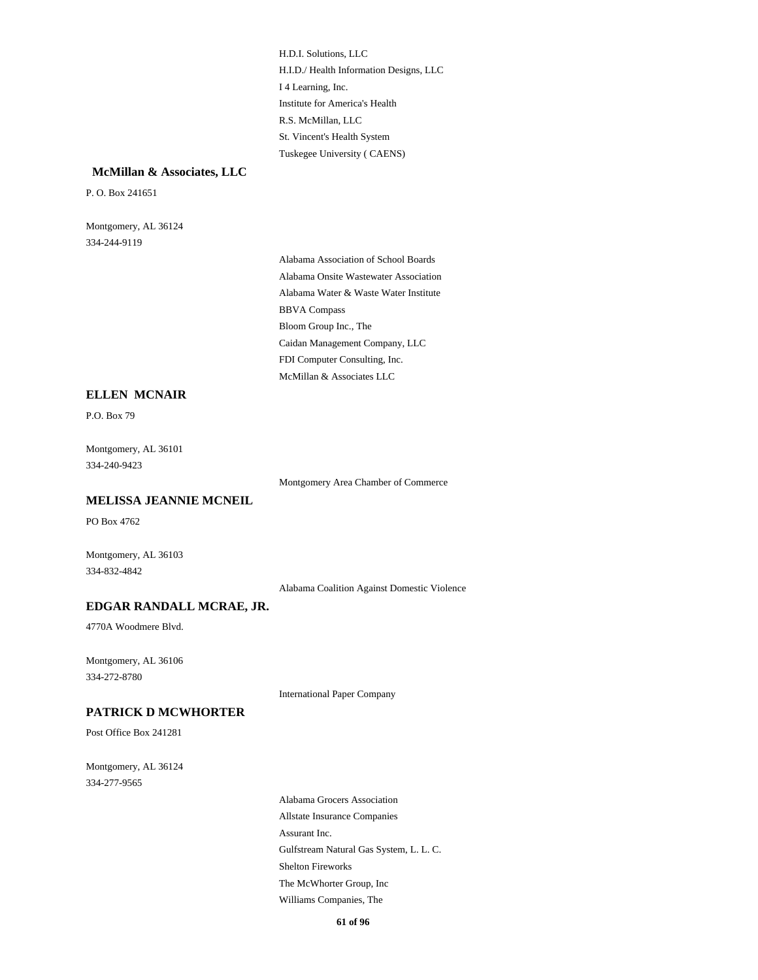I 4 Learning, Inc. H.I.D./ Health Information Designs, LLC H.D.I. Solutions, LLC Institute for America's Health Tuskegee University ( CAENS) St. Vincent's Health System R.S. McMillan, LLC

#### **McMillan & Associates, LLC**

P. O. Box 241651

334-244-9119 Montgomery, AL 36124

> Alabama Water & Waste Water Institute BBVA Compass Alabama Association of School Boards Alabama Onsite Wastewater Association FDI Computer Consulting, Inc. McMillan & Associates LLC Bloom Group Inc., The Caidan Management Company, LLC

#### **ELLEN MCNAIR**

P.O. Box 79

334-240-9423 Montgomery, AL 36101

Montgomery Area Chamber of Commerce

**MELISSA JEANNIE MCNEIL**

PO Box 4762

Montgomery, AL 36103 334-832-4842

Alabama Coalition Against Domestic Violence

### **EDGAR RANDALL MCRAE, JR.**

4770A Woodmere Blvd.

334-272-8780 Montgomery, AL 36106

International Paper Company

# **PATRICK D MCWHORTER**

Post Office Box 241281

334-277-9565 Montgomery, AL 36124

> Assurant Inc. Allstate Insurance Companies Alabama Grocers Association Gulfstream Natural Gas System, L. L. C. Williams Companies, The The McWhorter Group, Inc Shelton Fireworks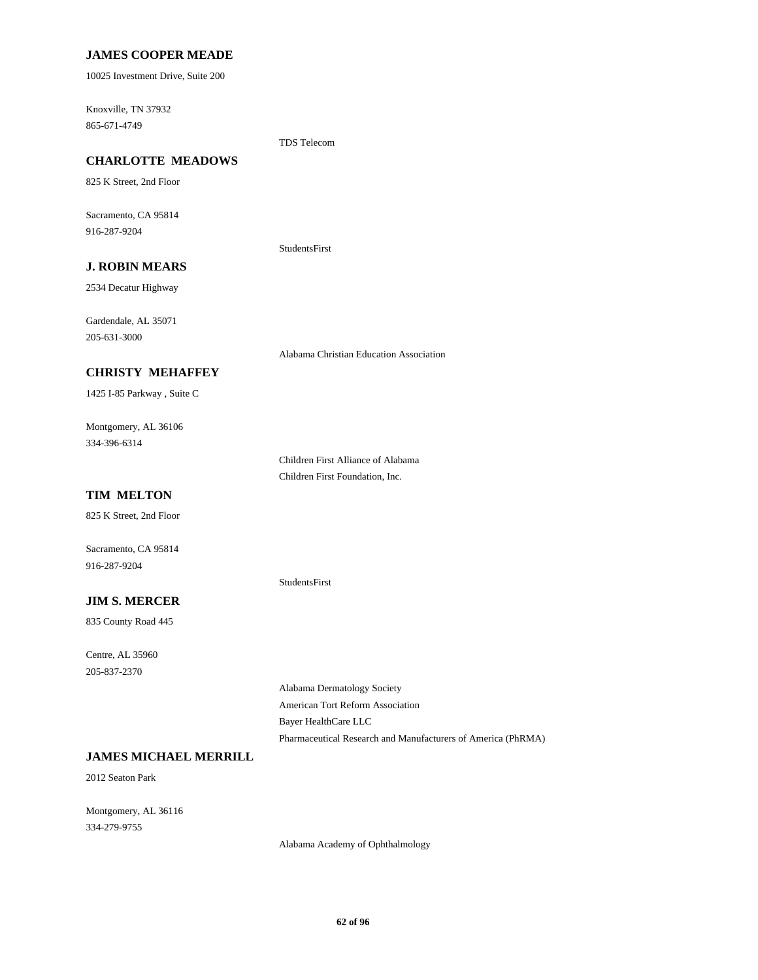## **JAMES COOPER MEADE**

10025 Investment Drive, Suite 200

865-671-4749 Knoxville, TN 37932

TDS Telecom

# **CHARLOTTE MEADOWS**

825 K Street, 2nd Floor

916-287-9204 Sacramento, CA 95814

StudentsFirst

# **J. ROBIN MEARS**

2534 Decatur Highway

205-631-3000 Gardendale, AL 35071

Alabama Christian Education Association

### **CHRISTY MEHAFFEY**

1425 I-85 Parkway , Suite C

334-396-6314 Montgomery, AL 36106

> Children First Alliance of Alabama Children First Foundation, Inc.

StudentsFirst

# **TIM MELTON**

825 K Street, 2nd Floor

916-287-9204 Sacramento, CA 95814

#### **JIM S. MERCER**

835 County Road 445

205-837-2370 Centre, AL 35960

> American Tort Reform Association Alabama Dermatology Society Pharmaceutical Research and Manufacturers of America (PhRMA) Bayer HealthCare LLC

# **JAMES MICHAEL MERRILL**

2012 Seaton Park

334-279-9755 Montgomery, AL 36116

Alabama Academy of Ophthalmology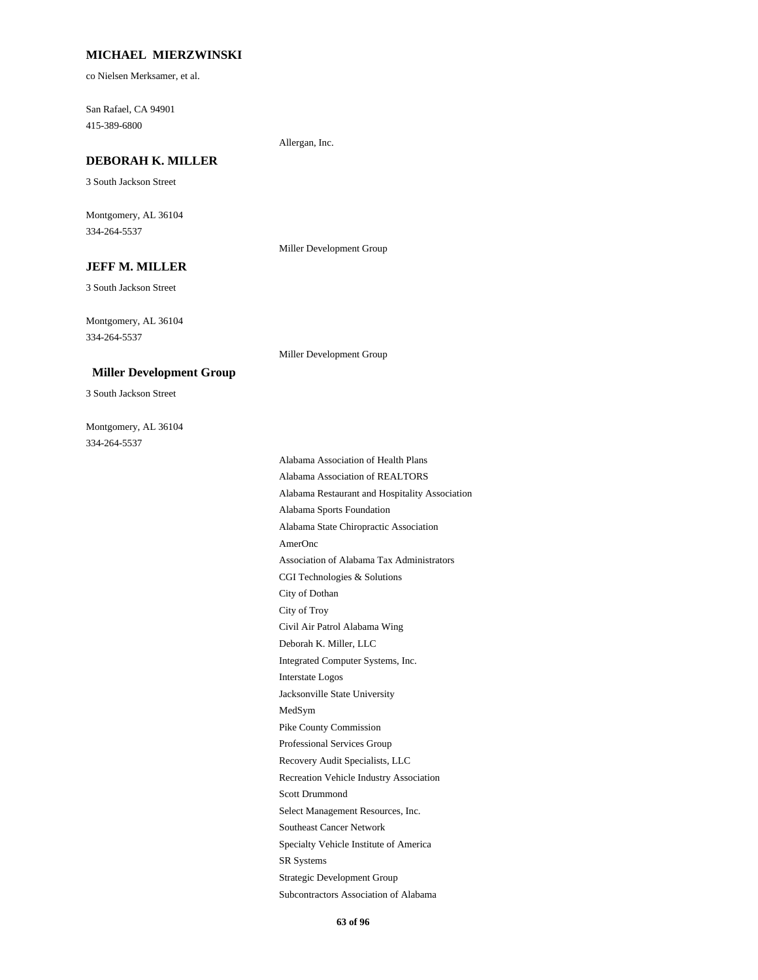#### **MICHAEL MIERZWINSKI**

co Nielsen Merksamer, et al.

415-389-6800 San Rafael, CA 94901

Allergan, Inc.

# **DEBORAH K. MILLER**

3 South Jackson Street

334-264-5537 Montgomery, AL 36104

#### Miller Development Group

Miller Development Group

3 South Jackson Street **JEFF M. MILLER**

334-264-5537 Montgomery, AL 36104

#### **Miller Development Group**

3 South Jackson Street

334-264-5537 Montgomery, AL 36104

> Deborah K. Miller, LLC Civil Air Patrol Alabama Wing City of Troy Jacksonville State University Interstate Logos Integrated Computer Systems, Inc. AmerOnc Alabama State Chiropractic Association Alabama Sports Foundation City of Dothan CGI Technologies & Solutions Association of Alabama Tax Administrators MedSym SR Systems Specialty Vehicle Institute of America Southeast Cancer Network Subcontractors Association of Alabama Strategic Development Group Recovery Audit Specialists, LLC Professional Services Group Pike County Commission Select Management Resources, Inc. Scott Drummond Recreation Vehicle Industry Association Alabama Restaurant and Hospitality Association Alabama Association of Health Plans Alabama Association of REALTORS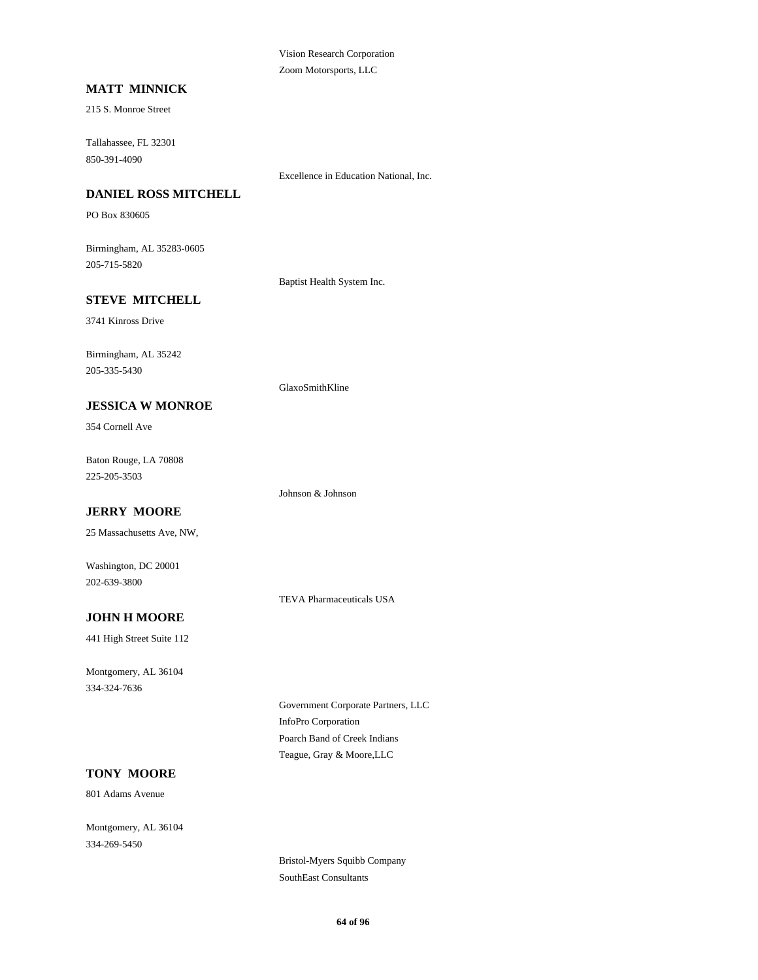Vision Research Corporation Zoom Motorsports, LLC

# **MATT MINNICK**

215 S. Monroe Street

850-391-4090 Tallahassee, FL 32301

Excellence in Education National, Inc.

# **DANIEL ROSS MITCHELL**

PO Box 830605

205-715-5820 Birmingham, AL 35283-0605

Baptist Health System Inc.

## **STEVE MITCHELL**

3741 Kinross Drive

205-335-5430 Birmingham, AL 35242

#### **JESSICA W MONROE**

354 Cornell Ave

225-205-3503 Baton Rouge, LA 70808

Johnson & Johnson

GlaxoSmithKline

# **JERRY MOORE**

25 Massachusetts Ave, NW,

202-639-3800 Washington, DC 20001

TEVA Pharmaceuticals USA

## **JOHN H MOORE**

441 High Street Suite 112

334-324-7636 Montgomery, AL 36104

> InfoPro Corporation Government Corporate Partners, LLC Teague, Gray & Moore,LLC Poarch Band of Creek Indians

### **TONY MOORE**

801 Adams Avenue

334-269-5450 Montgomery, AL 36104

> Bristol-Myers Squibb Company SouthEast Consultants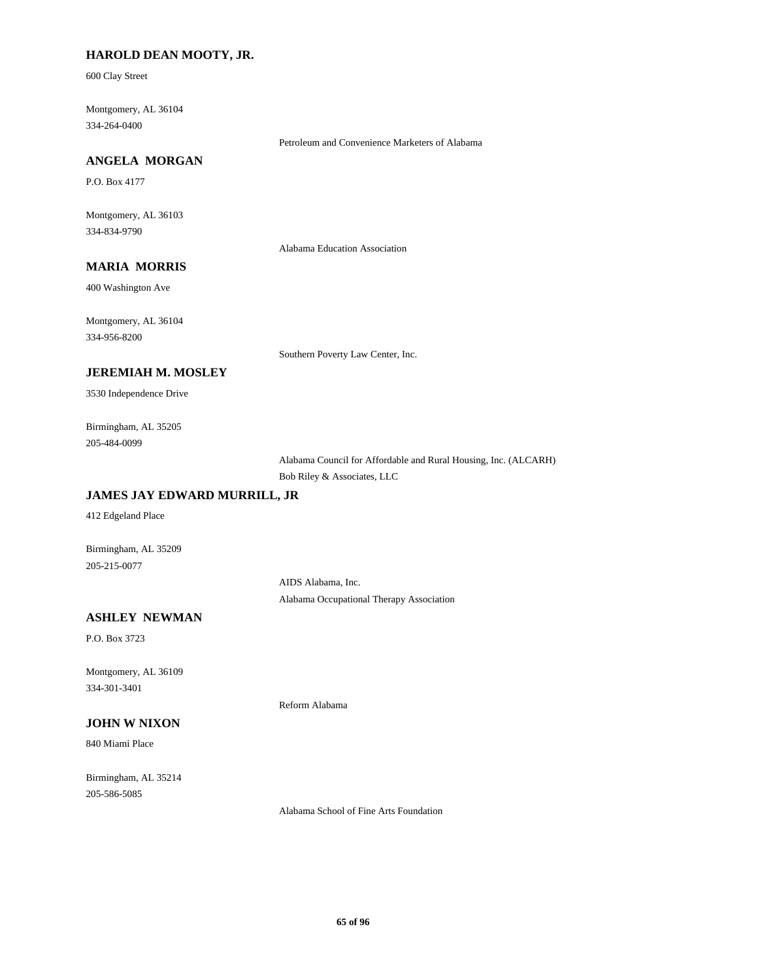## **HAROLD DEAN MOOTY, JR.**

600 Clay Street

334-264-0400 Montgomery, AL 36104

Petroleum and Convenience Marketers of Alabama

# **ANGELA MORGAN**

P.O. Box 4177

334-834-9790 Montgomery, AL 36103

Alabama Education Association

# **MARIA MORRIS**

400 Washington Ave

334-956-8200 Montgomery, AL 36104

Southern Poverty Law Center, Inc.

## **JEREMIAH M. MOSLEY**

3530 Independence Drive

205-484-0099 Birmingham, AL 35205

> Alabama Council for Affordable and Rural Housing, Inc. (ALCARH) Bob Riley & Associates, LLC

# **JAMES JAY EDWARD MURRILL, JR**

412 Edgeland Place

Birmingham, AL 35209 205-215-0077

> AIDS Alabama, Inc. Alabama Occupational Therapy Association

## **ASHLEY NEWMAN**

P.O. Box 3723

334-301-3401 Montgomery, AL 36109

# **JOHN W NIXON**

840 Miami Place

205-586-5085 Birmingham, AL 35214

Alabama School of Fine Arts Foundation

Reform Alabama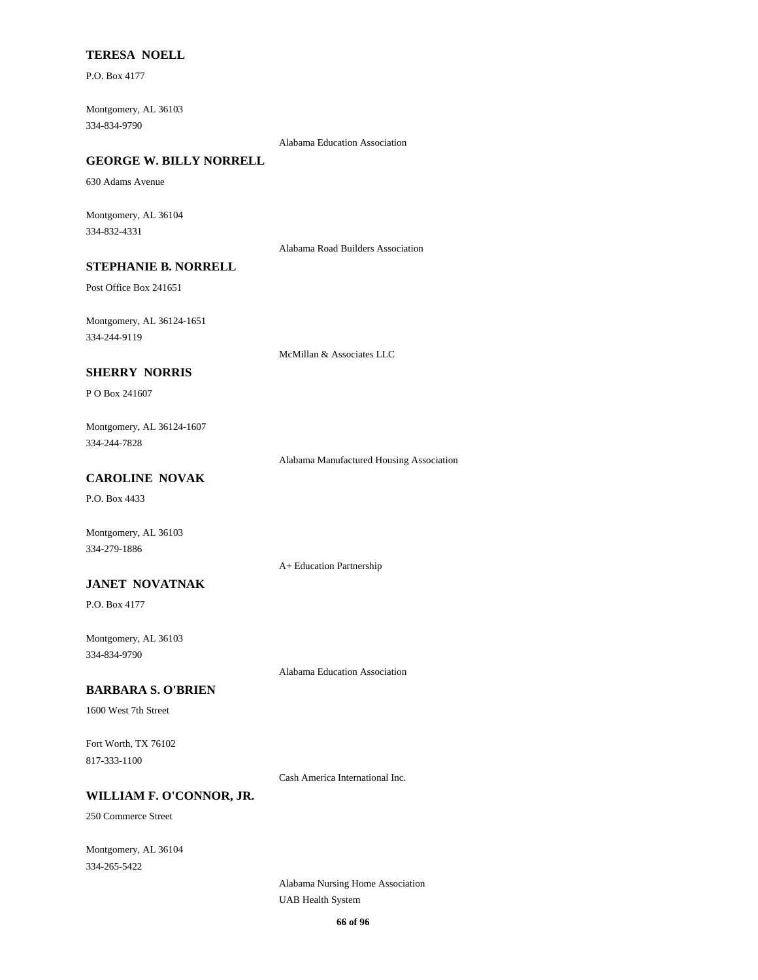# **TERESA NOELL**

P.O. Box 4177

334-834-9790 Montgomery, AL 36103

Alabama Education Association

# **GEORGE W. BILLY NORRELL**

630 Adams Avenue

334-832-4331 Montgomery, AL 36104

Alabama Road Builders Association

# **STEPHANIE B. NORRELL**

Post Office Box 241651

334-244-9119 Montgomery, AL 36124-1651

McMillan & Associates LLC

## **SHERRY NORRIS**

P O Box 241607

334-244-7828 Montgomery, AL 36124-1607

Alabama Manufactured Housing Association

# **CAROLINE NOVAK**

P.O. Box 4433

334-279-1886 Montgomery, AL 36103

A+ Education Partnership

### **JANET NOVATNAK**

P.O. Box 4177

334-834-9790 Montgomery, AL 36103

Alabama Education Association

#### **BARBARA S. O'BRIEN**

1600 West 7th Street

817-333-1100 Fort Worth, TX 76102

Cash America International Inc.

# **WILLIAM F. O'CONNOR, JR.**

250 Commerce Street

334-265-5422 Montgomery, AL 36104

> Alabama Nursing Home Association UAB Health System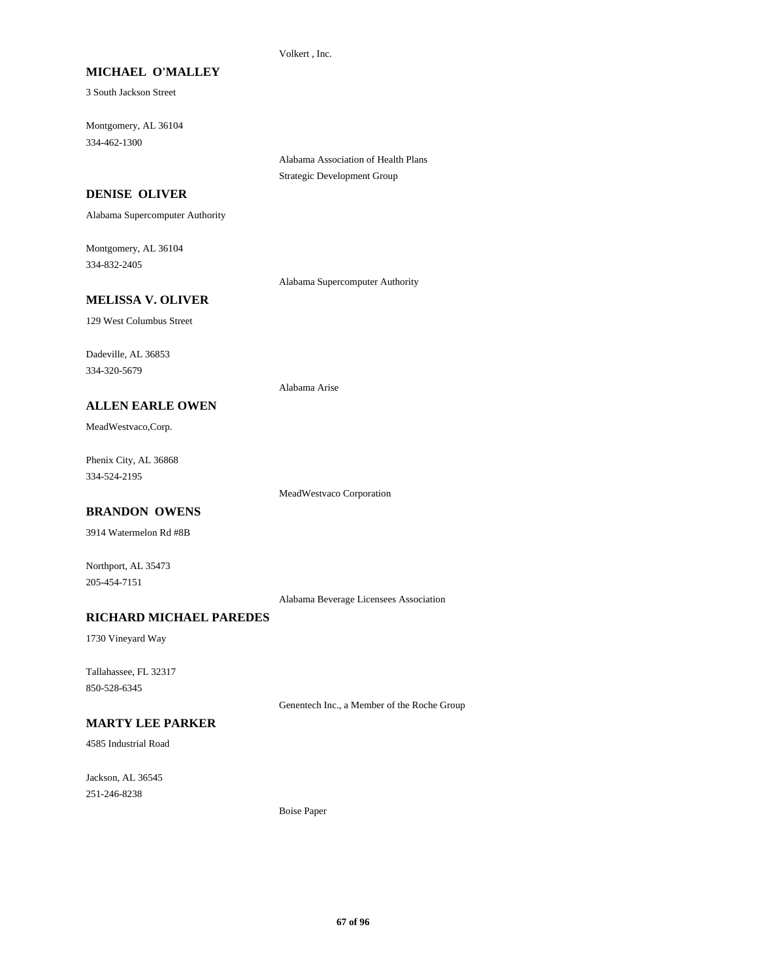#### Volkert , Inc.

#### **MICHAEL O'MALLEY**

3 South Jackson Street

334-462-1300 Montgomery, AL 36104

> Alabama Association of Health Plans Strategic Development Group

# **DENISE OLIVER**

Alabama Supercomputer Authority

334-832-2405 Montgomery, AL 36104

Alabama Supercomputer Authority

## **MELISSA V. OLIVER**

129 West Columbus Street

334-320-5679 Dadeville, AL 36853

#### **ALLEN EARLE OWEN**

MeadWestvaco,Corp.

334-524-2195 Phenix City, AL 36868

MeadWestvaco Corporation

Alabama Arise

# **BRANDON OWENS**

3914 Watermelon Rd #8B

Northport, AL 35473 205-454-7151

Alabama Beverage Licensees Association

# **RICHARD MICHAEL PAREDES**

1730 Vineyard Way

850-528-6345 Tallahassee, FL 32317

Genentech Inc., a Member of the Roche Group

# **MARTY LEE PARKER**

4585 Industrial Road

251-246-8238 Jackson, AL 36545

Boise Paper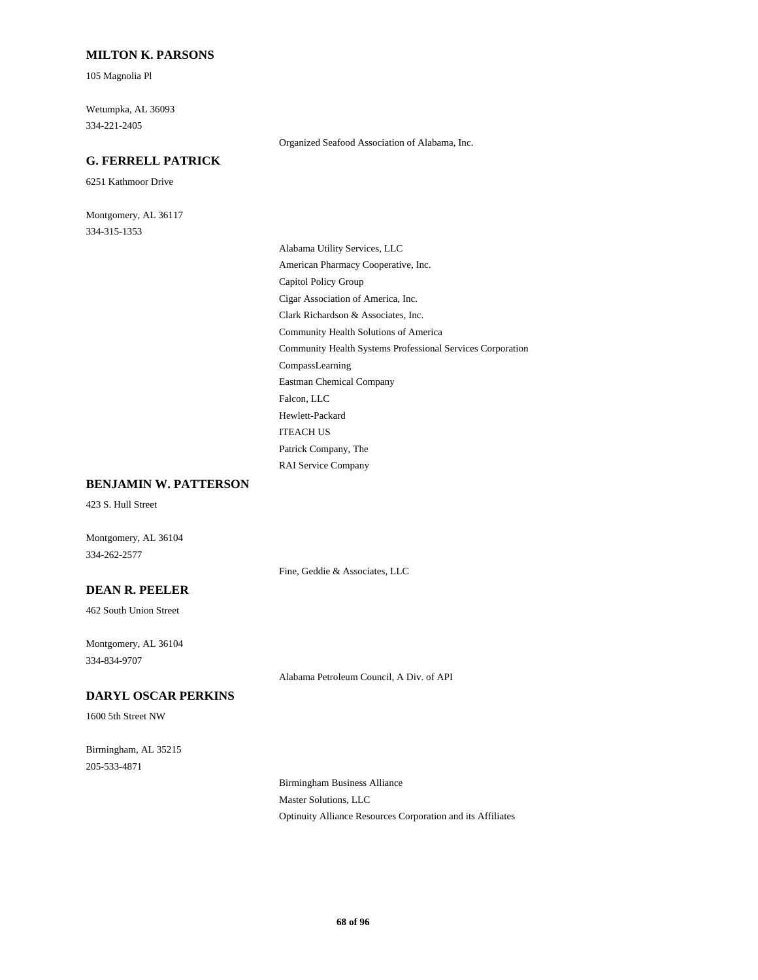#### **MILTON K. PARSONS**

105 Magnolia Pl

334-221-2405 Wetumpka, AL 36093

# **G. FERRELL PATRICK**

6251 Kathmoor Drive

334-315-1353 Montgomery, AL 36117 Organized Seafood Association of Alabama, Inc.

Clark Richardson & Associates, Inc. Community Health Solutions of America Community Health Systems Professional Services Corporation Cigar Association of America, Inc. Alabama Utility Services, LLC American Pharmacy Cooperative, Inc. Capitol Policy Group ITEACH US Patrick Company, The RAI Service Company Hewlett-Packard CompassLearning Eastman Chemical Company Falcon, LLC

#### **BENJAMIN W. PATTERSON**

423 S. Hull Street

334-262-2577 Montgomery, AL 36104

Fine, Geddie & Associates, LLC

# **DEAN R. PEELER**

462 South Union Street

334-834-9707 Montgomery, AL 36104

Alabama Petroleum Council, A Div. of API

# **DARYL OSCAR PERKINS**

1600 5th Street NW

205-533-4871 Birmingham, AL 35215

> Birmingham Business Alliance Master Solutions, LLC Optinuity Alliance Resources Corporation and its Affiliates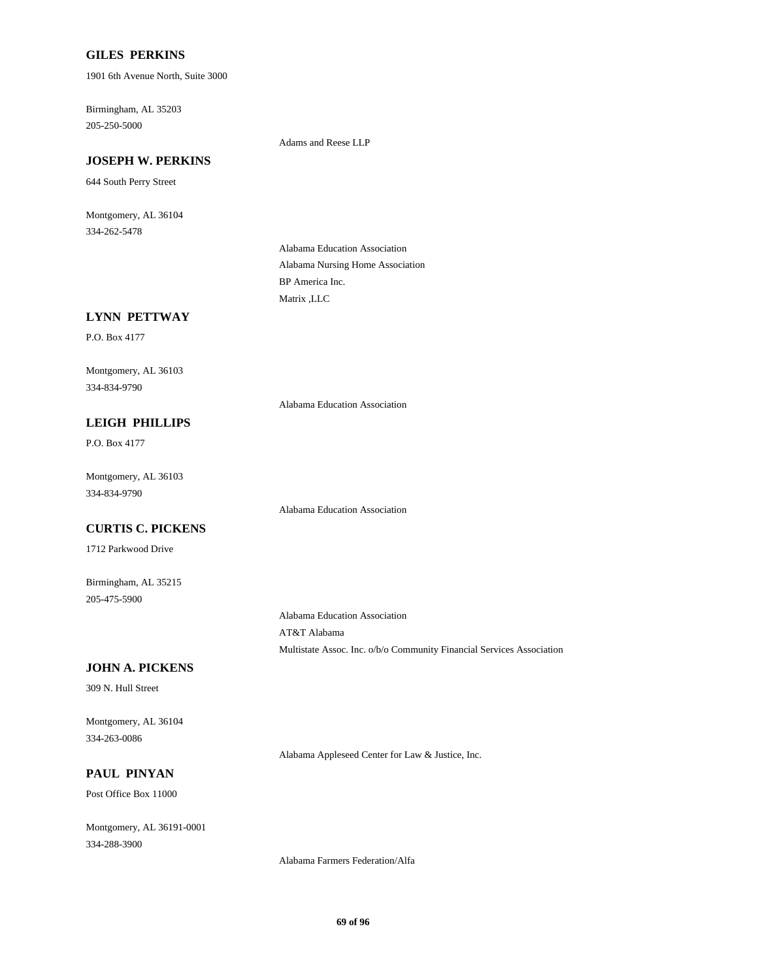## **GILES PERKINS**

1901 6th Avenue North, Suite 3000

205-250-5000 Birmingham, AL 35203

Adams and Reese LLP

# **JOSEPH W. PERKINS**

644 South Perry Street

334-262-5478 Montgomery, AL 36104

> Alabama Nursing Home Association Alabama Education Association Matrix ,LLC BP America Inc.

## **LYNN PETTWAY**

P.O. Box 4177

334-834-9790 Montgomery, AL 36103

Alabama Education Association

Alabama Education Association

## **LEIGH PHILLIPS**

P.O. Box 4177

334-834-9790 Montgomery, AL 36103

#### **CURTIS C. PICKENS**

1712 Parkwood Drive

205-475-5900 Birmingham, AL 35215

Alabama Education Association AT&T Alabama

Multistate Assoc. Inc. o/b/o Community Financial Services Association

#### **JOHN A. PICKENS**

309 N. Hull Street

334-263-0086 Montgomery, AL 36104

Alabama Appleseed Center for Law & Justice, Inc.

# **PAUL PINYAN**

Post Office Box 11000

334-288-3900 Montgomery, AL 36191-0001

Alabama Farmers Federation/Alfa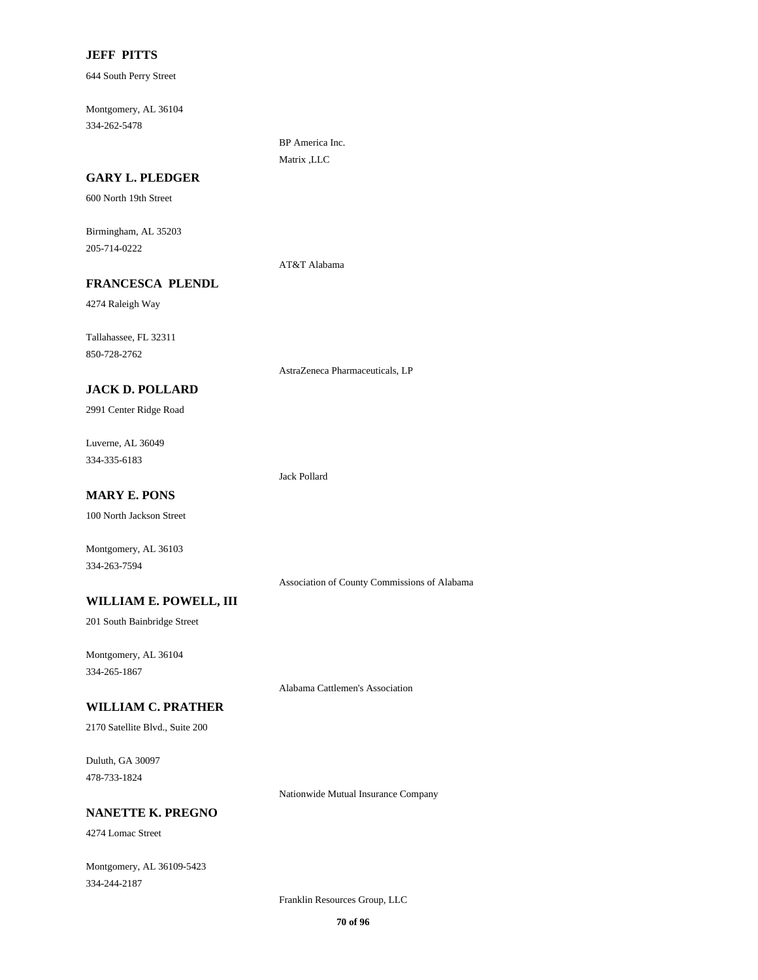#### **JEFF PITTS**

644 South Perry Street

334-262-5478 Montgomery, AL 36104

**GARY L. PLEDGER**

600 North 19th Street

205-714-0222 Birmingham, AL 35203

### **FRANCESCA PLENDL**

4274 Raleigh Way

850-728-2762 Tallahassee, FL 32311

**JACK D. POLLARD**

2991 Center Ridge Road

334-335-6183 Luverne, AL 36049

Jack Pollard

AT&T Alabama

BP America Inc. Matrix ,LLC

AstraZeneca Pharmaceuticals, LP

# **MARY E. PONS**

100 North Jackson Street

Montgomery, AL 36103 334-263-7594

Association of County Commissions of Alabama

## **WILLIAM E. POWELL, III**

201 South Bainbridge Street

334-265-1867 Montgomery, AL 36104

Alabama Cattlemen's Association

## **WILLIAM C. PRATHER**

2170 Satellite Blvd., Suite 200

478-733-1824 Duluth, GA 30097

Nationwide Mutual Insurance Company

## **NANETTE K. PREGNO**

4274 Lomac Street

334-244-2187 Montgomery, AL 36109-5423

Franklin Resources Group, LLC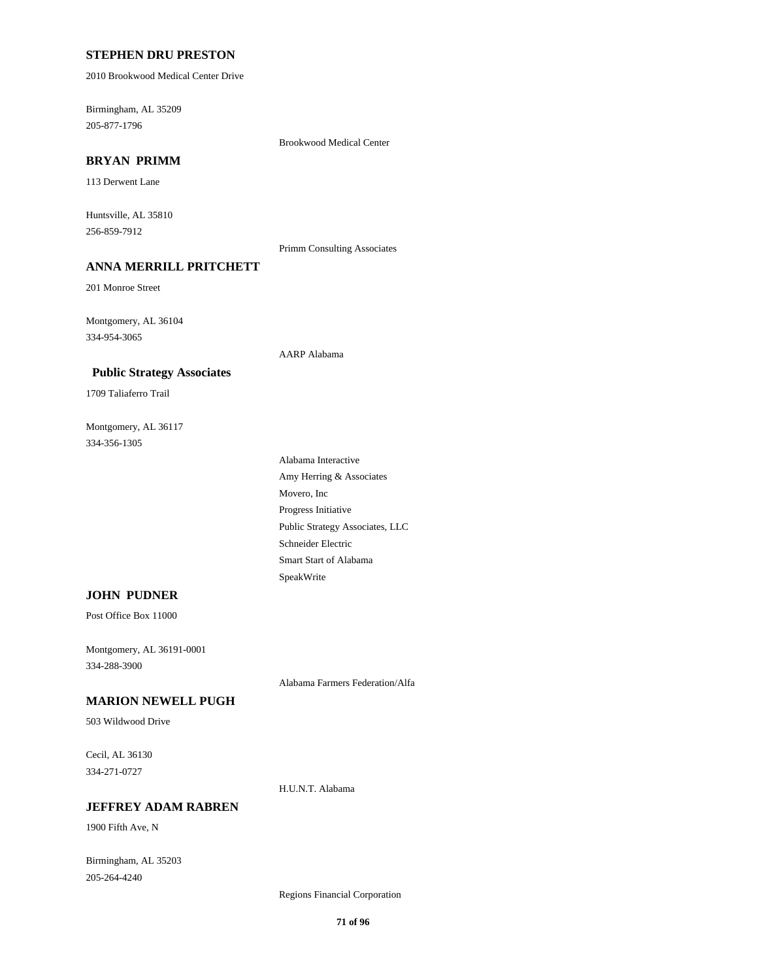### **STEPHEN DRU PRESTON**

2010 Brookwood Medical Center Drive

205-877-1796 Birmingham, AL 35209

Brookwood Medical Center

# **BRYAN PRIMM**

113 Derwent Lane

256-859-7912 Huntsville, AL 35810

Primm Consulting Associates

# **ANNA MERRILL PRITCHETT**

 **Public Strategy Associates**

201 Monroe Street

334-954-3065 Montgomery, AL 36104

# AARP Alabama

1709 Taliaferro Trail

334-356-1305 Montgomery, AL 36117

> Schneider Electric Smart Start of Alabama SpeakWrite Public Strategy Associates, LLC Amy Herring & Associates Alabama Interactive Progress Initiative Movero, Inc

### **JOHN PUDNER**

Post Office Box 11000

334-288-3900 Montgomery, AL 36191-0001

Alabama Farmers Federation/Alfa

# **MARION NEWELL PUGH**

503 Wildwood Drive

334-271-0727 Cecil, AL 36130

H.U.N.T. Alabama

# **JEFFREY ADAM RABREN**

1900 Fifth Ave, N

205-264-4240 Birmingham, AL 35203

Regions Financial Corporation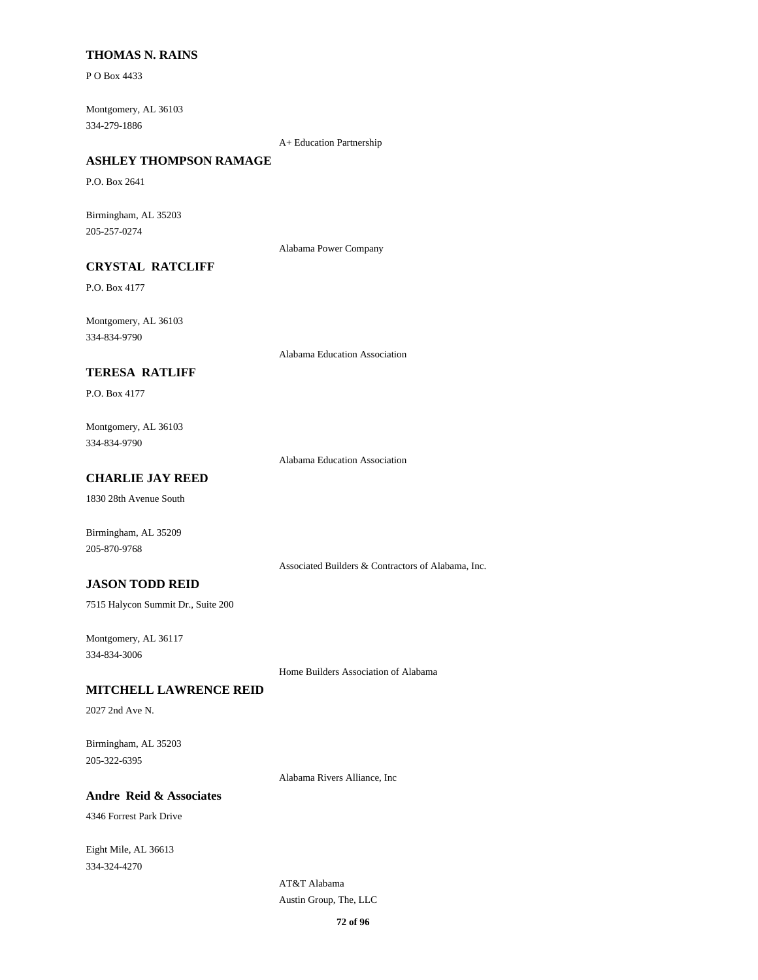## **THOMAS N. RAINS**

P O Box 4433

334-279-1886 Montgomery, AL 36103

A+ Education Partnership

# **ASHLEY THOMPSON RAMAGE**

P.O. Box 2641

205-257-0274 Birmingham, AL 35203

Alabama Power Company

# **CRYSTAL RATCLIFF**

P.O. Box 4177

334-834-9790 Montgomery, AL 36103

Alabama Education Association

# **TERESA RATLIFF**

P.O. Box 4177

334-834-9790 Montgomery, AL 36103

Alabama Education Association

# **CHARLIE JAY REED**

1830 28th Avenue South

Birmingham, AL 35209 205-870-9768

Associated Builders & Contractors of Alabama, Inc.

## **JASON TODD REID**

7515 Halycon Summit Dr., Suite 200

334-834-3006 Montgomery, AL 36117

Home Builders Association of Alabama

#### **MITCHELL LAWRENCE REID**

2027 2nd Ave N.

205-322-6395 Birmingham, AL 35203

Alabama Rivers Alliance, Inc

# **Andre Reid & Associates**

4346 Forrest Park Drive

334-324-4270 Eight Mile, AL 36613

> Austin Group, The, LLC AT&T Alabama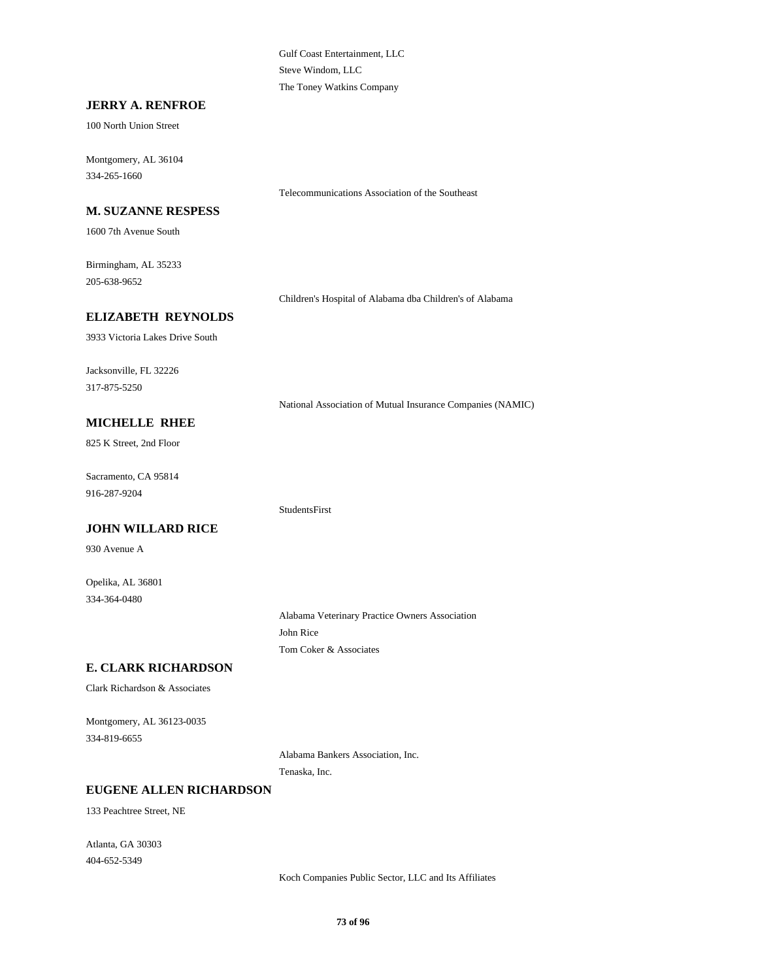Gulf Coast Entertainment, LLC Steve Windom, LLC The Toney Watkins Company

#### **JERRY A. RENFROE**

100 North Union Street

334-265-1660 Montgomery, AL 36104

#### **M. SUZANNE RESPESS**

1600 7th Avenue South

205-638-9652 Birmingham, AL 35233

Children's Hospital of Alabama dba Children's of Alabama

Telecommunications Association of the Southeast

#### **ELIZABETH REYNOLDS**

3933 Victoria Lakes Drive South

317-875-5250 Jacksonville, FL 32226

National Association of Mutual Insurance Companies (NAMIC)

### **MICHELLE RHEE**

825 K Street, 2nd Floor

916-287-9204 Sacramento, CA 95814

#### **JOHN WILLARD RICE**

930 Avenue A

334-364-0480 Opelika, AL 36801

> Alabama Veterinary Practice Owners Association John Rice Tom Coker & Associates

### **E. CLARK RICHARDSON**

Clark Richardson & Associates

334-819-6655 Montgomery, AL 36123-0035

> Alabama Bankers Association, Inc. Tenaska, Inc.

StudentsFirst

#### **EUGENE ALLEN RICHARDSON**

133 Peachtree Street, NE

404-652-5349 Atlanta, GA 30303

Koch Companies Public Sector, LLC and Its Affiliates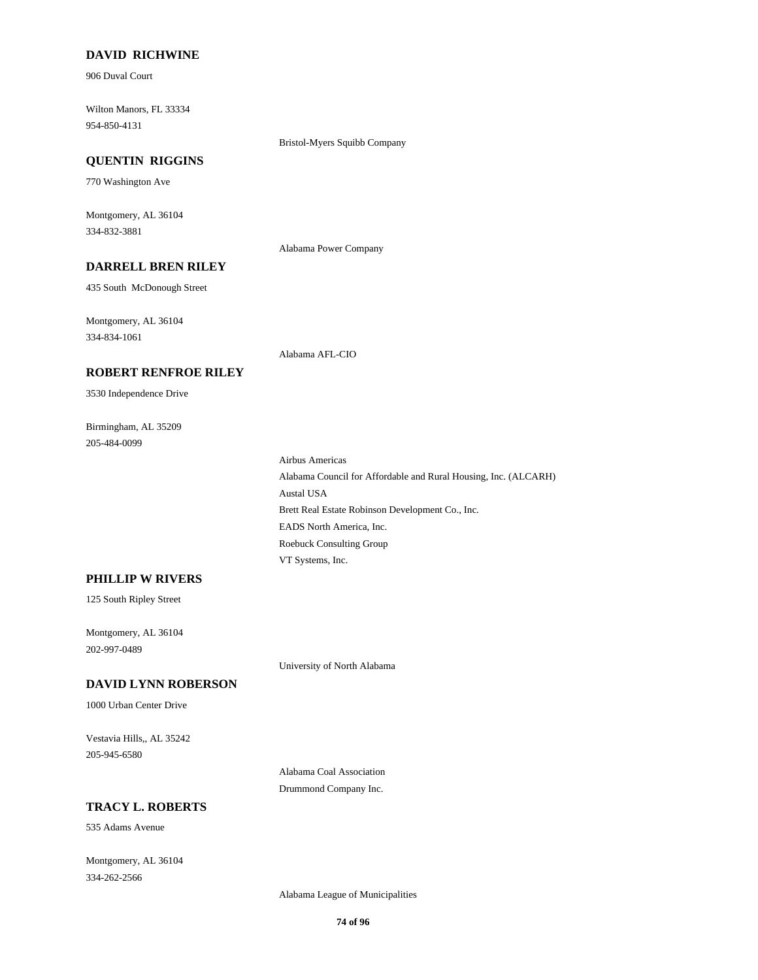#### **DAVID RICHWINE**

906 Duval Court

954-850-4131 Wilton Manors, FL 33334

Bristol-Myers Squibb Company

#### **QUENTIN RIGGINS**

770 Washington Ave

334-832-3881 Montgomery, AL 36104

Alabama Power Company

### **DARRELL BREN RILEY**

**ROBERT RENFROE RILEY**

435 South McDonough Street

334-834-1061 Montgomery, AL 36104

3530 Independence Drive

Birmingham, AL 35209

205-484-0099

Alabama AFL-CIO

Roebuck Consulting Group VT Systems, Inc. EADS North America, Inc. Alabama Council for Affordable and Rural Housing, Inc. (ALCARH) Airbus Americas Brett Real Estate Robinson Development Co., Inc. Austal USA

#### **PHILLIP W RIVERS**

125 South Ripley Street

202-997-0489 Montgomery, AL 36104

University of North Alabama

### **DAVID LYNN ROBERSON**

1000 Urban Center Drive

205-945-6580 Vestavia Hills,, AL 35242

> Alabama Coal Association Drummond Company Inc.

### **TRACY L. ROBERTS**

535 Adams Avenue

334-262-2566 Montgomery, AL 36104

Alabama League of Municipalities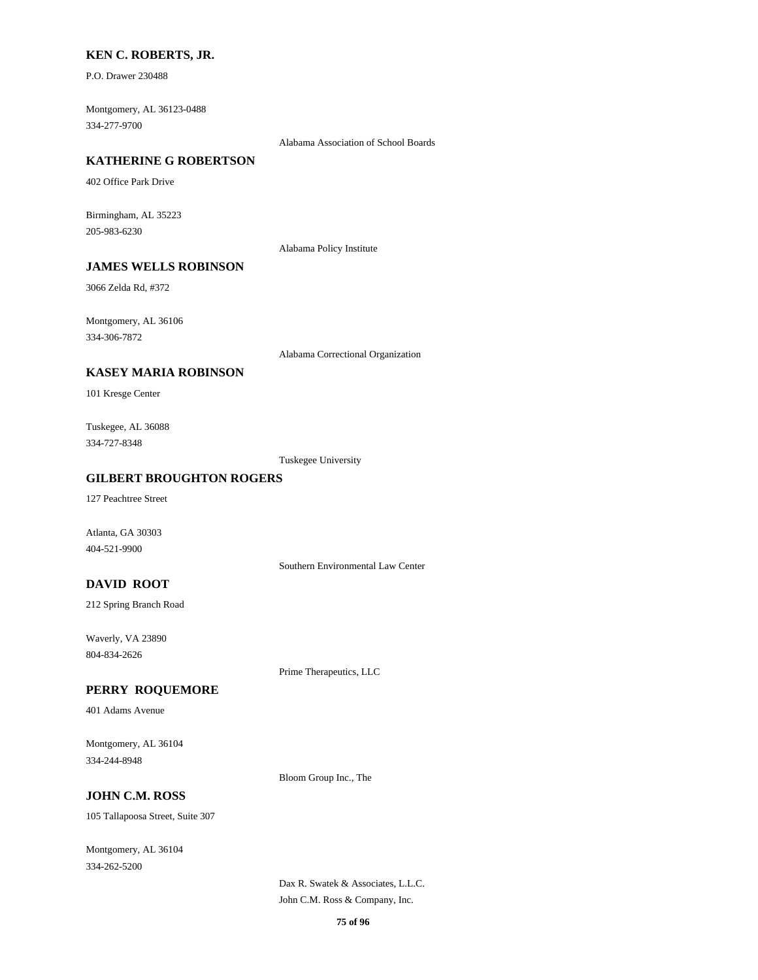#### **KEN C. ROBERTS, JR.**

P.O. Drawer 230488

334-277-9700 Montgomery, AL 36123-0488

Alabama Association of School Boards

### **KATHERINE G ROBERTSON**

402 Office Park Drive

205-983-6230 Birmingham, AL 35223

Alabama Policy Institute

### **JAMES WELLS ROBINSON**

3066 Zelda Rd, #372

334-306-7872 Montgomery, AL 36106

Alabama Correctional Organization

#### **KASEY MARIA ROBINSON**

101 Kresge Center

334-727-8348 Tuskegee, AL 36088

Tuskegee University

#### **GILBERT BROUGHTON ROGERS**

127 Peachtree Street

Atlanta, GA 30303 404-521-9900

Southern Environmental Law Center

#### **DAVID ROOT**

212 Spring Branch Road

804-834-2626 Waverly, VA 23890

Prime Therapeutics, LLC

#### **PERRY ROQUEMORE**

401 Adams Avenue

334-244-8948 Montgomery, AL 36104

Bloom Group Inc., The

### **JOHN C.M. ROSS**

105 Tallapoosa Street, Suite 307

334-262-5200 Montgomery, AL 36104

> John C.M. Ross & Company, Inc. Dax R. Swatek & Associates, L.L.C.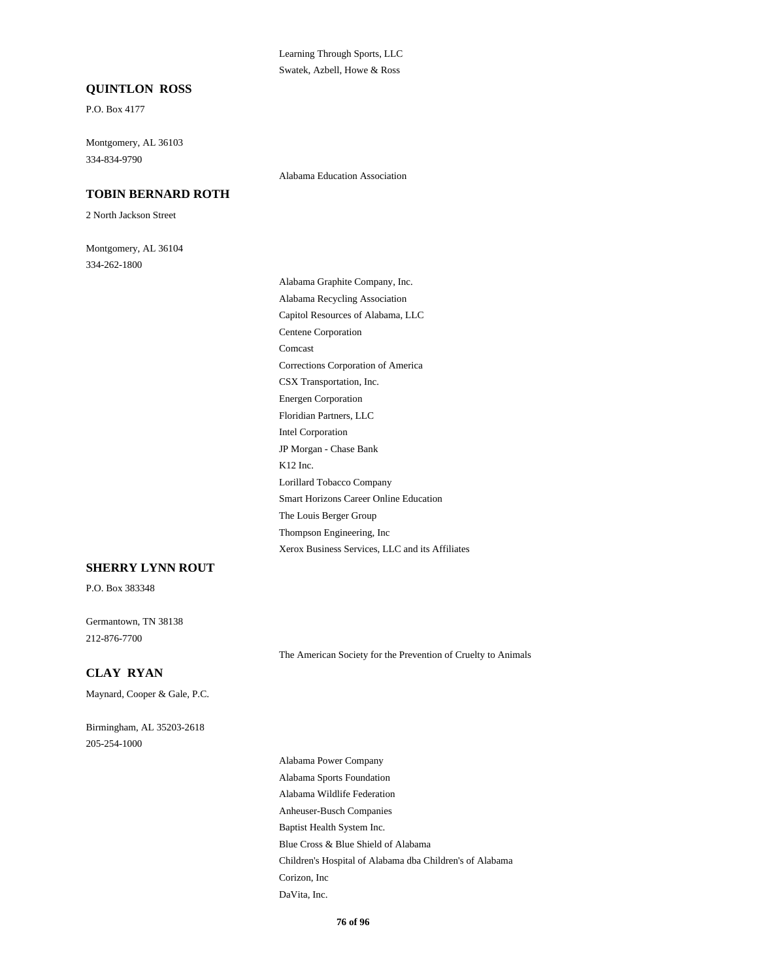#### Learning Through Sports, LLC Swatek, Azbell, Howe & Ross

#### **QUINTLON ROSS**

P.O. Box 4177

334-834-9790 Montgomery, AL 36103

#### **TOBIN BERNARD ROTH**

2 North Jackson Street

334-262-1800 Montgomery, AL 36104 Alabama Education Association

The Louis Berger Group Smart Horizons Career Online Education Xerox Business Services, LLC and its Affiliates Thompson Engineering, Inc Centene Corporation Comcast Corrections Corporation of America Alabama Graphite Company, Inc. Alabama Recycling Association Capitol Resources of Alabama, LLC CSX Transportation, Inc. JP Morgan - Chase Bank K12 Inc. Lorillard Tobacco Company Energen Corporation Floridian Partners, LLC Intel Corporation

#### **SHERRY LYNN ROUT**

P.O. Box 383348

212-876-7700 Germantown, TN 38138

The American Society for the Prevention of Cruelty to Animals

### **CLAY RYAN**

Maynard, Cooper & Gale, P.C.

205-254-1000 Birmingham, AL 35203-2618

> Anheuser-Busch Companies Baptist Health System Inc. Alabama Wildlife Federation Alabama Power Company Alabama Sports Foundation Blue Cross & Blue Shield of Alabama DaVita, Inc. Children's Hospital of Alabama dba Children's of Alabama Corizon, Inc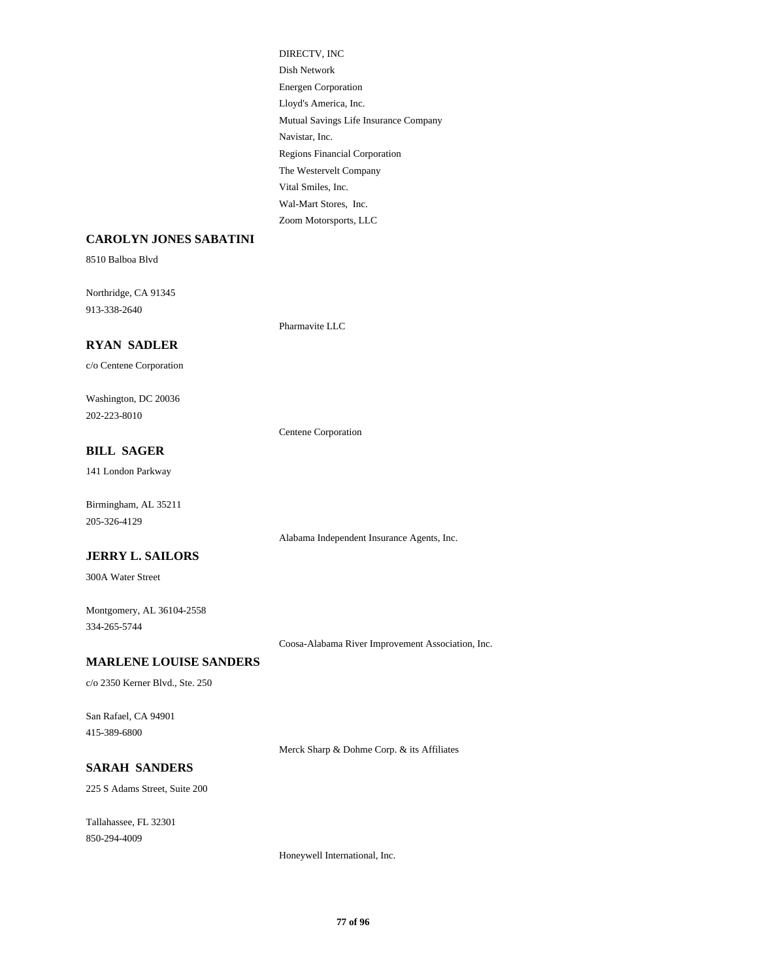Lloyd's America, Inc. Mutual Savings Life Insurance Company Energen Corporation DIRECTV, INC Dish Network Navistar, Inc. Wal-Mart Stores, Inc. Zoom Motorsports, LLC Vital Smiles, Inc. Regions Financial Corporation The Westervelt Company

#### **CAROLYN JONES SABATINI**

8510 Balboa Blvd

913-338-2640 Northridge, CA 91345

#### **RYAN SADLER**

c/o Centene Corporation

202-223-8010 Washington, DC 20036

#### **BILL SAGER**

141 London Parkway

205-326-4129 Birmingham, AL 35211

### **JERRY L. SAILORS**

300A Water Street

334-265-5744 Montgomery, AL 36104-2558

Coosa-Alabama River Improvement Association, Inc.

Alabama Independent Insurance Agents, Inc.

Centene Corporation

Pharmavite LLC

#### **MARLENE LOUISE SANDERS**

c/o 2350 Kerner Blvd., Ste. 250

415-389-6800 San Rafael, CA 94901

Merck Sharp & Dohme Corp. & its Affiliates

### **SARAH SANDERS**

225 S Adams Street, Suite 200

850-294-4009 Tallahassee, FL 32301

Honeywell International, Inc.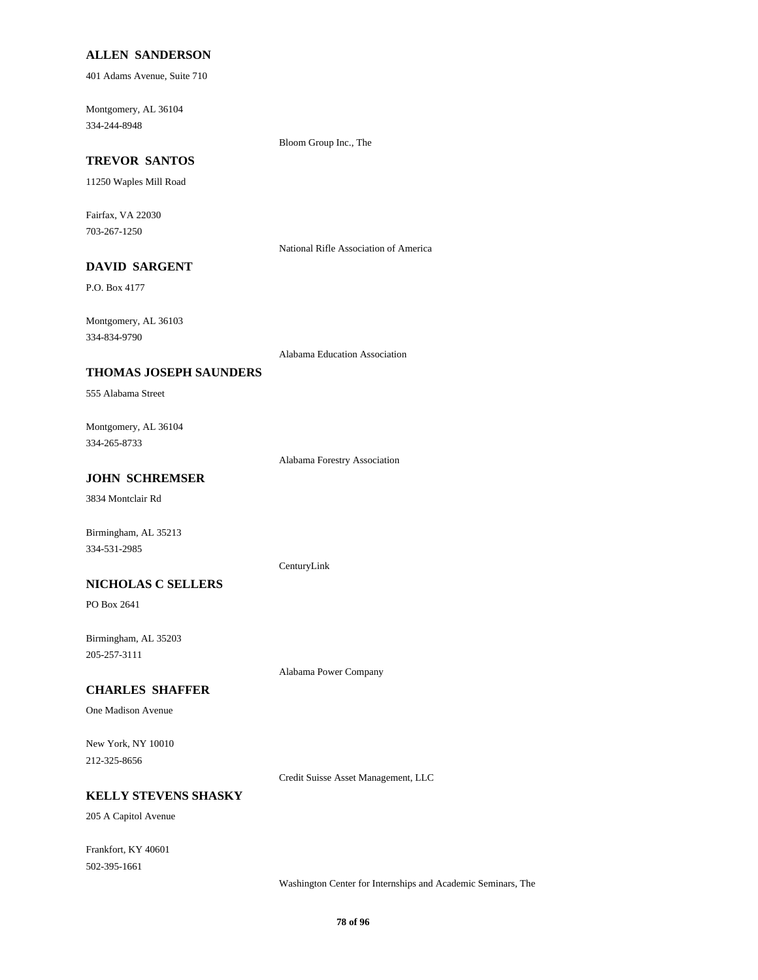#### **ALLEN SANDERSON**

401 Adams Avenue, Suite 710

334-244-8948 Montgomery, AL 36104

Bloom Group Inc., The

### **TREVOR SANTOS**

11250 Waples Mill Road

703-267-1250 Fairfax, VA 22030

National Rifle Association of America

### **DAVID SARGENT**

P.O. Box 4177

334-834-9790 Montgomery, AL 36103

Alabama Education Association

#### **THOMAS JOSEPH SAUNDERS**

555 Alabama Street

334-265-8733 Montgomery, AL 36104

Alabama Forestry Association

### **JOHN SCHREMSER**

3834 Montclair Rd

Birmingham, AL 35213 334-531-2985

#### CenturyLink

**NICHOLAS C SELLERS**

PO Box 2641

205-257-3111 Birmingham, AL 35203

Alabama Power Company

#### **CHARLES SHAFFER**

One Madison Avenue

212-325-8656 New York, NY 10010

Credit Suisse Asset Management, LLC

### **KELLY STEVENS SHASKY**

205 A Capitol Avenue

502-395-1661 Frankfort, KY 40601

Washington Center for Internships and Academic Seminars, The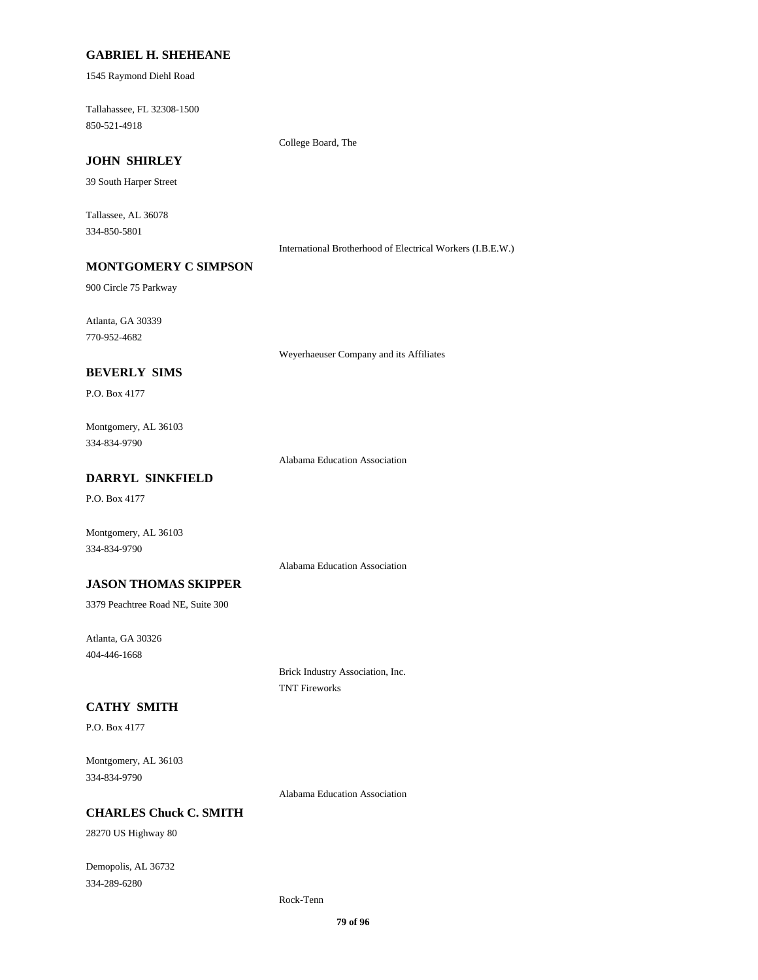#### **GABRIEL H. SHEHEANE**

1545 Raymond Diehl Road

850-521-4918 Tallahassee, FL 32308-1500

College Board, The

### **JOHN SHIRLEY**

39 South Harper Street

334-850-5801 Tallassee, AL 36078

International Brotherhood of Electrical Workers (I.B.E.W.)

### **MONTGOMERY C SIMPSON**

900 Circle 75 Parkway

770-952-4682 Atlanta, GA 30339

Weyerhaeuser Company and its Affiliates

#### **BEVERLY SIMS**

P.O. Box 4177

334-834-9790 Montgomery, AL 36103

Alabama Education Association

### **DARRYL SINKFIELD**

P.O. Box 4177

334-834-9790 Montgomery, AL 36103

Alabama Education Association

#### **JASON THOMAS SKIPPER**

3379 Peachtree Road NE, Suite 300

404-446-1668 Atlanta, GA 30326

> Brick Industry Association, Inc. TNT Fireworks

### **CATHY SMITH**

P.O. Box 4177

334-834-9790 Montgomery, AL 36103

Alabama Education Association

#### **CHARLES Chuck C. SMITH**

28270 US Highway 80

334-289-6280 Demopolis, AL 36732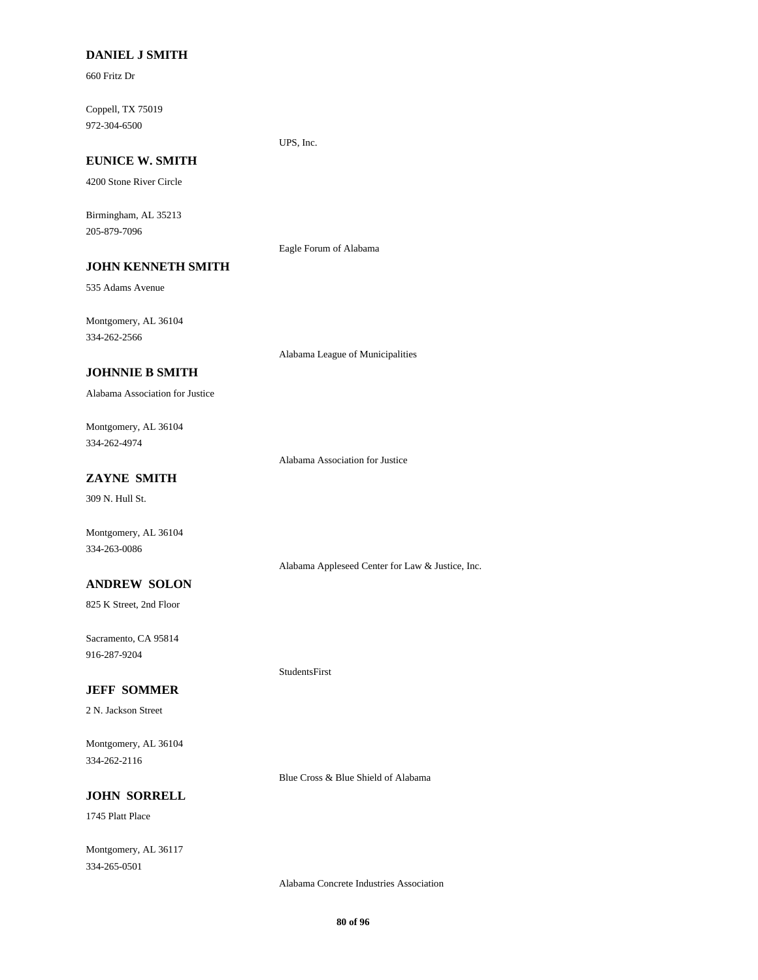#### **DANIEL J SMITH**

660 Fritz Dr

972-304-6500 Coppell, TX 75019

#### UPS, Inc.

### **EUNICE W. SMITH**

4200 Stone River Circle

205-879-7096 Birmingham, AL 35213

**JOHN KENNETH SMITH**

### Eagle Forum of Alabama

535 Adams Avenue

334-262-2566 Montgomery, AL 36104

Alabama League of Municipalities

#### **JOHNNIE B SMITH**

Alabama Association for Justice

334-262-4974 Montgomery, AL 36104

Alabama Association for Justice

### **ZAYNE SMITH**

309 N. Hull St.

Montgomery, AL 36104 334-263-0086

### Alabama Appleseed Center for Law & Justice, Inc.

825 K Street, 2nd Floor **ANDREW SOLON**

916-287-9204 Sacramento, CA 95814

#### **JEFF SOMMER**

2 N. Jackson Street

334-262-2116 Montgomery, AL 36104

Blue Cross & Blue Shield of Alabama

StudentsFirst

### **JOHN SORRELL**

1745 Platt Place

334-265-0501 Montgomery, AL 36117

Alabama Concrete Industries Association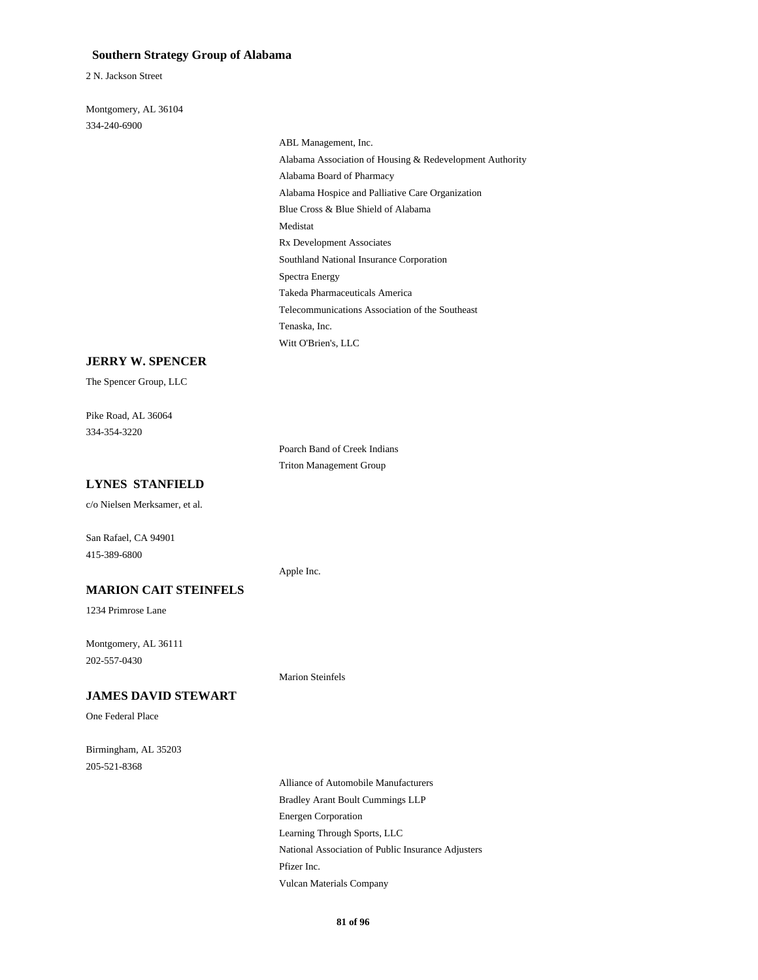#### **Southern Strategy Group of Alabama**

2 N. Jackson Street

334-240-6900 Montgomery, AL 36104

> Alabama Hospice and Palliative Care Organization Blue Cross & Blue Shield of Alabama Medistat ABL Management, Inc. Alabama Association of Housing & Redevelopment Authority Alabama Board of Pharmacy Rx Development Associates Telecommunications Association of the Southeast Tenaska, Inc. Witt O'Brien's, LLC Southland National Insurance Corporation Spectra Energy Takeda Pharmaceuticals America

#### **JERRY W. SPENCER**

The Spencer Group, LLC

334-354-3220 Pike Road, AL 36064

> Poarch Band of Creek Indians Triton Management Group

#### **LYNES STANFIELD**

c/o Nielsen Merksamer, et al.

San Rafael, CA 94901 415-389-6800

#### **MARION CAIT STEINFELS**

1234 Primrose Lane

202-557-0430 Montgomery, AL 36111

#### **JAMES DAVID STEWART**

One Federal Place

205-521-8368 Birmingham, AL 35203

Apple Inc.

Marion Steinfels

Energen Corporation Bradley Arant Boult Cummings LLP Alliance of Automobile Manufacturers Learning Through Sports, LLC Vulcan Materials Company Pfizer Inc. National Association of Public Insurance Adjusters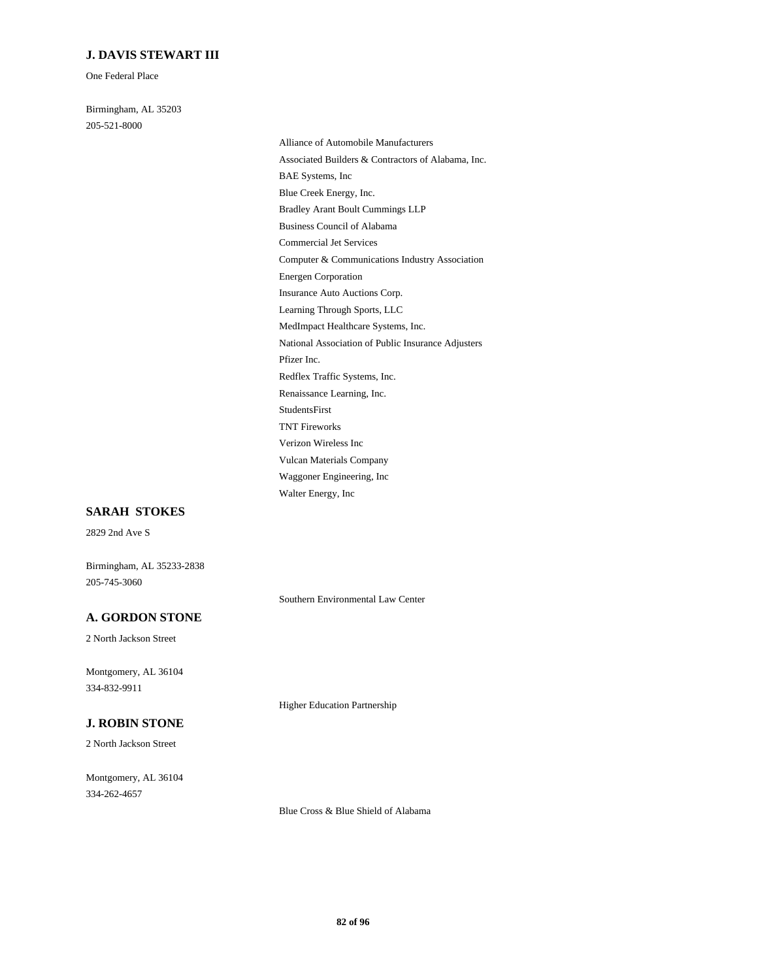#### **J. DAVIS STEWART III**

One Federal Place

205-521-8000 Birmingham, AL 35203

Computer & Communications Industry Association Commercial Jet Services Energen Corporation Learning Through Sports, LLC Insurance Auto Auctions Corp. Business Council of Alabama Associated Builders & Contractors of Alabama, Inc. Alliance of Automobile Manufacturers BAE Systems, Inc Bradley Arant Boult Cummings LLP Blue Creek Energy, Inc. Verizon Wireless Inc TNT Fireworks Vulcan Materials Company Walter Energy, Inc Waggoner Engineering, Inc StudentsFirst National Association of Public Insurance Adjusters MedImpact Healthcare Systems, Inc. Pfizer Inc. Renaissance Learning, Inc. Redflex Traffic Systems, Inc.

#### **SARAH STOKES**

2829 2nd Ave S

Birmingham, AL 35233-2838 205-745-3060

Southern Environmental Law Center

### **A. GORDON STONE**

2 North Jackson Street

334-832-9911 Montgomery, AL 36104

### **J. ROBIN STONE**

2 North Jackson Street

334-262-4657 Montgomery, AL 36104 Higher Education Partnership

Blue Cross & Blue Shield of Alabama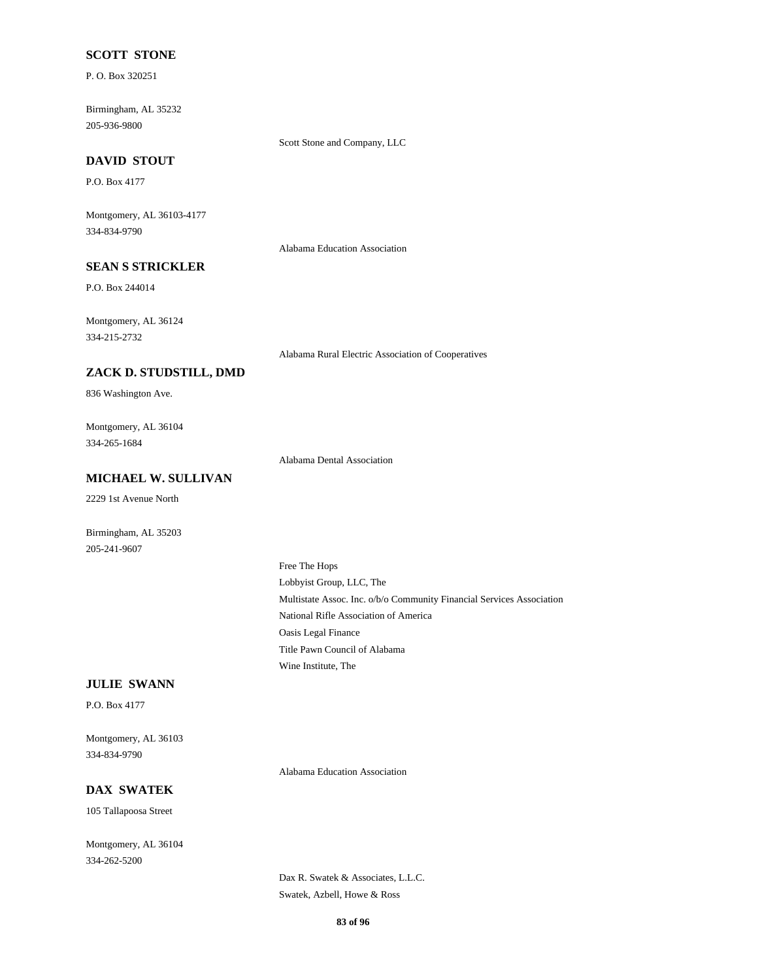#### **SCOTT STONE**

P. O. Box 320251

205-936-9800 Birmingham, AL 35232

Scott Stone and Company, LLC

### **DAVID STOUT**

P.O. Box 4177

334-834-9790 Montgomery, AL 36103-4177

Alabama Education Association

### **SEAN S STRICKLER**

P.O. Box 244014

334-215-2732 Montgomery, AL 36124

Alabama Rural Electric Association of Cooperatives

### **ZACK D. STUDSTILL, DMD**

836 Washington Ave.

334-265-1684 Montgomery, AL 36104

Alabama Dental Association

### **MICHAEL W. SULLIVAN**

2229 1st Avenue North

205-241-9607 Birmingham, AL 35203

> Multistate Assoc. Inc. o/b/o Community Financial Services Association Lobbyist Group, LLC, The Free The Hops National Rifle Association of America Wine Institute, The Title Pawn Council of Alabama Oasis Legal Finance

#### **JULIE SWANN**

P.O. Box 4177

334-834-9790 Montgomery, AL 36103

Alabama Education Association

#### **DAX SWATEK**

105 Tallapoosa Street

334-262-5200 Montgomery, AL 36104

> Dax R. Swatek & Associates, L.L.C. Swatek, Azbell, Howe & Ross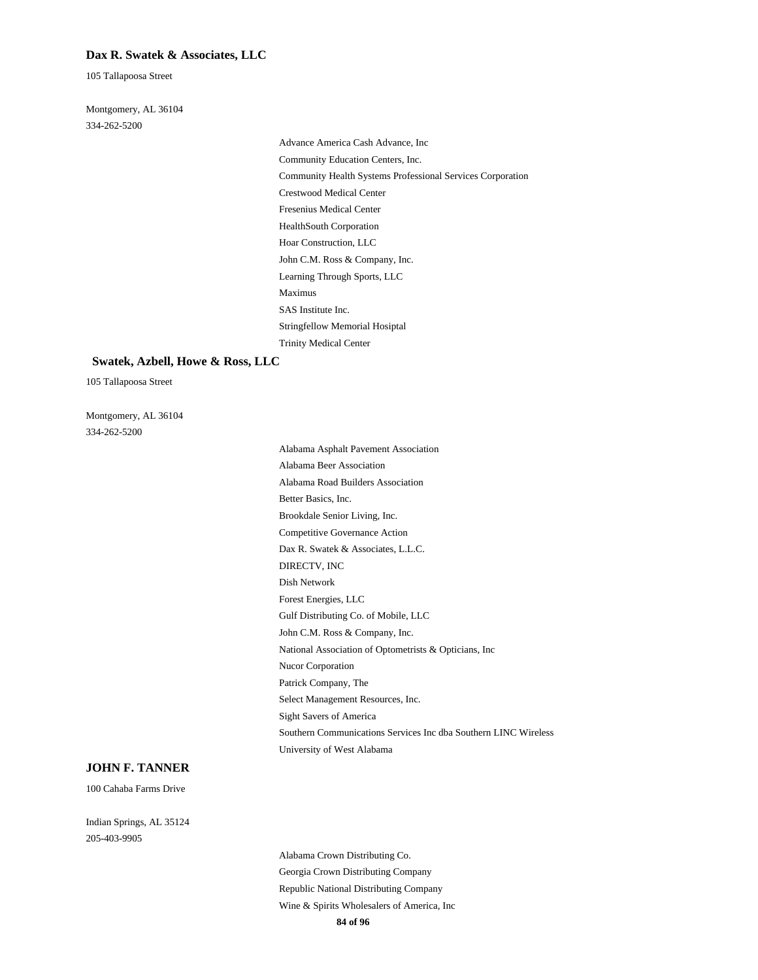#### **Dax R. Swatek & Associates, LLC**

105 Tallapoosa Street

334-262-5200 Montgomery, AL 36104

> Crestwood Medical Center Fresenius Medical Center HealthSouth Corporation Advance America Cash Advance, Inc Community Education Centers, Inc. Community Health Systems Professional Services Corporation Hoar Construction, LLC SAS Institute Inc. Stringfellow Memorial Hosiptal Trinity Medical Center John C.M. Ross & Company, Inc. Learning Through Sports, LLC Maximus

#### **Swatek, Azbell, Howe & Ross, LLC**

105 Tallapoosa Street

334-262-5200 Montgomery, AL 36104

Forest Energies, LLC Gulf Distributing Co. of Mobile, LLC John C.M. Ross & Company, Inc. Dax R. Swatek & Associates, L.L.C. DIRECTV, INC Dish Network National Association of Optometrists & Opticians, Inc Sight Savers of America Southern Communications Services Inc dba Southern LINC Wireless University of West Alabama Nucor Corporation Patrick Company, The Select Management Resources, Inc. Competitive Governance Action Alabama Beer Association Alabama Asphalt Pavement Association Alabama Road Builders Association Brookdale Senior Living, Inc. Better Basics, Inc.

#### **JOHN F. TANNER**

100 Cahaba Farms Drive

205-403-9905 Indian Springs, AL 35124

> **84 of 96** Georgia Crown Distributing Company Alabama Crown Distributing Co. Wine & Spirits Wholesalers of America, Inc Republic National Distributing Company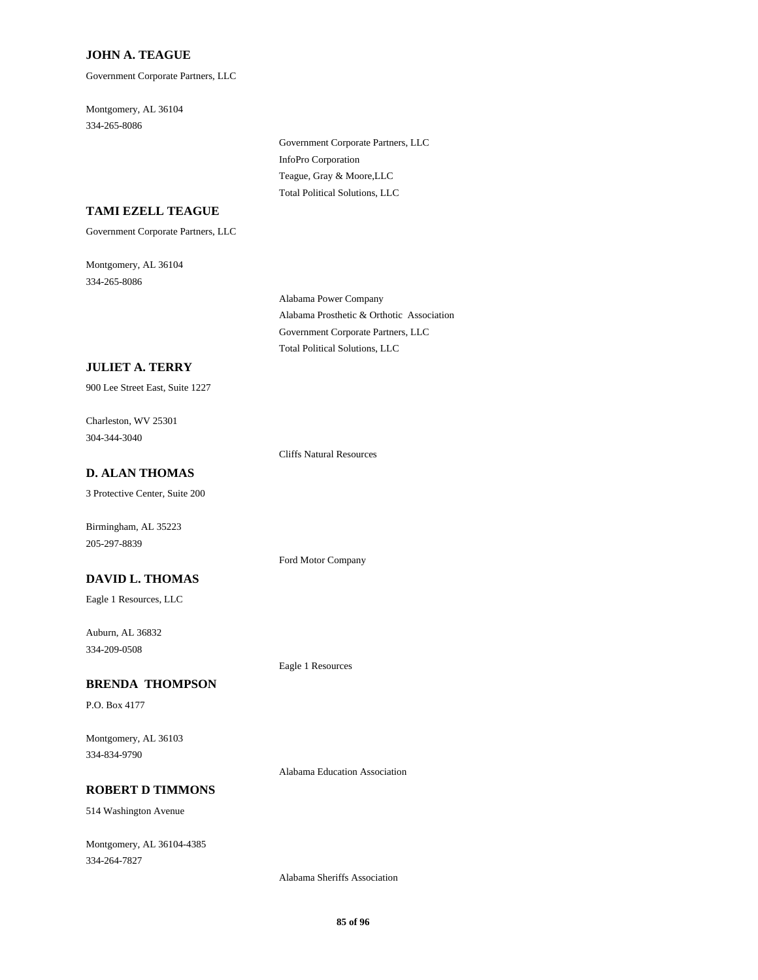#### **JOHN A. TEAGUE**

Government Corporate Partners, LLC

334-265-8086 Montgomery, AL 36104

> InfoPro Corporation Government Corporate Partners, LLC Total Political Solutions, LLC Teague, Gray & Moore,LLC

#### **TAMI EZELL TEAGUE**

Government Corporate Partners, LLC

334-265-8086 Montgomery, AL 36104

> Alabama Prosthetic & Orthotic Association Alabama Power Company Total Political Solutions, LLC Government Corporate Partners, LLC

#### **JULIET A. TERRY**

900 Lee Street East, Suite 1227

304-344-3040 Charleston, WV 25301

Cliffs Natural Resources

Ford Motor Company

### **D. ALAN THOMAS**

3 Protective Center, Suite 200

Birmingham, AL 35223 205-297-8839

### **DAVID L. THOMAS**

Eagle 1 Resources, LLC

334-209-0508 Auburn, AL 36832

#### **BRENDA THOMPSON**

P.O. Box 4177

334-834-9790 Montgomery, AL 36103

Alabama Education Association

Eagle 1 Resources

#### **ROBERT D TIMMONS**

514 Washington Avenue

334-264-7827 Montgomery, AL 36104-4385

Alabama Sheriffs Association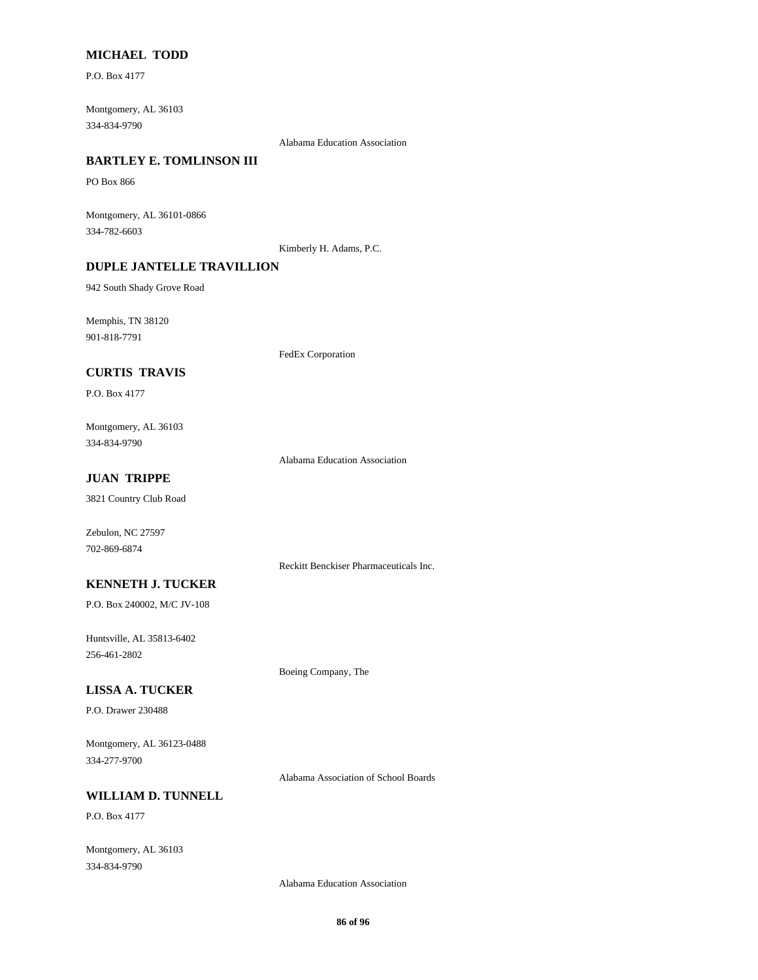### **MICHAEL TODD**

P.O. Box 4177

334-834-9790 Montgomery, AL 36103

Alabama Education Association

### **BARTLEY E. TOMLINSON III**

PO Box 866

334-782-6603 Montgomery, AL 36101-0866

Kimberly H. Adams, P.C.

### **DUPLE JANTELLE TRAVILLION**

942 South Shady Grove Road

901-818-7791 Memphis, TN 38120

FedEx Corporation

### **CURTIS TRAVIS**

P.O. Box 4177

334-834-9790 Montgomery, AL 36103

Alabama Education Association

### **JUAN TRIPPE**

3821 Country Club Road

Zebulon, NC 27597 702-869-6874

Reckitt Benckiser Pharmaceuticals Inc.

Boeing Company, The

#### **KENNETH J. TUCKER**

P.O. Box 240002, M/C JV-108

256-461-2802 Huntsville, AL 35813-6402

**LISSA A. TUCKER**

P.O. Drawer 230488

334-277-9700 Montgomery, AL 36123-0488

Alabama Association of School Boards

### **WILLIAM D. TUNNELL**

P.O. Box 4177

334-834-9790 Montgomery, AL 36103

Alabama Education Association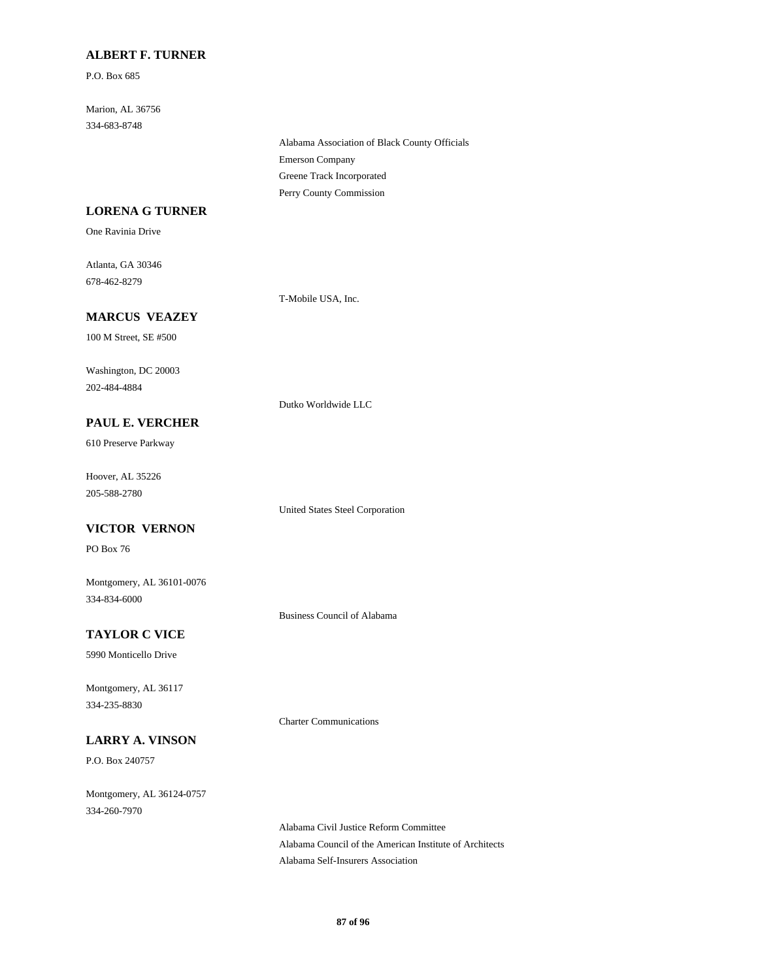### **ALBERT F. TURNER**

P.O. Box 685

334-683-8748 Marion, AL 36756

> Emerson Company Alabama Association of Black County Officials Perry County Commission Greene Track Incorporated

#### **LORENA G TURNER**

One Ravinia Drive

678-462-8279 Atlanta, GA 30346

T-Mobile USA, Inc.

### **MARCUS VEAZEY**

100 M Street, SE #500

202-484-4884 Washington, DC 20003

#### Dutko Worldwide LLC

610 Preserve Parkway **PAUL E. VERCHER**

Hoover, AL 35226

205-588-2780

#### **VICTOR VERNON**

PO Box 76

334-834-6000 Montgomery, AL 36101-0076

Business Council of Alabama

United States Steel Corporation

Charter Communications

### **TAYLOR C VICE**

5990 Monticello Drive

334-235-8830 Montgomery, AL 36117

### **LARRY A. VINSON**

P.O. Box 240757

334-260-7970 Montgomery, AL 36124-0757

Alabama Civil Justice Reform Committee Alabama Council of the American Institute of Architects Alabama Self-Insurers Association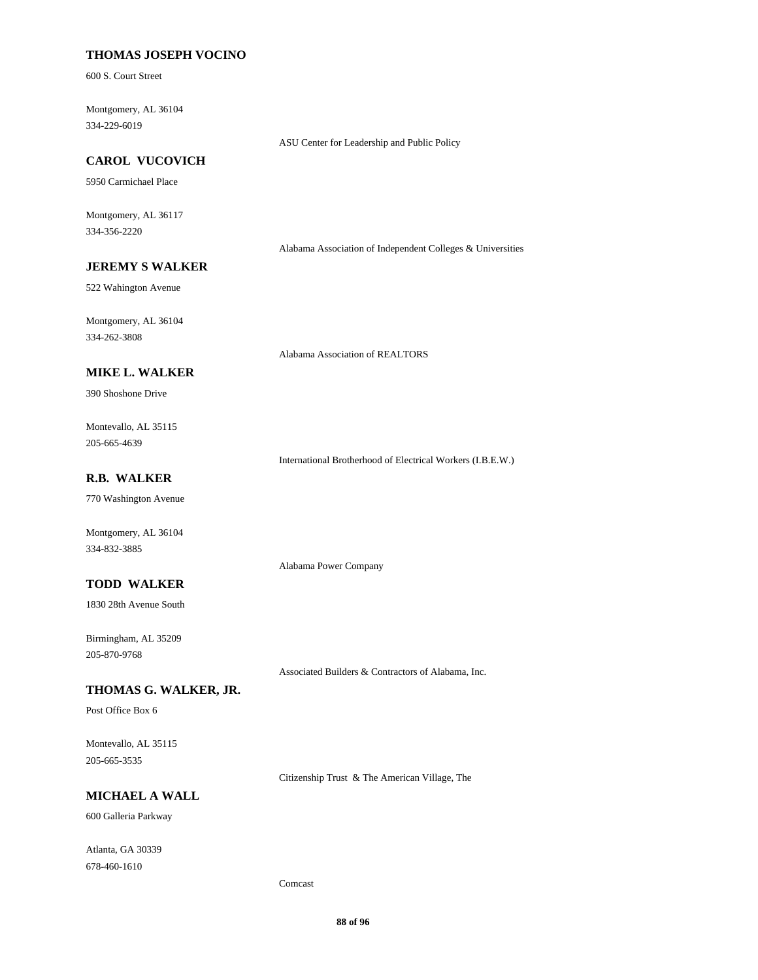#### **THOMAS JOSEPH VOCINO**

600 S. Court Street

334-229-6019 Montgomery, AL 36104

ASU Center for Leadership and Public Policy

### **CAROL VUCOVICH**

5950 Carmichael Place

334-356-2220 Montgomery, AL 36117

Alabama Association of Independent Colleges & Universities

### **JEREMY S WALKER**

522 Wahington Avenue

334-262-3808 Montgomery, AL 36104

Alabama Association of REALTORS

Alabama Power Company

### **MIKE L. WALKER**

390 Shoshone Drive

205-665-4639 Montevallo, AL 35115

International Brotherhood of Electrical Workers (I.B.E.W.)

### **R.B. WALKER**

770 Washington Avenue

Montgomery, AL 36104 334-832-3885

#### **TODD WALKER**

1830 28th Avenue South

205-870-9768 Birmingham, AL 35209

Associated Builders & Contractors of Alabama, Inc.

### **THOMAS G. WALKER, JR.**

Post Office Box 6

205-665-3535 Montevallo, AL 35115

Citizenship Trust & The American Village, The

### **MICHAEL A WALL**

600 Galleria Parkway

678-460-1610 Atlanta, GA 30339

Comcast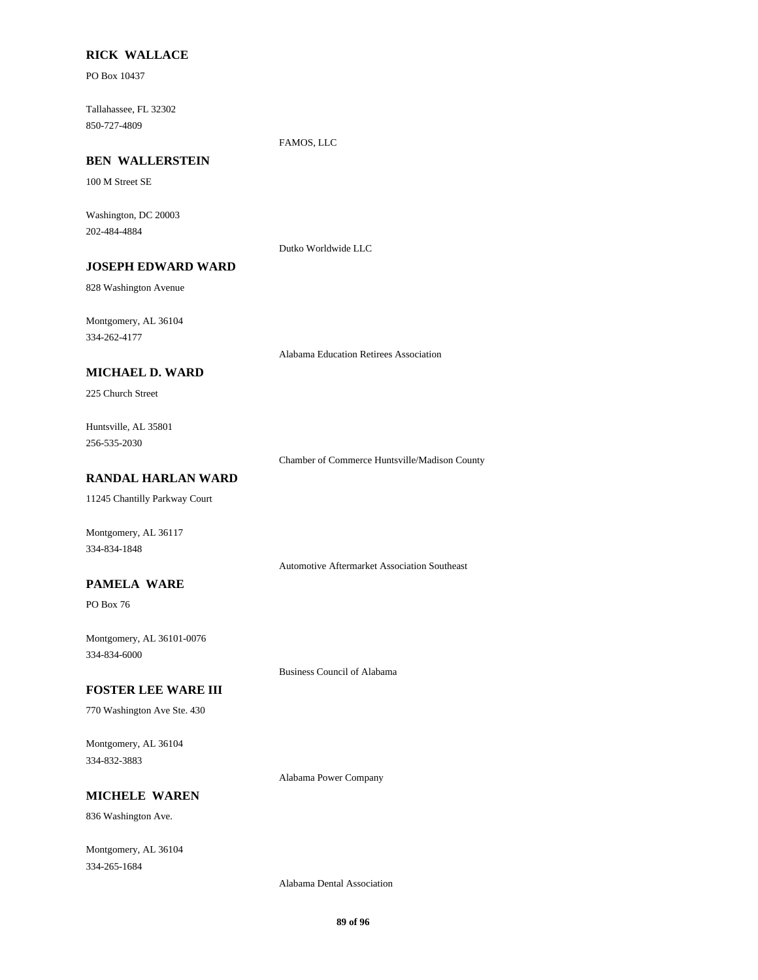#### **RICK WALLACE**

PO Box 10437

850-727-4809 Tallahassee, FL 32302

FAMOS, LLC

### **BEN WALLERSTEIN**

100 M Street SE

202-484-4884 Washington, DC 20003

Dutko Worldwide LLC

### **JOSEPH EDWARD WARD**

828 Washington Avenue

334-262-4177 Montgomery, AL 36104

Alabama Education Retirees Association

### **MICHAEL D. WARD**

225 Church Street

256-535-2030 Huntsville, AL 35801

Chamber of Commerce Huntsville/Madison County

### **RANDAL HARLAN WARD**

11245 Chantilly Parkway Court

Montgomery, AL 36117 334-834-1848

Automotive Aftermarket Association Southeast

#### **PAMELA WARE**

PO Box 76

334-834-6000 Montgomery, AL 36101-0076

Business Council of Alabama

#### **FOSTER LEE WARE III**

770 Washington Ave Ste. 430

334-832-3883 Montgomery, AL 36104

Alabama Power Company

### **MICHELE WAREN**

836 Washington Ave.

334-265-1684 Montgomery, AL 36104

Alabama Dental Association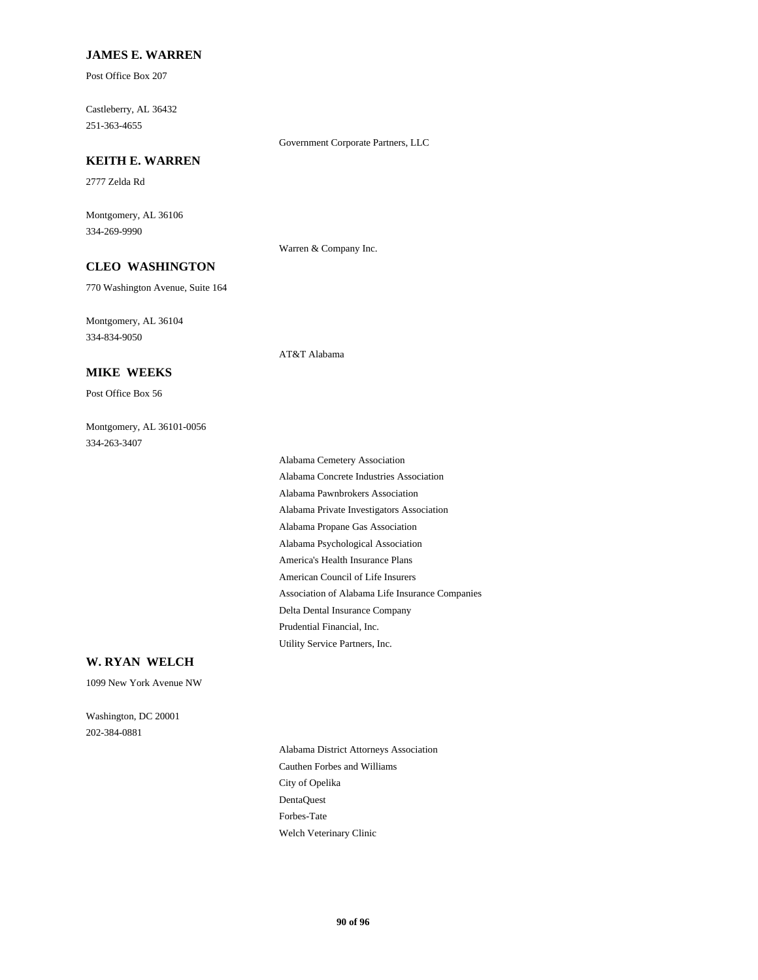#### **JAMES E. WARREN**

Post Office Box 207

251-363-4655 Castleberry, AL 36432

Government Corporate Partners, LLC

### **KEITH E. WARREN**

2777 Zelda Rd

334-269-9990 Montgomery, AL 36106

Warren & Company Inc.

AT&T Alabama

## **CLEO WASHINGTON**

770 Washington Avenue, Suite 164

334-834-9050 Montgomery, AL 36104

**MIKE WEEKS**

Post Office Box 56

334-263-3407 Montgomery, AL 36101-0056

> Alabama Psychological Association America's Health Insurance Plans Alabama Private Investigators Association Alabama Propane Gas Association American Council of Life Insurers Prudential Financial, Inc. Utility Service Partners, Inc. Association of Alabama Life Insurance Companies Delta Dental Insurance Company Alabama Cemetery Association Alabama Concrete Industries Association Alabama Pawnbrokers Association

#### **W. RYAN WELCH**

1099 New York Avenue NW

202-384-0881 Washington, DC 20001

> City of Opelika Cauthen Forbes and Williams Alabama District Attorneys Association Welch Veterinary Clinic Forbes-Tate DentaQuest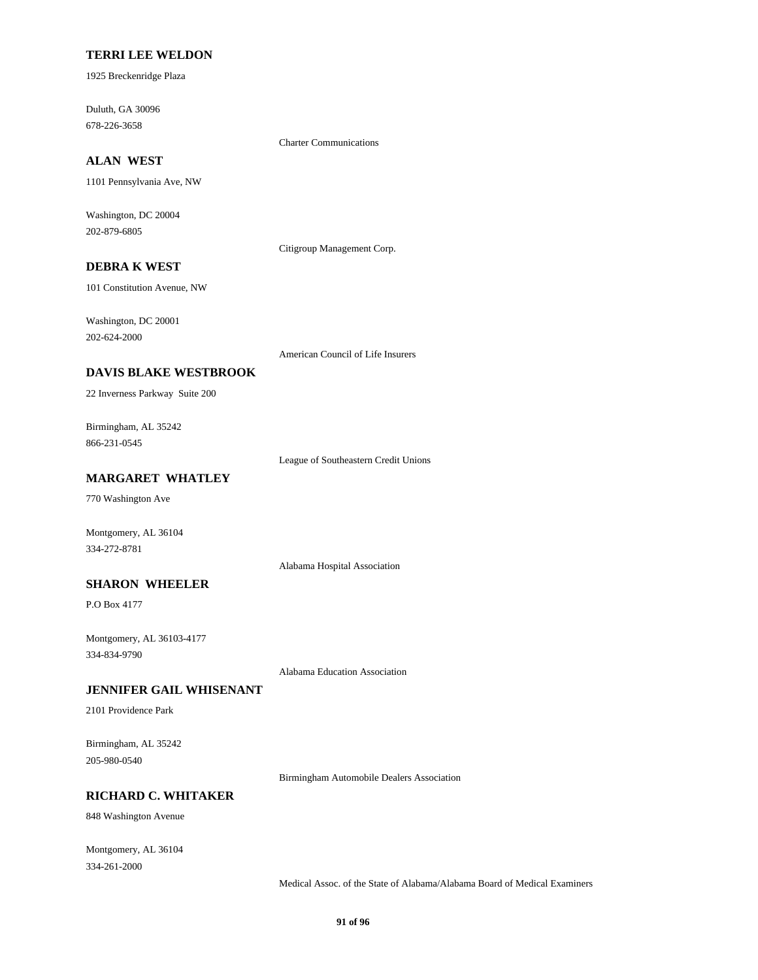#### **TERRI LEE WELDON**

1925 Breckenridge Plaza

678-226-3658 Duluth, GA 30096

Charter Communications

### **ALAN WEST**

1101 Pennsylvania Ave, NW

202-879-6805 Washington, DC 20004

Citigroup Management Corp.

### **DEBRA K WEST**

101 Constitution Avenue, NW

202-624-2000 Washington, DC 20001

American Council of Life Insurers

#### **DAVIS BLAKE WESTBROOK**

22 Inverness Parkway Suite 200

866-231-0545 Birmingham, AL 35242

League of Southeastern Credit Unions

### **MARGARET WHATLEY**

770 Washington Ave

Montgomery, AL 36104 334-272-8781

Alabama Hospital Association

### **SHARON WHEELER**

P.O Box 4177

334-834-9790 Montgomery, AL 36103-4177

Alabama Education Association

#### **JENNIFER GAIL WHISENANT**

2101 Providence Park

205-980-0540 Birmingham, AL 35242

Birmingham Automobile Dealers Association

### **RICHARD C. WHITAKER**

848 Washington Avenue

334-261-2000 Montgomery, AL 36104

Medical Assoc. of the State of Alabama/Alabama Board of Medical Examiners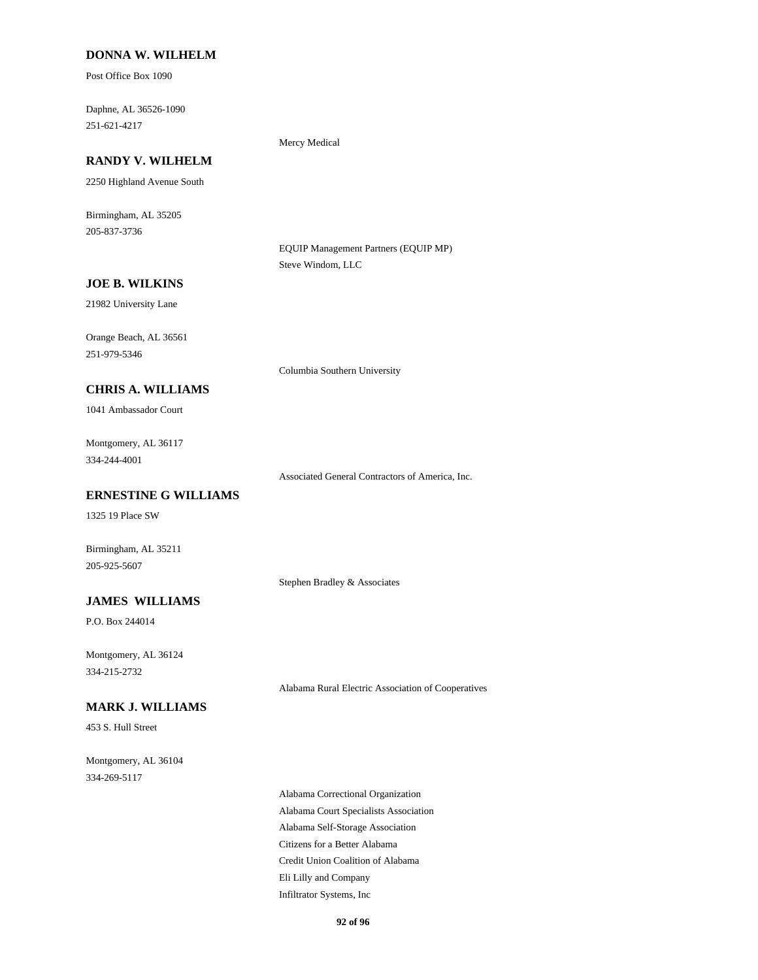#### **DONNA W. WILHELM**

Post Office Box 1090

251-621-4217 Daphne, AL 36526-1090

## **RANDY V. WILHELM**

2250 Highland Avenue South

205-837-3736 Birmingham, AL 35205

> EQUIP Management Partners (EQUIP MP) Steve Windom, LLC

#### **JOE B. WILKINS**

21982 University Lane

251-979-5346 Orange Beach, AL 36561

Columbia Southern University

Mercy Medical

# **CHRIS A. WILLIAMS**

1041 Ambassador Court

334-244-4001 Montgomery, AL 36117

Associated General Contractors of America, Inc.

### **ERNESTINE G WILLIAMS**

1325 19 Place SW

205-925-5607 Birmingham, AL 35211

Stephen Bradley & Associates

#### **JAMES WILLIAMS**

P.O. Box 244014

334-215-2732 Montgomery, AL 36124

Alabama Rural Electric Association of Cooperatives

### **MARK J. WILLIAMS**

453 S. Hull Street

334-269-5117 Montgomery, AL 36104

> Alabama Self-Storage Association Citizens for a Better Alabama Alabama Correctional Organization Alabama Court Specialists Association Credit Union Coalition of Alabama Eli Lilly and Company Infiltrator Systems, Inc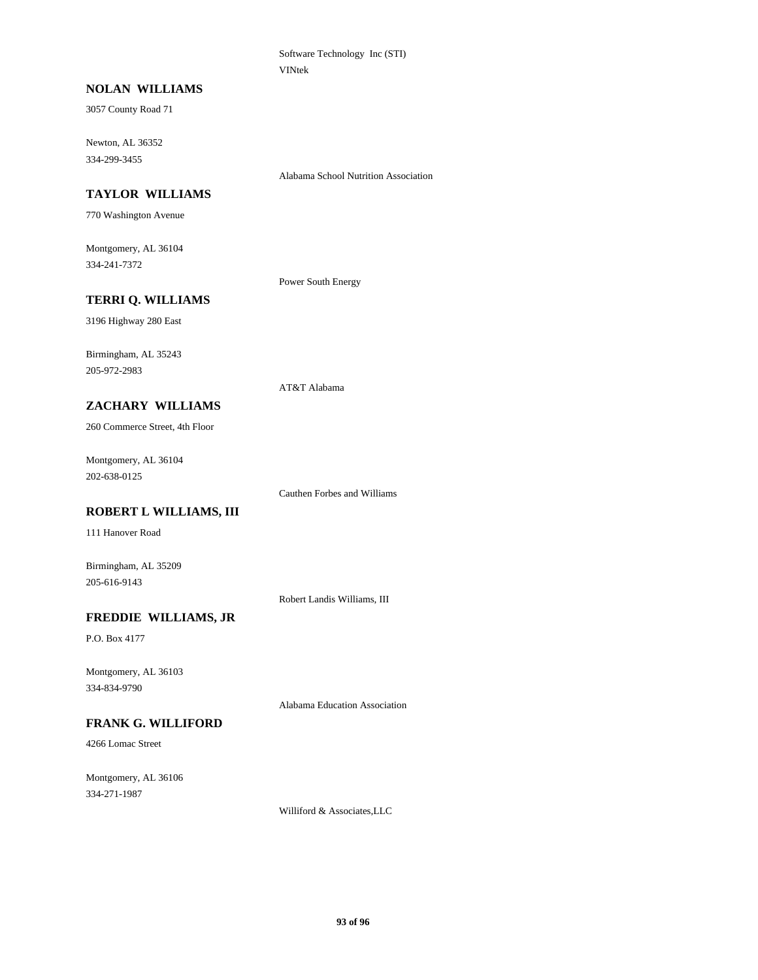Software Technology Inc (STI) VINtek

### **NOLAN WILLIAMS**

3057 County Road 71

334-299-3455 Newton, AL 36352

Alabama School Nutrition Association

### **TAYLOR WILLIAMS**

770 Washington Avenue

334-241-7372 Montgomery, AL 36104

Power South Energy

AT&T Alabama

#### **TERRI Q. WILLIAMS**

3196 Highway 280 East

205-972-2983 Birmingham, AL 35243

#### **ZACHARY WILLIAMS**

260 Commerce Street, 4th Floor

202-638-0125 Montgomery, AL 36104

Cauthen Forbes and Williams

### **ROBERT L WILLIAMS, III**

111 Hanover Road

Birmingham, AL 35209 205-616-9143

Robert Landis Williams, III

### **FREDDIE WILLIAMS, JR**

P.O. Box 4177

334-834-9790 Montgomery, AL 36103

Alabama Education Association

### **FRANK G. WILLIFORD**

4266 Lomac Street

334-271-1987 Montgomery, AL 36106

Williford & Associates,LLC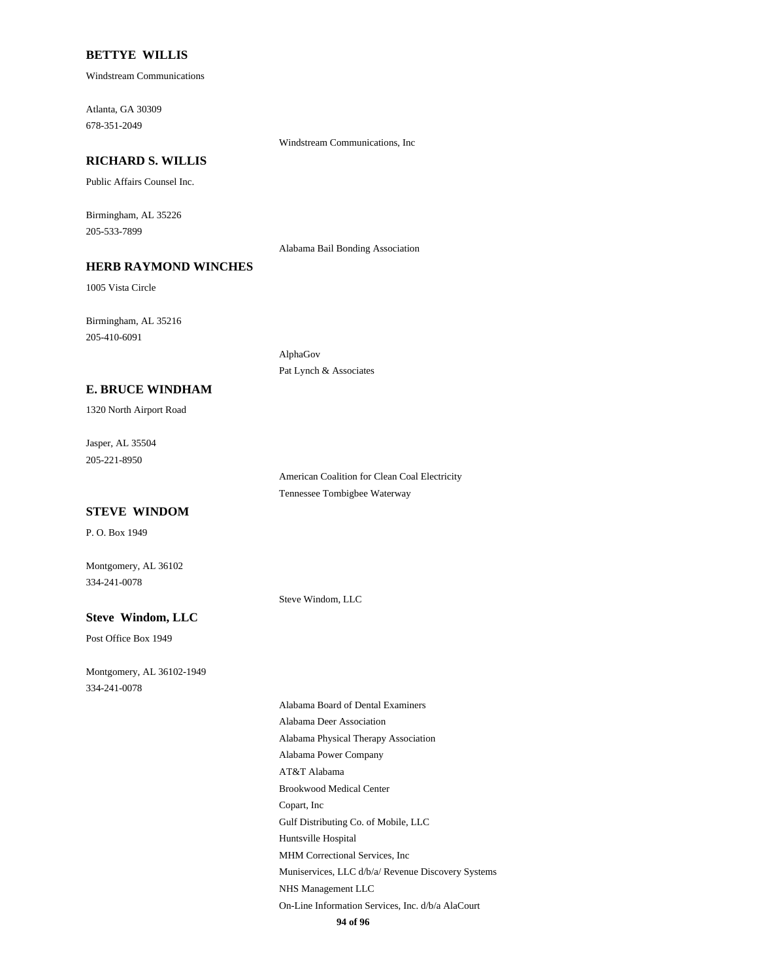#### **BETTYE WILLIS**

Windstream Communications

678-351-2049 Atlanta, GA 30309

### **RICHARD S. WILLIS**

Public Affairs Counsel Inc.

205-533-7899 Birmingham, AL 35226

Alabama Bail Bonding Association

Windstream Communications, Inc

### **HERB RAYMOND WINCHES**

1005 Vista Circle

205-410-6091 Birmingham, AL 35216

**E. BRUCE WINDHAM**

1320 North Airport Road

205-221-8950 Jasper, AL 35504

> American Coalition for Clean Coal Electricity Tennessee Tombigbee Waterway

#### **STEVE WINDOM**

P. O. Box 1949

334-241-0078 Montgomery, AL 36102

Steve Windom, LLC

AlphaGov

Pat Lynch & Associates

### **Steve Windom, LLC**

Post Office Box 1949

334-241-0078 Montgomery, AL 36102-1949

AT&T Alabama Brookwood Medical Center Copart, Inc Alabama Power Company Alabama Board of Dental Examiners Alabama Deer Association Alabama Physical Therapy Association Gulf Distributing Co. of Mobile, LLC On-Line Information Services, Inc. d/b/a AlaCourt NHS Management LLC Huntsville Hospital MHM Correctional Services, Inc Muniservices, LLC d/b/a/ Revenue Discovery Systems

**94 of 96**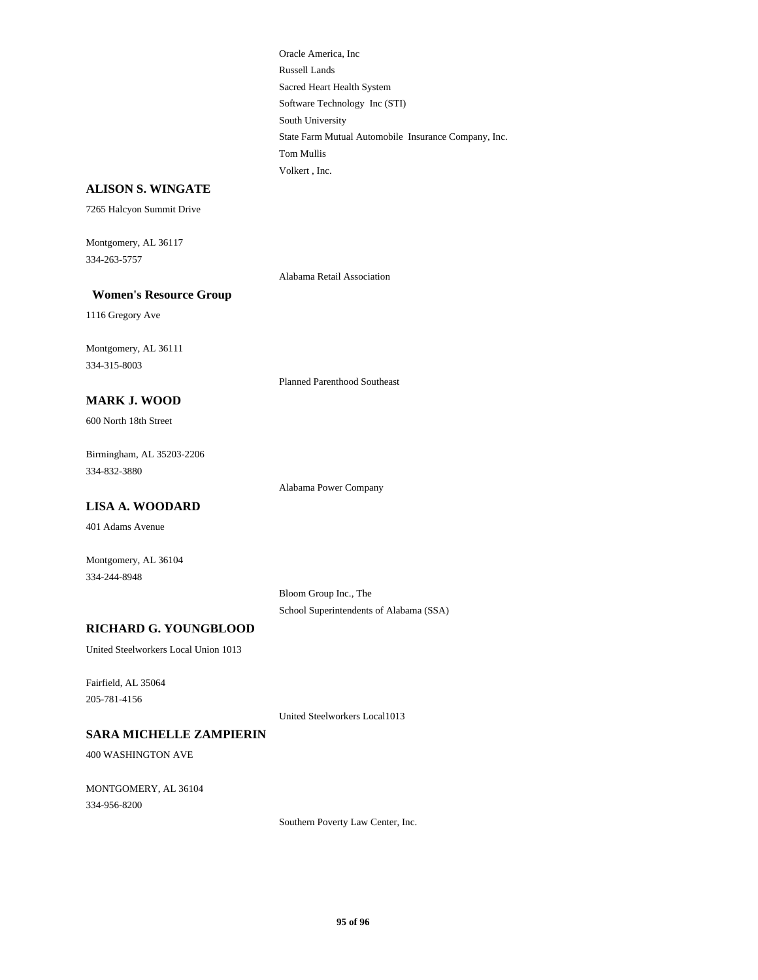Software Technology Inc (STI) South University Russell Lands Sacred Heart Health System Volkert , Inc. Oracle America, Inc State Farm Mutual Automobile Insurance Company, Inc. Tom Mullis

#### **ALISON S. WINGATE**

7265 Halcyon Summit Drive

Montgomery, AL 36117 334-263-5757

Alabama Retail Association

#### **Women's Resource Group**

1116 Gregory Ave

334-315-8003 Montgomery, AL 36111

Planned Parenthood Southeast

## **MARK J. WOOD**

600 North 18th Street

334-832-3880 Birmingham, AL 35203-2206

Alabama Power Company

#### **LISA A. WOODARD**

401 Adams Avenue

Montgomery, AL 36104 334-244-8948

> School Superintendents of Alabama (SSA) Bloom Group Inc., The

#### **RICHARD G. YOUNGBLOOD**

United Steelworkers Local Union 1013

205-781-4156 Fairfield, AL 35064

United Steelworkers Local1013

### **SARA MICHELLE ZAMPIERIN**

400 WASHINGTON AVE

334-956-8200 MONTGOMERY, AL 36104

Southern Poverty Law Center, Inc.